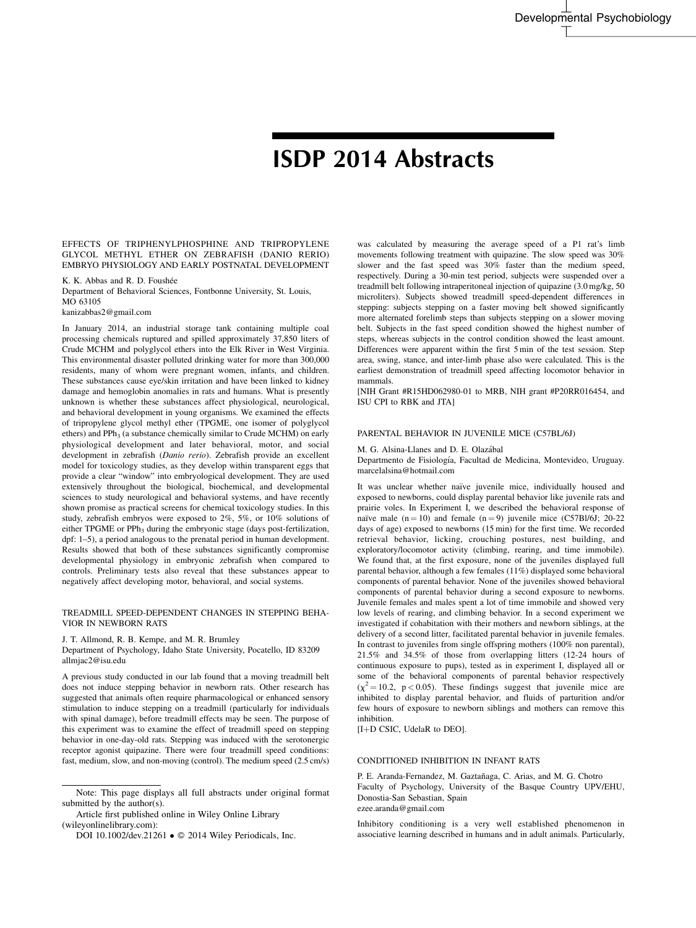# ISDP 2014 Abstracts

EFFECTS OF TRIPHENYLPHOSPHINE AND TRIPROPYLENE GLYCOL METHYL ETHER ON ZEBRAFISH (DANIO RERIO) EMBRYO PHYSIOLOGY AND EARLY POSTNATAL DEVELOPMENT

K. K. Abbas and R. D. Foushée Department of Behavioral Sciences, Fontbonne University, St. Louis, MO 63105

kanizabbas2@gmail.com

In January 2014, an industrial storage tank containing multiple coal processing chemicals ruptured and spilled approximately 37,850 liters of Crude MCHM and polyglycol ethers into the Elk River in West Virginia. This environmental disaster polluted drinking water for more than 300,000 residents, many of whom were pregnant women, infants, and children. These substances cause eye/skin irritation and have been linked to kidney damage and hemoglobin anomalies in rats and humans. What is presently unknown is whether these substances affect physiological, neurological, and behavioral development in young organisms. We examined the effects of tripropylene glycol methyl ether (TPGME, one isomer of polyglycol ethers) and  $PPh<sub>3</sub>$  (a substance chemically similar to Crude MCHM) on early physiological development and later behavioral, motor, and social development in zebrafish (Danio rerio). Zebrafish provide an excellent model for toxicology studies, as they develop within transparent eggs that provide a clear "window" into embryological development. They are used extensively throughout the biological, biochemical, and developmental sciences to study neurological and behavioral systems, and have recently shown promise as practical screens for chemical toxicology studies. In this study, zebrafish embryos were exposed to 2%, 5%, or 10% solutions of either TPGME or PPh<sub>3</sub> during the embryonic stage (days post-fertilization, dpf: 1–5), a period analogous to the prenatal period in human development. Results showed that both of these substances significantly compromise developmental physiology in embryonic zebrafish when compared to controls. Preliminary tests also reveal that these substances appear to negatively affect developing motor, behavioral, and social systems.

#### TREADMILL SPEED-DEPENDENT CHANGES IN STEPPING BEHA-VIOR IN NEWBORN RATS

J. T. Allmond, R. B. Kempe, and M. R. Brumley

Department of Psychology, Idaho State University, Pocatello, ID 83209 allmjac2@isu.edu

A previous study conducted in our lab found that a moving treadmill belt does not induce stepping behavior in newborn rats. Other research has suggested that animals often require pharmacological or enhanced sensory stimulation to induce stepping on a treadmill (particularly for individuals with spinal damage), before treadmill effects may be seen. The purpose of this experiment was to examine the effect of treadmill speed on stepping behavior in one-day-old rats. Stepping was induced with the serotonergic receptor agonist quipazine. There were four treadmill speed conditions: fast, medium, slow, and non-moving (control). The medium speed (2.5 cm/s)

Article first published online in Wiley Online Library (wileyonlinelibrary.com):

DOI 10.1002/dev.21261 ● © 2014 Wiley Periodicals, Inc.

was calculated by measuring the average speed of a P1 rat's limb movements following treatment with quipazine. The slow speed was 30% slower and the fast speed was 30% faster than the medium speed, respectively. During a 30-min test period, subjects were suspended over a treadmill belt following intraperitoneal injection of quipazine (3.0 mg/kg, 50 microliters). Subjects showed treadmill speed-dependent differences in stepping: subjects stepping on a faster moving belt showed significantly more alternated forelimb steps than subjects stepping on a slower moving belt. Subjects in the fast speed condition showed the highest number of steps, whereas subjects in the control condition showed the least amount. Differences were apparent within the first 5 min of the test session. Step area, swing, stance, and inter-limb phase also were calculated. This is the earliest demonstration of treadmill speed affecting locomotor behavior in mammals.

[NIH Grant #R15HD062980-01 to MRB, NIH grant #P20RR016454, and ISU CPI to RBK and JTA]

### PARENTAL BEHAVIOR IN JUVENILE MICE (C57BL/6J)

M. G. Alsina-Llanes and D. E. Olazábal

Departmento de Fisiología, Facultad de Medicina, Montevideo, Uruguay. marcelalsina@hotmail.com

It was unclear whether naïve juvenile mice, individually housed and exposed to newborns, could display parental behavior like juvenile rats and prairie voles. In Experiment I, we described the behavioral response of naïve male  $(n = 10)$  and female  $(n = 9)$  juvenile mice (C57Bl/6J; 20-22) days of age) exposed to newborns (15 min) for the first time. We recorded retrieval behavior, licking, crouching postures, nest building, and exploratory/locomotor activity (climbing, rearing, and time immobile). We found that, at the first exposure, none of the juveniles displayed full parental behavior, although a few females (11%) displayed some behavioral components of parental behavior. None of the juveniles showed behavioral components of parental behavior during a second exposure to newborns. Juvenile females and males spent a lot of time immobile and showed very low levels of rearing, and climbing behavior. In a second experiment we investigated if cohabitation with their mothers and newborn siblings, at the delivery of a second litter, facilitated parental behavior in juvenile females. In contrast to juveniles from single offspring mothers (100% non parental), 21.5% and 34.5% of those from overlapping litters (12-24 hours of continuous exposure to pups), tested as in experiment I, displayed all or some of the behavioral components of parental behavior respectively  $(x^2 = 10.2, p < 0.05)$ . These findings suggest that juvenile mice are inhibited to display parental behavior, and fluids of parturition and/or few hours of exposure to newborn siblings and mothers can remove this inhibition.

[I+D CSIC, UdelaR to DEO].

#### CONDITIONED INHIBITION IN INFANT RATS

P. E. Aranda-Fernandez, M. Gaztañaga, C. Arias, and M. G. Chotro Faculty of Psychology, University of the Basque Country UPV/EHU, Donostia-San Sebastian, Spain ezee.aranda@gmail.com

Inhibitory conditioning is a very well established phenomenon in associative learning described in humans and in adult animals. Particularly,

Note: This page displays all full abstracts under original format submitted by the author(s).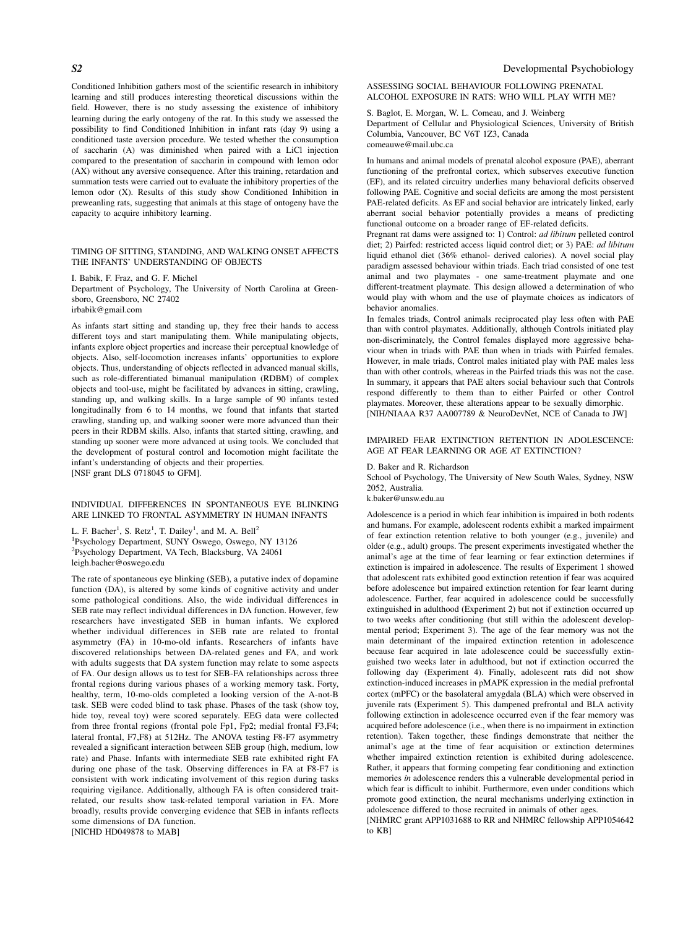Conditioned Inhibition gathers most of the scientific research in inhibitory learning and still produces interesting theoretical discussions within the field. However, there is no study assessing the existence of inhibitory learning during the early ontogeny of the rat. In this study we assessed the possibility to find Conditioned Inhibition in infant rats (day 9) using a conditioned taste aversion procedure. We tested whether the consumption of saccharin (A) was diminished when paired with a LiCl injection compared to the presentation of saccharin in compound with lemon odor (AX) without any aversive consequence. After this training, retardation and summation tests were carried out to evaluate the inhibitory properties of the lemon odor (X). Results of this study show Conditioned Inhibition in preweanling rats, suggesting that animals at this stage of ontogeny have the capacity to acquire inhibitory learning.

### TIMING OF SITTING, STANDING, AND WALKING ONSET AFFECTS THE INFANTS' UNDERSTANDING OF OBJECTS

I. Babik, F. Fraz, and G. F. Michel

Department of Psychology, The University of North Carolina at Greensboro, Greensboro, NC 27402

irbabik@gmail.com

As infants start sitting and standing up, they free their hands to access different toys and start manipulating them. While manipulating objects, infants explore object properties and increase their perceptual knowledge of objects. Also, self-locomotion increases infants' opportunities to explore objects. Thus, understanding of objects reflected in advanced manual skills, such as role-differentiated bimanual manipulation (RDBM) of complex objects and tool-use, might be facilitated by advances in sitting, crawling, standing up, and walking skills. In a large sample of 90 infants tested longitudinally from 6 to 14 months, we found that infants that started crawling, standing up, and walking sooner were more advanced than their peers in their RDBM skills. Also, infants that started sitting, crawling, and standing up sooner were more advanced at using tools. We concluded that the development of postural control and locomotion might facilitate the infant's understanding of objects and their properties. [NSF grant DLS 0718045 to GFM].

# INDIVIDUAL DIFFERENCES IN SPONTANEOUS EYE BLINKING ARE LINKED TO FRONTAL ASYMMETRY IN HUMAN INFANTS

L. F. Bacher<sup>1</sup>, S. Retz<sup>1</sup>, T. Dailey<sup>1</sup>, and M. A. Bell<sup>2</sup> 1 Psychology Department, SUNY Oswego, Oswego, NY 13126 2 Psychology Department, VA Tech, Blacksburg, VA 24061 leigh.bacher@oswego.edu

The rate of spontaneous eye blinking (SEB), a putative index of dopamine function (DA), is altered by some kinds of cognitive activity and under some pathological conditions. Also, the wide individual differences in SEB rate may reflect individual differences in DA function. However, few researchers have investigated SEB in human infants. We explored whether individual differences in SEB rate are related to frontal asymmetry (FA) in 10-mo-old infants. Researchers of infants have discovered relationships between DA-related genes and FA, and work with adults suggests that DA system function may relate to some aspects of FA. Our design allows us to test for SEB-FA relationships across three frontal regions during various phases of a working memory task. Forty, healthy, term, 10-mo-olds completed a looking version of the A-not-B task. SEB were coded blind to task phase. Phases of the task (show toy, hide toy, reveal toy) were scored separately. EEG data were collected from three frontal regions (frontal pole Fp1, Fp2; medial frontal F3,F4; lateral frontal, F7,F8) at 512Hz. The ANOVA testing F8-F7 asymmetry revealed a significant interaction between SEB group (high, medium, low rate) and Phase. Infants with intermediate SEB rate exhibited right FA during one phase of the task. Observing differences in FA at F8-F7 is consistent with work indicating involvement of this region during tasks requiring vigilance. Additionally, although FA is often considered traitrelated, our results show task-related temporal variation in FA. More broadly, results provide converging evidence that SEB in infants reflects some dimensions of DA function.

[NICHD HD049878 to MAB]

ASSESSING SOCIAL BEHAVIOUR FOLLOWING PRENATAL ALCOHOL EXPOSURE IN RATS: WHO WILL PLAY WITH ME?

#### S. Baglot, E. Morgan, W. L. Comeau, and J. Weinberg

Department of Cellular and Physiological Sciences, University of British Columbia, Vancouver, BC V6T 1Z3, Canada comeauwe@mail.ubc.ca

In humans and animal models of prenatal alcohol exposure (PAE), aberrant functioning of the prefrontal cortex, which subserves executive function (EF), and its related circuitry underlies many behavioral deficits observed following PAE. Cognitive and social deficits are among the most persistent PAE-related deficits. As EF and social behavior are intricately linked, early aberrant social behavior potentially provides a means of predicting functional outcome on a broader range of EF-related deficits.

Pregnant rat dams were assigned to: 1) Control: ad libitum pelleted control diet; 2) Pairfed: restricted access liquid control diet; or 3) PAE: ad libitum liquid ethanol diet (36% ethanol- derived calories). A novel social play paradigm assessed behaviour within triads. Each triad consisted of one test animal and two playmates - one same-treatment playmate and one different-treatment playmate. This design allowed a determination of who would play with whom and the use of playmate choices as indicators of behavior anomalies.

In females triads, Control animals reciprocated play less often with PAE than with control playmates. Additionally, although Controls initiated play non-discriminately, the Control females displayed more aggressive behaviour when in triads with PAE than when in triads with Pairfed females. However, in male triads, Control males initiated play with PAE males less than with other controls, whereas in the Pairfed triads this was not the case. In summary, it appears that PAE alters social behaviour such that Controls respond differently to them than to either Pairfed or other Control playmates. Moreover, these alterations appear to be sexually dimorphic. [NIH/NIAAA R37 AA007789 & NeuroDevNet, NCE of Canada to JW]

### IMPAIRED FEAR EXTINCTION RETENTION IN ADOLESCENCE: AGE AT FEAR LEARNING OR AGE AT EXTINCTION?

#### D. Baker and R. Richardson

School of Psychology, The University of New South Wales, Sydney, NSW 2052, Australia.

k.baker@unsw.edu.au

Adolescence is a period in which fear inhibition is impaired in both rodents and humans. For example, adolescent rodents exhibit a marked impairment of fear extinction retention relative to both younger (e.g., juvenile) and older (e.g., adult) groups. The present experiments investigated whether the animal's age at the time of fear learning or fear extinction determines if extinction is impaired in adolescence. The results of Experiment 1 showed that adolescent rats exhibited good extinction retention if fear was acquired before adolescence but impaired extinction retention for fear learnt during adolescence. Further, fear acquired in adolescence could be successfully extinguished in adulthood (Experiment 2) but not if extinction occurred up to two weeks after conditioning (but still within the adolescent developmental period; Experiment 3). The age of the fear memory was not the main determinant of the impaired extinction retention in adolescence because fear acquired in late adolescence could be successfully extinguished two weeks later in adulthood, but not if extinction occurred the following day (Experiment 4). Finally, adolescent rats did not show extinction-induced increases in pMAPK expression in the medial prefrontal cortex (mPFC) or the basolateral amygdala (BLA) which were observed in juvenile rats (Experiment 5). This dampened prefrontal and BLA activity following extinction in adolescence occurred even if the fear memory was acquired before adolescence (i.e., when there is no impairment in extinction retention). Taken together, these findings demonstrate that neither the animal's age at the time of fear acquisition or extinction determines whether impaired extinction retention is exhibited during adolescence. Rather, it appears that forming competing fear conditioning and extinction memories in adolescence renders this a vulnerable developmental period in which fear is difficult to inhibit. Furthermore, even under conditions which promote good extinction, the neural mechanisms underlying extinction in adolescence differed to those recruited in animals of other ages.

[NHMRC grant APP1031688 to RR and NHMRC fellowship APP1054642 to KB]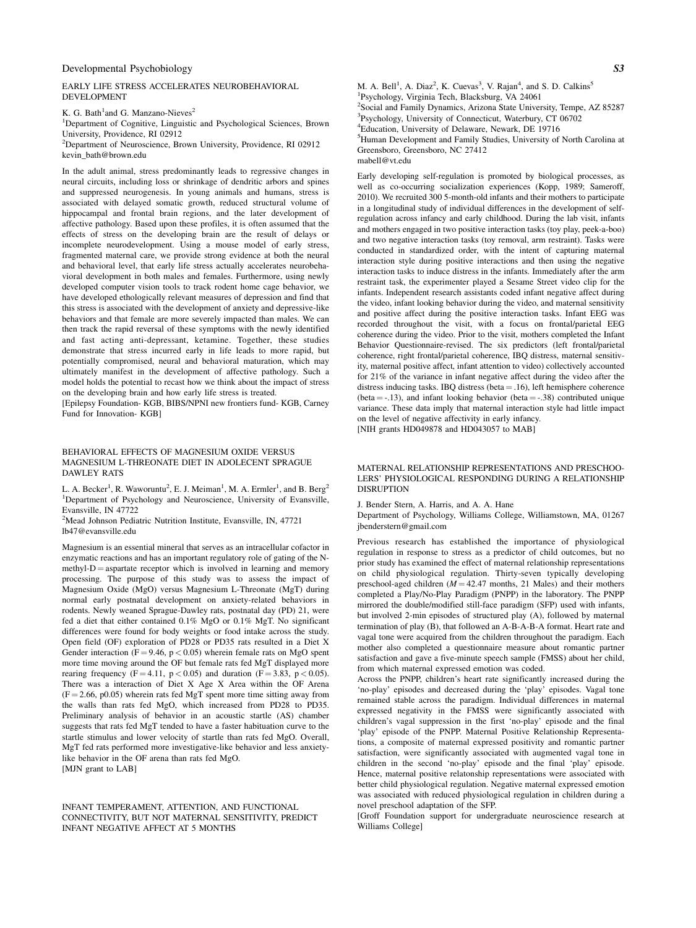#### EARLY LIFE STRESS ACCELERATES NEUROBEHAVIORAL DEVELOPMENT

K. G. Bath<sup>1</sup>and G. Manzano-Nieves<sup>2</sup>

<sup>1</sup>Department of Cognitive, Linguistic and Psychological Sciences, Brown University, Providence, RI 02912

<sup>2</sup>Department of Neuroscience, Brown University, Providence, RI 02912 kevin\_bath@brown.edu

In the adult animal, stress predominantly leads to regressive changes in neural circuits, including loss or shrinkage of dendritic arbors and spines and suppressed neurogenesis. In young animals and humans, stress is associated with delayed somatic growth, reduced structural volume of hippocampal and frontal brain regions, and the later development of affective pathology. Based upon these profiles, it is often assumed that the effects of stress on the developing brain are the result of delays or incomplete neurodevelopment. Using a mouse model of early stress, fragmented maternal care, we provide strong evidence at both the neural and behavioral level, that early life stress actually accelerates neurobehavioral development in both males and females. Furthermore, using newly developed computer vision tools to track rodent home cage behavior, we have developed ethologically relevant measures of depression and find that this stress is associated with the development of anxiety and depressive-like behaviors and that female are more severely impacted than males. We can then track the rapid reversal of these symptoms with the newly identified and fast acting anti-depressant, ketamine. Together, these studies demonstrate that stress incurred early in life leads to more rapid, but potentially compromised, neural and behavioral maturation, which may ultimately manifest in the development of affective pathology. Such a model holds the potential to recast how we think about the impact of stress on the developing brain and how early life stress is treated.

[Epilepsy Foundation- KGB, BIBS/NPNI new frontiers fund- KGB, Carney Fund for Innovation- KGB]

#### BEHAVIORAL EFFECTS OF MAGNESIUM OXIDE VERSUS MAGNESIUM L-THREONATE DIET IN ADOLECENT SPRAGUE DAWLEY RATS

L. A. Becker<sup>1</sup>, R. Waworuntu<sup>2</sup>, E. J. Meiman<sup>1</sup>, M. A. Ermler<sup>1</sup>, and B. Berg<sup>2</sup> <sup>1</sup>Department of Psychology and Neuroscience, University of Evansville, Evansville, IN 47722

<sup>2</sup>Mead Johnson Pediatric Nutrition Institute, Evansville, IN, 47721 lb47@evansville.edu

Magnesium is an essential mineral that serves as an intracellular cofactor in enzymatic reactions and has an important regulatory role of gating of the N $methyl-D =$  aspartate receptor which is involved in learning and memory processing. The purpose of this study was to assess the impact of Magnesium Oxide (MgO) versus Magnesium L-Threonate (MgT) during normal early postnatal development on anxiety-related behaviors in rodents. Newly weaned Sprague-Dawley rats, postnatal day (PD) 21, were fed a diet that either contained 0.1% MgO or 0.1% MgT. No significant differences were found for body weights or food intake across the study. Open field (OF) exploration of PD28 or PD35 rats resulted in a Diet X Gender interaction ( $F = 9.46$ ,  $p < 0.05$ ) wherein female rats on MgO spent more time moving around the OF but female rats fed MgT displayed more rearing frequency (F = 4.11,  $p < 0.05$ ) and duration (F = 3.83, p < 0.05). There was a interaction of Diet X Age X Area within the OF Arena  $(F = 2.66, p0.05)$  wherein rats fed MgT spent more time sitting away from the walls than rats fed MgO, which increased from PD28 to PD35. Preliminary analysis of behavior in an acoustic startle (AS) chamber suggests that rats fed MgT tended to have a faster habituation curve to the startle stimulus and lower velocity of startle than rats fed MgO. Overall, MgT fed rats performed more investigative-like behavior and less anxietylike behavior in the OF arena than rats fed MgO. [MJN grant to LAB]

INFANT TEMPERAMENT, ATTENTION, AND FUNCTIONAL CONNECTIVITY, BUT NOT MATERNAL SENSITIVITY, PREDICT INFANT NEGATIVE AFFECT AT 5 MONTHS

M. A. Bell<sup>1</sup>, A. Diaz<sup>2</sup>, K. Cuevas<sup>3</sup>, V. Rajan<sup>4</sup>, and S. D. Calkins<sup>5</sup> Psychology, Virginia Tech, Blacksburg, VA 24061 Social and Family Dynamics, Arizona State University, Tempe, AZ 85287 Psychology, University of Connecticut, Waterbury, CT 06702 Education, University of Delaware, Newark, DE 19716 Human Development and Family Studies, University of North Carolina at

Greensboro, Greensboro, NC 27412 mabell@vt.edu

Early developing self-regulation is promoted by biological processes, as well as co-occurring socialization experiences (Kopp, 1989; Sameroff, 2010). We recruited 300 5-month-old infants and their mothers to participate in a longitudinal study of individual differences in the development of selfregulation across infancy and early childhood. During the lab visit, infants and mothers engaged in two positive interaction tasks (toy play, peek-a-boo) and two negative interaction tasks (toy removal, arm restraint). Tasks were conducted in standardized order, with the intent of capturing maternal interaction style during positive interactions and then using the negative interaction tasks to induce distress in the infants. Immediately after the arm restraint task, the experimenter played a Sesame Street video clip for the infants. Independent research assistants coded infant negative affect during the video, infant looking behavior during the video, and maternal sensitivity and positive affect during the positive interaction tasks. Infant EEG was recorded throughout the visit, with a focus on frontal/parietal EEG coherence during the video. Prior to the visit, mothers completed the Infant Behavior Questionnaire-revised. The six predictors (left frontal/parietal coherence, right frontal/parietal coherence, IBQ distress, maternal sensitivity, maternal positive affect, infant attention to video) collectively accounted for 21% of the variance in infant negative affect during the video after the distress inducing tasks. IBQ distress (beta  $= .16$ ), left hemisphere coherence (beta  $= -.13$ ), and infant looking behavior (beta  $= -.38$ ) contributed unique variance. These data imply that maternal interaction style had little impact on the level of negative affectivity in early infancy.

[NIH grants HD049878 and HD043057 to MAB]

MATERNAL RELATIONSHIP REPRESENTATIONS AND PRESCHOO-LERS' PHYSIOLOGICAL RESPONDING DURING A RELATIONSHIP **DISRUPTION** 

J. Bender Stern, A. Harris, and A. A. Hane

Department of Psychology, Williams College, Williamstown, MA, 01267 jbenderstern@gmail.com

Previous research has established the importance of physiological regulation in response to stress as a predictor of child outcomes, but no prior study has examined the effect of maternal relationship representations on child physiological regulation. Thirty-seven typically developing preschool-aged children  $(M = 42.47$  months, 21 Males) and their mothers completed a Play/No-Play Paradigm (PNPP) in the laboratory. The PNPP mirrored the double/modified still-face paradigm (SFP) used with infants, but involved 2-min episodes of structured play (A), followed by maternal termination of play (B), that followed an A-B-A-B-A format. Heart rate and vagal tone were acquired from the children throughout the paradigm. Each mother also completed a questionnaire measure about romantic partner satisfaction and gave a five-minute speech sample (FMSS) about her child, from which maternal expressed emotion was coded.

Across the PNPP, children's heart rate significantly increased during the 'no-play' episodes and decreased during the 'play' episodes. Vagal tone remained stable across the paradigm. Individual differences in maternal expressed negativity in the FMSS were significantly associated with children's vagal suppression in the first 'no-play' episode and the final 'play' episode of the PNPP. Maternal Positive Relationship Representations, a composite of maternal expressed positivity and romantic partner satisfaction, were significantly associated with augmented vagal tone in children in the second 'no-play' episode and the final 'play' episode. Hence, maternal positive relatonship representations were associated with better child physiological regulation. Negative maternal expressed emotion was associated with reduced physiological regulation in children during a novel preschool adaptation of the SFP.

[Groff Foundation support for undergraduate neuroscience research at Williams College]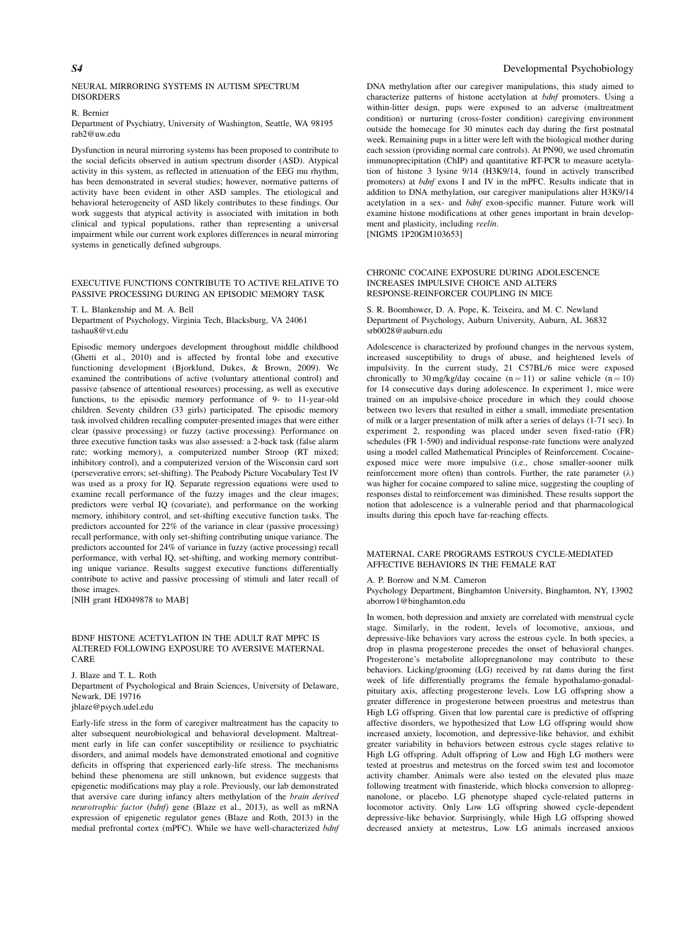#### NEURAL MIRRORING SYSTEMS IN AUTISM SPECTRUM **DISORDERS**

# R. Bernier

Department of Psychiatry, University of Washington, Seattle, WA 98195 rab2@uw.edu

Dysfunction in neural mirroring systems has been proposed to contribute to the social deficits observed in autism spectrum disorder (ASD). Atypical activity in this system, as reflected in attenuation of the EEG mu rhythm, has been demonstrated in several studies; however, normative patterns of activity have been evident in other ASD samples. The etiological and behavioral heterogeneity of ASD likely contributes to these findings. Our work suggests that atypical activity is associated with imitation in both clinical and typical populations, rather than representing a universal impairment while our current work explores differences in neural mirroring systems in genetically defined subgroups.

### EXECUTIVE FUNCTIONS CONTRIBUTE TO ACTIVE RELATIVE TO PASSIVE PROCESSING DURING AN EPISODIC MEMORY TASK

T. L. Blankenship and M. A. Bell

Department of Psychology, Virginia Tech, Blacksburg, VA 24061 tashau8@vt.edu

Episodic memory undergoes development throughout middle childhood (Ghetti et al., 2010) and is affected by frontal lobe and executive functioning development (Bjorklund, Dukes, & Brown, 2009). We examined the contributions of active (voluntary attentional control) and passive (absence of attentional resources) processing, as well as executive functions, to the episodic memory performance of 9- to 11-year-old children. Seventy children (33 girls) participated. The episodic memory task involved children recalling computer-presented images that were either clear (passive processing) or fuzzy (active processing). Performance on three executive function tasks was also assessed: a 2-back task (false alarm rate; working memory), a computerized number Stroop (RT mixed; inhibitory control), and a computerized version of the Wisconsin card sort (perseverative errors; set-shifting). The Peabody Picture Vocabulary Test IV was used as a proxy for IQ. Separate regression equations were used to examine recall performance of the fuzzy images and the clear images; predictors were verbal IQ (covariate), and performance on the working memory, inhibitory control, and set-shifting executive function tasks. The predictors accounted for 22% of the variance in clear (passive processing) recall performance, with only set-shifting contributing unique variance. The predictors accounted for 24% of variance in fuzzy (active processing) recall performance, with verbal IQ, set-shifting, and working memory contributing unique variance. Results suggest executive functions differentially contribute to active and passive processing of stimuli and later recall of those images.

[NIH grant HD049878 to MAB]

# BDNF HISTONE ACETYLATION IN THE ADULT RAT MPFC IS ALTERED FOLLOWING EXPOSURE TO AVERSIVE MATERNAL CARE

J. Blaze and T. L. Roth Department of Psychological and Brain Sciences, University of Delaware, Newark, DE 19716 jblaze@psych.udel.edu

Early-life stress in the form of caregiver maltreatment has the capacity to alter subsequent neurobiological and behavioral development. Maltreatment early in life can confer susceptibility or resilience to psychiatric disorders, and animal models have demonstrated emotional and cognitive deficits in offspring that experienced early-life stress. The mechanisms behind these phenomena are still unknown, but evidence suggests that epigenetic modifications may play a role. Previously, our lab demonstrated that aversive care during infancy alters methylation of the brain derived neurotrophic factor (bdnf) gene (Blaze et al., 2013), as well as mRNA expression of epigenetic regulator genes (Blaze and Roth, 2013) in the medial prefrontal cortex (mPFC). While we have well-characterized bdnf

# S<sup>4</sup> Developmental Psychobiology

DNA methylation after our caregiver manipulations, this study aimed to characterize patterns of histone acetylation at bdnf promoters. Using a within-litter design, pups were exposed to an adverse (maltreatment condition) or nurturing (cross-foster condition) caregiving environment outside the homecage for 30 minutes each day during the first postnatal week. Remaining pups in a litter were left with the biological mother during each session (providing normal care controls). At PN90, we used chromatin immunoprecipitation (ChIP) and quantitative RT-PCR to measure acetylation of histone 3 lysine 9/14 (H3K9/14, found in actively transcribed promoters) at bdnf exons I and IV in the mPFC. Results indicate that in addition to DNA methylation, our caregiver manipulations alter H3K9/14 acetylation in a sex- and bdnf exon-specific manner. Future work will examine histone modifications at other genes important in brain development and plasticity, including reelin. [NIGMS 1P20GM103653]

#### CHRONIC COCAINE EXPOSURE DURING ADOLESCENCE INCREASES IMPULSIVE CHOICE AND ALTERS RESPONSE-REINFORCER COUPLING IN MICE

S. R. Boomhower, D. A. Pope, K. Teixeira, and M. C. Newland Department of Psychology, Auburn University, Auburn, AL 36832 srb0028@auburn.edu

Adolescence is characterized by profound changes in the nervous system, increased susceptibility to drugs of abuse, and heightened levels of impulsivity. In the current study, 21 C57BL/6 mice were exposed chronically to 30 mg/kg/day cocaine  $(n = 11)$  or saline vehicle  $(n = 10)$ for 14 consecutive days during adolescence. In experiment 1, mice were trained on an impulsive-choice procedure in which they could choose between two levers that resulted in either a small, immediate presentation of milk or a larger presentation of milk after a series of delays (1-71 sec). In experiment 2, responding was placed under seven fixed-ratio (FR) schedules (FR 1-590) and individual response-rate functions were analyzed using a model called Mathematical Principles of Reinforcement. Cocaineexposed mice were more impulsive (i.e., chose smaller-sooner milk reinforcement more often) than controls. Further, the rate parameter  $(\lambda)$ was higher for cocaine compared to saline mice, suggesting the coupling of responses distal to reinforcement was diminished. These results support the notion that adolescence is a vulnerable period and that pharmacological insults during this epoch have far-reaching effects.

#### MATERNAL CARE PROGRAMS ESTROUS CYCLE-MEDIATED AFFECTIVE BEHAVIORS IN THE FEMALE RAT

#### A. P. Borrow and N.M. Cameron

Psychology Department, Binghamton University, Binghamton, NY, 13902 aborrow1@binghamton.edu

In women, both depression and anxiety are correlated with menstrual cycle stage. Similarly, in the rodent, levels of locomotive, anxious, and depressive-like behaviors vary across the estrous cycle. In both species, a drop in plasma progesterone precedes the onset of behavioral changes. Progesterone's metabolite allopregnanolone may contribute to these behaviors. Licking/grooming (LG) received by rat dams during the first week of life differentially programs the female hypothalamo-gonadalpituitary axis, affecting progesterone levels. Low LG offspring show a greater difference in progesterone between proestrus and metestrus than High LG offspring. Given that low parental care is predictive of offspring affective disorders, we hypothesized that Low LG offspring would show increased anxiety, locomotion, and depressive-like behavior, and exhibit greater variability in behaviors between estrous cycle stages relative to High LG offspring. Adult offspring of Low and High LG mothers were tested at proestrus and metestrus on the forced swim test and locomotor activity chamber. Animals were also tested on the elevated plus maze following treatment with finasteride, which blocks conversion to allopregnanolone, or placebo. LG phenotype shaped cycle-related patterns in locomotor activity. Only Low LG offspring showed cycle-dependent depressive-like behavior. Surprisingly, while High LG offspring showed decreased anxiety at metestrus, Low LG animals increased anxious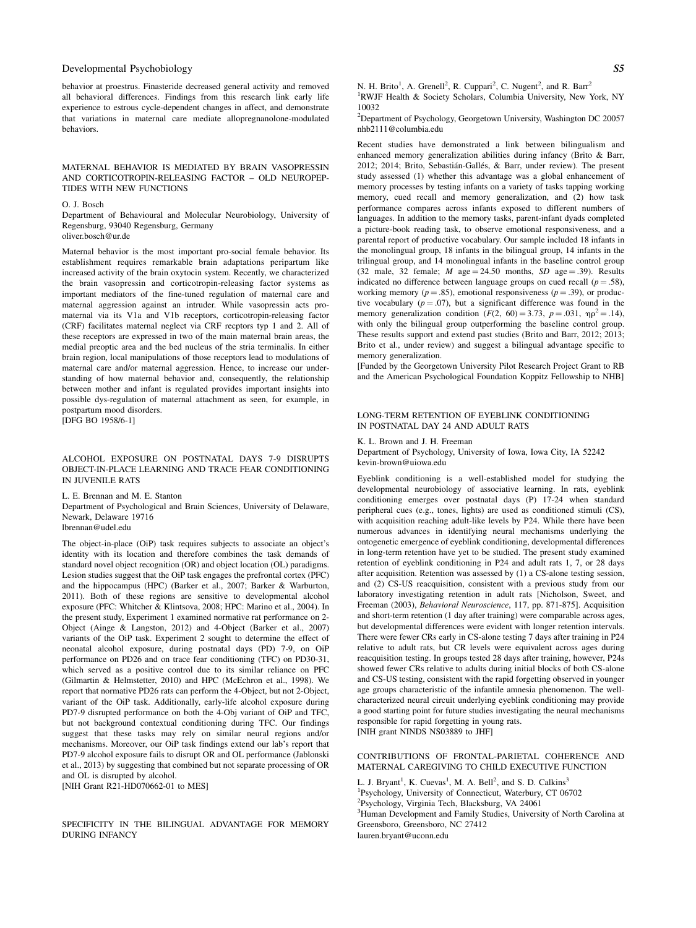behavior at proestrus. Finasteride decreased general activity and removed all behavioral differences. Findings from this research link early life experience to estrous cycle-dependent changes in affect, and demonstrate that variations in maternal care mediate allopregnanolone-modulated behaviors.

#### MATERNAL BEHAVIOR IS MEDIATED BY BRAIN VASOPRESSIN AND CORTICOTROPIN-RELEASING FACTOR – OLD NEUROPEP-TIDES WITH NEW FUNCTIONS

#### O. J. Bosch

Department of Behavioural and Molecular Neurobiology, University of Regensburg, 93040 Regensburg, Germany oliver.bosch@ur.de

Maternal behavior is the most important pro-social female behavior. Its establishment requires remarkable brain adaptations peripartum like increased activity of the brain oxytocin system. Recently, we characterized the brain vasopressin and corticotropin-releasing factor systems as important mediators of the fine-tuned regulation of maternal care and maternal aggression against an intruder. While vasopressin acts promaternal via its V1a and V1b receptors, corticotropin-releasing factor (CRF) facilitates maternal neglect via CRF recptors typ 1 and 2. All of these receptors are expressed in two of the main maternal brain areas, the medial preoptic area and the bed nucleus of the stria terminalis. In either brain region, local manipulations of those receptors lead to modulations of maternal care and/or maternal aggression. Hence, to increase our understanding of how maternal behavior and, consequently, the relationship between mother and infant is regulated provides important insights into possible dys-regulation of maternal attachment as seen, for example, in postpartum mood disorders. [DFG BO 1958/6-1]

# ALCOHOL EXPOSURE ON POSTNATAL DAYS 7-9 DISRUPTS OBJECT-IN-PLACE LEARNING AND TRACE FEAR CONDITIONING IN JUVENILE RATS

L. E. Brennan and M. E. Stanton

Department of Psychological and Brain Sciences, University of Delaware, Newark, Delaware 19716 lbrennan@udel.edu

The object-in-place (OiP) task requires subjects to associate an object's identity with its location and therefore combines the task demands of standard novel object recognition (OR) and object location (OL) paradigms. Lesion studies suggest that the OiP task engages the prefrontal cortex (PFC) and the hippocampus (HPC) (Barker et al., 2007; Barker & Warburton, 2011). Both of these regions are sensitive to developmental alcohol exposure (PFC: Whitcher & Klintsova, 2008; HPC: Marino et al., 2004). In the present study, Experiment 1 examined normative rat performance on 2- Object (Ainge & Langston, 2012) and 4-Object (Barker et al., 2007) variants of the OiP task. Experiment 2 sought to determine the effect of neonatal alcohol exposure, during postnatal days (PD) 7-9, on OiP performance on PD26 and on trace fear conditioning (TFC) on PD30-31, which served as a positive control due to its similar reliance on PFC (Gilmartin & Helmstetter, 2010) and HPC (McEchron et al., 1998). We report that normative PD26 rats can perform the 4-Object, but not 2-Object, variant of the OiP task. Additionally, early-life alcohol exposure during PD7-9 disrupted performance on both the 4-Obj variant of OiP and TFC, but not background contextual conditioning during TFC. Our findings suggest that these tasks may rely on similar neural regions and/or mechanisms. Moreover, our OiP task findings extend our lab's report that PD7-9 alcohol exposure fails to disrupt OR and OL performance (Jablonski et al., 2013) by suggesting that combined but not separate processing of OR and OL is disrupted by alcohol.

[NIH Grant R21-HD070662-01 to MES]

SPECIFICITY IN THE BILINGUAL ADVANTAGE FOR MEMORY DURING INFANCY

N. H. Brito<sup>1</sup>, A. Grenell<sup>2</sup>, R. Cuppari<sup>2</sup>, C. Nugent<sup>2</sup>, and R. Barr<sup>2</sup> 1 RWJF Health & Society Scholars, Columbia University, New York, NY 10032

<sup>2</sup>Department of Psychology, Georgetown University, Washington DC 20057 nhb2111@columbia.edu

Recent studies have demonstrated a link between bilingualism and enhanced memory generalization abilities during infancy (Brito & Barr, 2012; 2014; Brito, Sebastián-Gallés, & Barr, under review). The present study assessed (1) whether this advantage was a global enhancement of memory processes by testing infants on a variety of tasks tapping working memory, cued recall and memory generalization, and (2) how task performance compares across infants exposed to different numbers of languages. In addition to the memory tasks, parent-infant dyads completed a picture-book reading task, to observe emotional responsiveness, and a parental report of productive vocabulary. Our sample included 18 infants in the monolingual group, 18 infants in the bilingual group, 14 infants in the trilingual group, and 14 monolingual infants in the baseline control group (32 male, 32 female;  $M$  age = 24.50 months,  $SD$  age = .39). Results indicated no difference between language groups on cued recall ( $p = .58$ ), working memory ( $p = .85$ ), emotional responsiveness ( $p = .39$ ), or productive vocabulary  $(p = .07)$ , but a significant difference was found in the memory generalization condition  $(F(2, 60) = 3.73, p = .031, \eta \rho^2 = .14)$ , with only the bilingual group outperforming the baseline control group. These results support and extend past studies (Brito and Barr, 2012; 2013; Brito et al., under review) and suggest a bilingual advantage specific to memory generalization.

[Funded by the Georgetown University Pilot Research Project Grant to RB and the American Psychological Foundation Koppitz Fellowship to NHB]

# LONG-TERM RETENTION OF EYEBLINK CONDITIONING IN POSTNATAL DAY 24 AND ADULT RATS

# K. L. Brown and J. H. Freeman

Department of Psychology, University of Iowa, Iowa City, IA 52242 kevin-brown@uiowa.edu

Eyeblink conditioning is a well-established model for studying the developmental neurobiology of associative learning. In rats, eyeblink conditioning emerges over postnatal days (P) 17-24 when standard peripheral cues (e.g., tones, lights) are used as conditioned stimuli (CS), with acquisition reaching adult-like levels by P24. While there have been numerous advances in identifying neural mechanisms underlying the ontogenetic emergence of eyeblink conditioning, developmental differences in long-term retention have yet to be studied. The present study examined retention of eyeblink conditioning in P24 and adult rats 1, 7, or 28 days after acquisition. Retention was assessed by (1) a CS-alone testing session, and (2) CS-US reacquisition, consistent with a previous study from our laboratory investigating retention in adult rats [Nicholson, Sweet, and Freeman (2003), Behavioral Neuroscience, 117, pp. 871-875]. Acquisition and short-term retention (1 day after training) were comparable across ages, but developmental differences were evident with longer retention intervals. There were fewer CRs early in CS-alone testing 7 days after training in P24 relative to adult rats, but CR levels were equivalent across ages during reacquisition testing. In groups tested 28 days after training, however, P24s showed fewer CRs relative to adults during initial blocks of both CS-alone and CS-US testing, consistent with the rapid forgetting observed in younger age groups characteristic of the infantile amnesia phenomenon. The wellcharacterized neural circuit underlying eyeblink conditioning may provide a good starting point for future studies investigating the neural mechanisms responsible for rapid forgetting in young rats. [NIH grant NINDS NS03889 to JHF]

# CONTRIBUTIONS OF FRONTAL-PARIETAL COHERENCE AND MATERNAL CAREGIVING TO CHILD EXECUTIVE FUNCTION

L. J. Bryant<sup>1</sup>, K. Cuevas<sup>1</sup>, M. A. Bell<sup>2</sup>, and S. D. Calkins<sup>3</sup> 1 Psychology, University of Connecticut, Waterbury, CT 06702 2 Psychology, Virginia Tech, Blacksburg, VA 24061 <sup>3</sup>Human Development and Family Studies, University of North Carolina at Greensboro, Greensboro, NC 27412 lauren.bryant@uconn.edu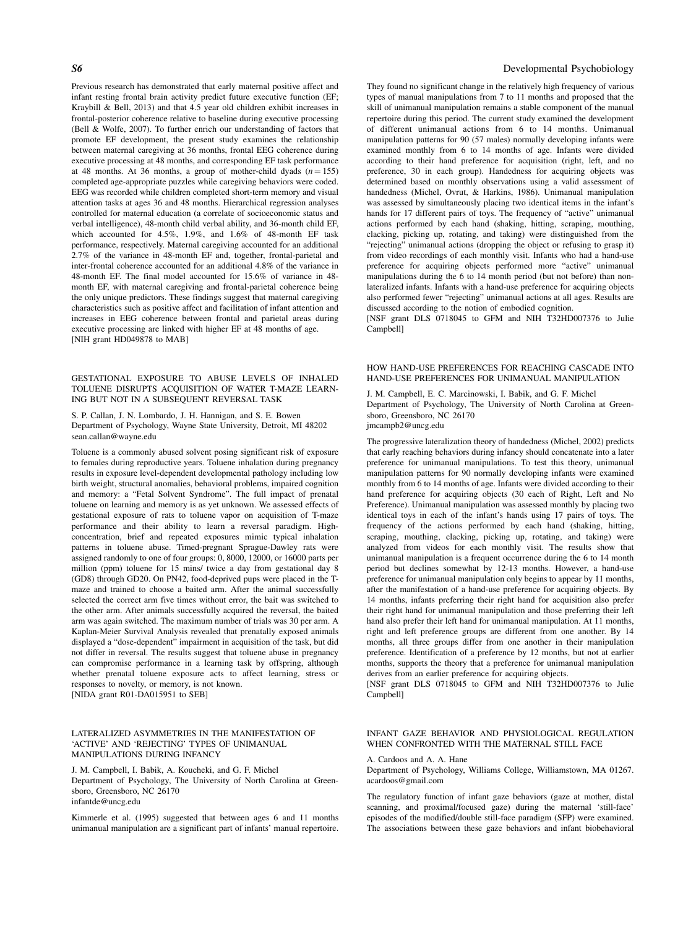Previous research has demonstrated that early maternal positive affect and infant resting frontal brain activity predict future executive function (EF; Kraybill & Bell, 2013) and that 4.5 year old children exhibit increases in frontal-posterior coherence relative to baseline during executive processing (Bell & Wolfe, 2007). To further enrich our understanding of factors that promote EF development, the present study examines the relationship between maternal caregiving at 36 months, frontal EEG coherence during executive processing at 48 months, and corresponding EF task performance at 48 months. At 36 months, a group of mother-child dyads  $(n = 155)$ completed age-appropriate puzzles while caregiving behaviors were coded. EEG was recorded while children completed short-term memory and visual attention tasks at ages 36 and 48 months. Hierarchical regression analyses controlled for maternal education (a correlate of socioeconomic status and verbal intelligence), 48-month child verbal ability, and 36-month child EF, which accounted for 4.5%, 1.9%, and 1.6% of 48-month EF task performance, respectively. Maternal caregiving accounted for an additional 2.7% of the variance in 48-month EF and, together, frontal-parietal and inter-frontal coherence accounted for an additional 4.8% of the variance in 48-month EF. The final model accounted for 15.6% of variance in 48 month EF, with maternal caregiving and frontal-parietal coherence being the only unique predictors. These findings suggest that maternal caregiving characteristics such as positive affect and facilitation of infant attention and increases in EEG coherence between frontal and parietal areas during executive processing are linked with higher EF at 48 months of age. [NIH grant HD049878 to MAB]

### GESTATIONAL EXPOSURE TO ABUSE LEVELS OF INHALED TOLUENE DISRUPTS ACQUISITION OF WATER T-MAZE LEARN-ING BUT NOT IN A SUBSEQUENT REVERSAL TASK

S. P. Callan, J. N. Lombardo, J. H. Hannigan, and S. E. Bowen Department of Psychology, Wayne State University, Detroit, MI 48202 sean.callan@wayne.edu

Toluene is a commonly abused solvent posing significant risk of exposure to females during reproductive years. Toluene inhalation during pregnancy results in exposure level-dependent developmental pathology including low birth weight, structural anomalies, behavioral problems, impaired cognition and memory: a "Fetal Solvent Syndrome". The full impact of prenatal toluene on learning and memory is as yet unknown. We assessed effects of gestational exposure of rats to toluene vapor on acquisition of T-maze performance and their ability to learn a reversal paradigm. Highconcentration, brief and repeated exposures mimic typical inhalation patterns in toluene abuse. Timed-pregnant Sprague-Dawley rats were assigned randomly to one of four groups: 0, 8000, 12000, or 16000 parts per million (ppm) toluene for 15 mins/ twice a day from gestational day 8 (GD8) through GD20. On PN42, food-deprived pups were placed in the Tmaze and trained to choose a baited arm. After the animal successfully selected the correct arm five times without error, the bait was switched to the other arm. After animals successfully acquired the reversal, the baited arm was again switched. The maximum number of trials was 30 per arm. A Kaplan-Meier Survival Analysis revealed that prenatally exposed animals displayed a "dose-dependent" impairment in acquisition of the task, but did not differ in reversal. The results suggest that toluene abuse in pregnancy can compromise performance in a learning task by offspring, although whether prenatal toluene exposure acts to affect learning, stress or responses to novelty, or memory, is not known. [NIDA grant R01-DA015951 to SEB]

# LATERALIZED ASYMMETRIES IN THE MANIFESTATION OF 'ACTIVE' AND 'REJECTING' TYPES OF UNIMANUAL MANIPULATIONS DURING INFANCY

J. M. Campbell, I. Babik, A. Koucheki, and G. F. Michel Department of Psychology, The University of North Carolina at Greensboro, Greensboro, NC 26170 infantde@uncg.edu

Kimmerle et al. (1995) suggested that between ages 6 and 11 months unimanual manipulation are a significant part of infants' manual repertoire.

### S6 Developmental Psychobiology

They found no significant change in the relatively high frequency of various types of manual manipulations from 7 to 11 months and proposed that the skill of unimanual manipulation remains a stable component of the manual repertoire during this period. The current study examined the development of different unimanual actions from 6 to 14 months. Unimanual manipulation patterns for 90 (57 males) normally developing infants were examined monthly from 6 to 14 months of age. Infants were divided according to their hand preference for acquisition (right, left, and no preference, 30 in each group). Handedness for acquiring objects was determined based on monthly observations using a valid assessment of handedness (Michel, Ovrut, & Harkins, 1986). Unimanual manipulation was assessed by simultaneously placing two identical items in the infant's hands for 17 different pairs of toys. The frequency of "active" unimanual actions performed by each hand (shaking, hitting, scraping, mouthing, clacking, picking up, rotating, and taking) were distinguished from the "rejecting" unimanual actions (dropping the object or refusing to grasp it) from video recordings of each monthly visit. Infants who had a hand-use preference for acquiring objects performed more "active" unimanual manipulations during the 6 to 14 month period (but not before) than nonlateralized infants. Infants with a hand-use preference for acquiring objects also performed fewer "rejecting" unimanual actions at all ages. Results are discussed according to the notion of embodied cognition.

[NSF grant DLS 0718045 to GFM and NIH T32HD007376 to Julie Campbell]

#### HOW HAND-USE PREFERENCES FOR REACHING CASCADE INTO HAND-USE PREFERENCES FOR UNIMANUAL MANIPULATION

J. M. Campbell, E. C. Marcinowski, I. Babik, and G. F. Michel Department of Psychology, The University of North Carolina at Greensboro, Greensboro, NC 26170 jmcampb2@uncg.edu

The progressive lateralization theory of handedness (Michel, 2002) predicts that early reaching behaviors during infancy should concatenate into a later preference for unimanual manipulations. To test this theory, unimanual manipulation patterns for 90 normally developing infants were examined monthly from 6 to 14 months of age. Infants were divided according to their hand preference for acquiring objects (30 each of Right, Left and No Preference). Unimanual manipulation was assessed monthly by placing two identical toys in each of the infant's hands using 17 pairs of toys. The frequency of the actions performed by each hand (shaking, hitting, scraping, mouthing, clacking, picking up, rotating, and taking) were analyzed from videos for each monthly visit. The results show that unimanual manipulation is a frequent occurrence during the 6 to 14 month period but declines somewhat by 12-13 months. However, a hand-use preference for unimanual manipulation only begins to appear by 11 months, after the manifestation of a hand-use preference for acquiring objects. By 14 months, infants preferring their right hand for acquisition also prefer their right hand for unimanual manipulation and those preferring their left hand also prefer their left hand for unimanual manipulation. At 11 months, right and left preference groups are different from one another. By 14 months, all three groups differ from one another in their manipulation preference. Identification of a preference by 12 months, but not at earlier months, supports the theory that a preference for unimanual manipulation derives from an earlier preference for acquiring objects.

[NSF grant DLS 0718045 to GFM and NIH T32HD007376 to Julie Campbell]

# INFANT GAZE BEHAVIOR AND PHYSIOLOGICAL REGULATION WHEN CONFRONTED WITH THE MATERNAL STILL FACE

A. Cardoos and A. A. Hane

Department of Psychology, Williams College, Williamstown, MA 01267. acardoos@gmail.com

The regulatory function of infant gaze behaviors (gaze at mother, distal scanning, and proximal/focused gaze) during the maternal 'still-face' episodes of the modified/double still-face paradigm (SFP) were examined. The associations between these gaze behaviors and infant biobehavioral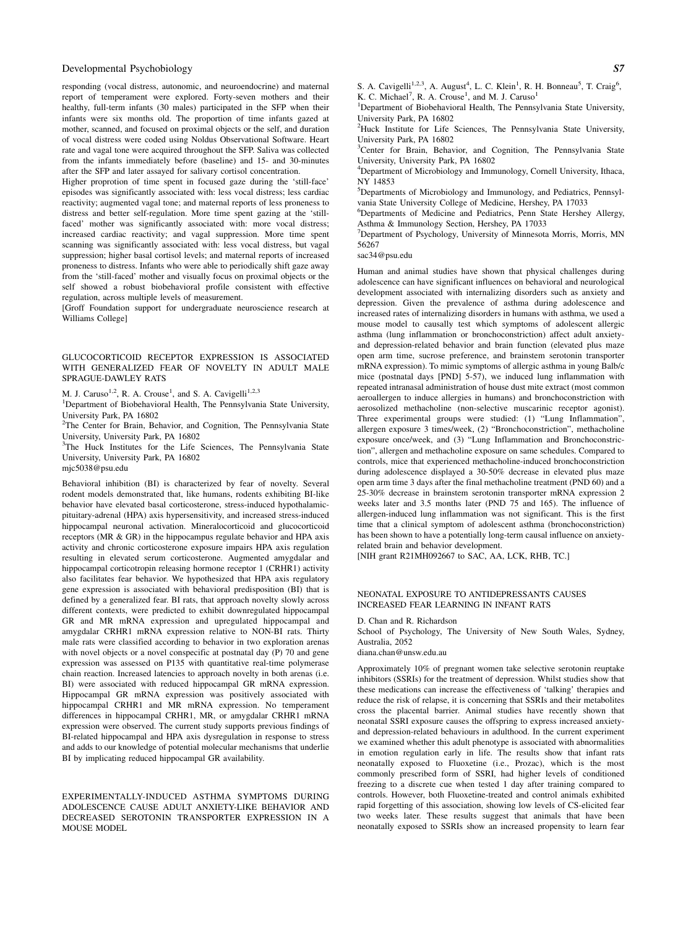responding (vocal distress, autonomic, and neuroendocrine) and maternal report of temperament were explored. Forty-seven mothers and their healthy, full-term infants (30 males) participated in the SFP when their infants were six months old. The proportion of time infants gazed at mother, scanned, and focused on proximal objects or the self, and duration of vocal distress were coded using Noldus Observational Software. Heart rate and vagal tone were acquired throughout the SFP. Saliva was collected from the infants immediately before (baseline) and 15- and 30-minutes after the SFP and later assayed for salivary cortisol concentration.

Higher proprotion of time spent in focused gaze during the 'still-face' episodes was significantly associated with: less vocal distress; less cardiac reactivity; augmented vagal tone; and maternal reports of less proneness to distress and better self-regulation. More time spent gazing at the 'stillfaced' mother was significantly associated with: more vocal distress; increased cardiac reactivity; and vagal suppression. More time spent scanning was significantly associated with: less vocal distress, but vagal suppression; higher basal cortisol levels; and maternal reports of increased proneness to distress. Infants who were able to periodically shift gaze away from the 'still-faced' mother and visually focus on proximal objects or the self showed a robust biobehavioral profile consistent with effective regulation, across multiple levels of measurement.

[Groff Foundation support for undergraduate neuroscience research at Williams College]

# GLUCOCORTICOID RECEPTOR EXPRESSION IS ASSOCIATED WITH GENERALIZED FEAR OF NOVELTY IN ADULT MALE SPRAGUE-DAWLEY RATS

M. J. Caruso<sup>1,2</sup>, R. A. Crouse<sup>1</sup>, and S. A. Cavigelli<sup>1,2,3</sup>

<sup>1</sup>Department of Biobehavioral Health, The Pennsylvania State University, University Park, PA 16802

<sup>2</sup>The Center for Brain, Behavior, and Cognition, The Pennsylvania State University, University Park, PA 16802

<sup>3</sup>The Huck Institutes for the Life Sciences, The Pennsylvania State University, University Park, PA 16802 mjc5038@psu.edu

Behavioral inhibition (BI) is characterized by fear of novelty. Several rodent models demonstrated that, like humans, rodents exhibiting BI-like behavior have elevated basal corticosterone, stress-induced hypothalamicpituitary-adrenal (HPA) axis hypersensitivity, and increased stress-induced hippocampal neuronal activation. Mineralocorticoid and glucocorticoid receptors (MR & GR) in the hippocampus regulate behavior and HPA axis activity and chronic corticosterone exposure impairs HPA axis regulation resulting in elevated serum corticosterone. Augmented amygdalar and

hippocampal corticotropin releasing hormone receptor 1 (CRHR1) activity also facilitates fear behavior. We hypothesized that HPA axis regulatory gene expression is associated with behavioral predisposition (BI) that is defined by a generalized fear. BI rats, that approach novelty slowly across different contexts, were predicted to exhibit downregulated hippocampal GR and MR mRNA expression and upregulated hippocampal and amygdalar CRHR1 mRNA expression relative to NON-BI rats. Thirty male rats were classified according to behavior in two exploration arenas with novel objects or a novel conspecific at postnatal day (P) 70 and gene expression was assessed on P135 with quantitative real-time polymerase chain reaction. Increased latencies to approach novelty in both arenas (i.e. BI) were associated with reduced hippocampal GR mRNA expression. Hippocampal GR mRNA expression was positively associated with hippocampal CRHR1 and MR mRNA expression. No temperament differences in hippocampal CRHR1, MR, or amygdalar CRHR1 mRNA expression were observed. The current study supports previous findings of BI-related hippocampal and HPA axis dysregulation in response to stress and adds to our knowledge of potential molecular mechanisms that underlie BI by implicating reduced hippocampal GR availability.

EXPERIMENTALLY-INDUCED ASTHMA SYMPTOMS DURING ADOLESCENCE CAUSE ADULT ANXIETY-LIKE BEHAVIOR AND DECREASED SEROTONIN TRANSPORTER EXPRESSION IN A MOUSE MODEL

S. A. Cavigelli<sup>1,2,3</sup>, A. August<sup>4</sup>, L. C. Klein<sup>1</sup>, R. H. Bonneau<sup>5</sup>, T. Craig<sup>6</sup>, K. C. Michael<sup>7</sup>, R. A. Crouse<sup>1</sup>, and M. J. Caruso<sup>1</sup>

<sup>1</sup>Department of Biobehavioral Health, The Pennsylvania State University, University Park, PA 16802

<sup>2</sup>Huck Institute for Life Sciences, The Pennsylvania State University, University Park, PA 16802

<sup>3</sup>Center for Brain, Behavior, and Cognition, The Pennsylvania State University, University Park, PA 16802

4 Department of Microbiology and Immunology, Cornell University, Ithaca, NY 14853

5 Departments of Microbiology and Immunology, and Pediatrics, Pennsylvania State University College of Medicine, Hershey, PA 17033

6 Departments of Medicine and Pediatrics, Penn State Hershey Allergy, Asthma & Immunology Section, Hershey, PA 17033

<sup>7</sup>Department of Psychology, University of Minnesota Morris, Morris, MN 56267

sac34@psu.edu

Human and animal studies have shown that physical challenges during adolescence can have significant influences on behavioral and neurological development associated with internalizing disorders such as anxiety and depression. Given the prevalence of asthma during adolescence and increased rates of internalizing disorders in humans with asthma, we used a mouse model to causally test which symptoms of adolescent allergic asthma (lung inflammation or bronchoconstriction) affect adult anxietyand depression-related behavior and brain function (elevated plus maze open arm time, sucrose preference, and brainstem serotonin transporter mRNA expression). To mimic symptoms of allergic asthma in young Balb/c mice (postnatal days [PND] 5-57), we induced lung inflammation with repeated intranasal administration of house dust mite extract (most common aeroallergen to induce allergies in humans) and bronchoconstriction with aerosolized methacholine (non-selective muscarinic receptor agonist). Three experimental groups were studied: (1) "Lung Inflammation", allergen exposure 3 times/week, (2) "Bronchoconstriction", methacholine exposure once/week, and (3) "Lung Inflammation and Bronchoconstriction", allergen and methacholine exposure on same schedules. Compared to controls, mice that experienced methacholine-induced bronchoconstriction during adolescence displayed a 30-50% decrease in elevated plus maze open arm time 3 days after the final methacholine treatment (PND 60) and a 25-30% decrease in brainstem serotonin transporter mRNA expression 2 weeks later and 3.5 months later (PND 75 and 165). The influence of allergen-induced lung inflammation was not significant. This is the first time that a clinical symptom of adolescent asthma (bronchoconstriction) has been shown to have a potentially long-term causal influence on anxietyrelated brain and behavior development.

[NIH grant R21MH092667 to SAC, AA, LCK, RHB, TC.]

#### NEONATAL EXPOSURE TO ANTIDEPRESSANTS CAUSES INCREASED FEAR LEARNING IN INFANT RATS

D. Chan and R. Richardson

School of Psychology, The University of New South Wales, Sydney, Australia, 2052

diana.chan@unsw.edu.au

Approximately 10% of pregnant women take selective serotonin reuptake inhibitors (SSRIs) for the treatment of depression. Whilst studies show that these medications can increase the effectiveness of 'talking' therapies and reduce the risk of relapse, it is concerning that SSRIs and their metabolites cross the placental barrier. Animal studies have recently shown that neonatal SSRI exposure causes the offspring to express increased anxietyand depression-related behaviours in adulthood. In the current experiment we examined whether this adult phenotype is associated with abnormalities in emotion regulation early in life. The results show that infant rats neonatally exposed to Fluoxetine (i.e., Prozac), which is the most commonly prescribed form of SSRI, had higher levels of conditioned freezing to a discrete cue when tested 1 day after training compared to controls. However, both Fluoxetine-treated and control animals exhibited rapid forgetting of this association, showing low levels of CS-elicited fear two weeks later. These results suggest that animals that have been neonatally exposed to SSRIs show an increased propensity to learn fear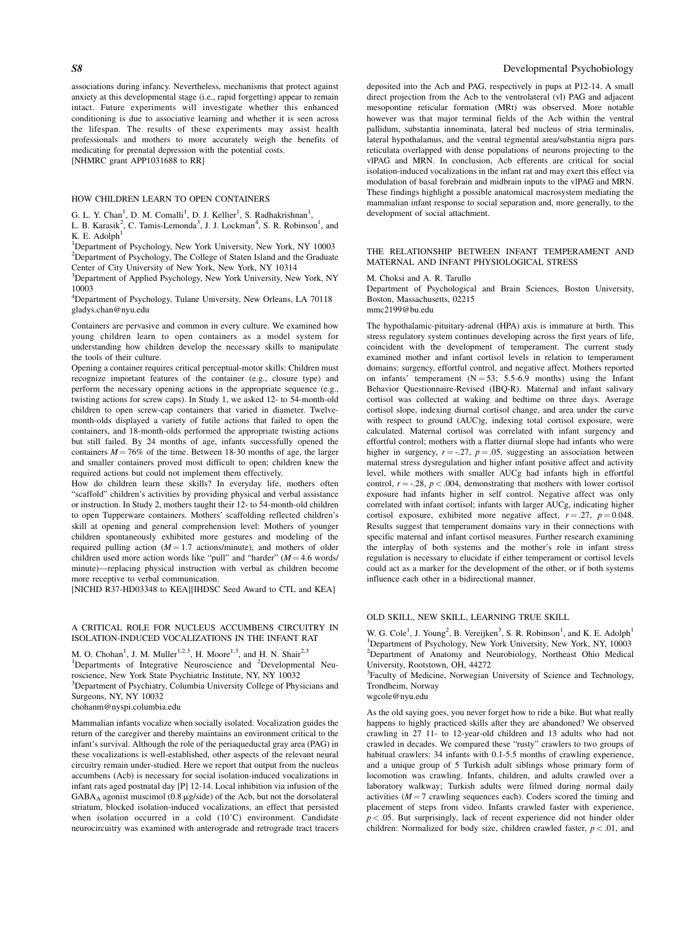associations during infancy. Nevertheless, mechanisms that protect against anxiety at this developmental stage (i.e., rapid forgetting) appear to remain intact. Future experiments will investigate whether this enhanced conditioning is due to associative learning and whether it is seen across the lifespan. The results of these experiments may assist health professionals and mothers to more accurately weigh the benefits of medicating for prenatal depression with the potential costs. [NHMRC grant APP1031688 to RR]

# HOW CHILDREN LEARN TO OPEN CONTAINERS

G. L. Y. Chan<sup>1</sup>, D. M. Comalli<sup>1</sup>, D. J. Kellier<sup>1</sup>, S. Radhakrishnan<sup>1</sup>,

L. B. Karasik<sup>2</sup>, C. Tamis-Lemonda<sup>3</sup>, J. J. Lockman<sup>4</sup>, S. R. Robinson<sup>1</sup>, and  $K$  E. Adolph<sup>1</sup>

<sup>1</sup>Department of Psychology, New York University, New York, NY 10003 <sup>2</sup>Department of Psychology, The College of Staten Island and the Graduate Center of City University of New York, New York, NY 10314

<sup>3</sup>Department of Applied Psychology, New York University, New York, NY 10003

4 Department of Psychology, Tulane University, New Orleans, LA 70118 gladys.chan@nyu.edu

Containers are pervasive and common in every culture. We examined how young children learn to open containers as a model system for understanding how children develop the necessary skills to manipulate the tools of their culture.

Opening a container requires critical perceptual-motor skills: Children must recognize important features of the container (e.g., closure type) and perform the necessary opening actions in the appropriate sequence (e.g., twisting actions for screw caps). In Study 1, we asked 12- to 54-month-old children to open screw-cap containers that varied in diameter. Twelvemonth-olds displayed a variety of futile actions that failed to open the containers, and 18-month-olds performed the appropriate twisting actions but still failed. By 24 months of age, infants successfully opened the containers  $M = 76\%$  of the time. Between 18-30 months of age, the larger and smaller containers proved most difficult to open; children knew the required actions but could not implement them effectively.

How do children learn these skills? In everyday life, mothers often "scaffold" children's activities by providing physical and verbal assistance or instruction. In Study 2, mothers taught their 12- to 54-month-old children to open Tupperware containers. Mothers' scaffolding reflected children's skill at opening and general comprehension level: Mothers of younger children spontaneously exhibited more gestures and modeling of the required pulling action  $(M = 1.7 \text{ actions/minute})$ , and mothers of older children used more action words like "pull" and "harder"  $(M = 4.6$  words/ minute)—replacing physical instruction with verbal as children become more receptive to verbal communication.

[NICHD R37-HD03348 to KEA][IHDSC Seed Award to CTL and KEA]

#### A CRITICAL ROLE FOR NUCLEUS ACCUMBENS CIRCUITRY IN ISOLATION-INDUCED VOCALIZATIONS IN THE INFANT RAT

M. O. Chohan<sup>1</sup>, J. M. Muller<sup>1,2,3</sup>, H. Moore<sup>1,3</sup>, and H. N. Shair<sup>2,3</sup>

<sup>1</sup>Departments of Integrative Neuroscience and <sup>2</sup>Developmental Neu-

roscience, New York State Psychiatric Institute, NY, NY 10032

<sup>3</sup>Department of Psychiatry, Columbia University College of Physicians and Surgeons, NY, NY 10032

chohanm@nyspi.columbia.edu

Mammalian infants vocalize when socially isolated. Vocalization guides the return of the caregiver and thereby maintains an environment critical to the infant's survival. Although the role of the periaqueductal gray area (PAG) in these vocalizations is well-established, other aspects of the relevant neural circuitry remain under-studied. Here we report that output from the nucleus accumbens (Acb) is necessary for social isolation-induced vocalizations in infant rats aged postnatal day [P] 12-14. Local inhibition via infusion of the  $GABA_A$  agonist muscimol (0.8  $\mu$ g/side) of the Acb, but not the dorsolateral striatum, blocked isolation-induced vocalizations, an effect that persisted when isolation occurred in a cold (10˚C) environment. Candidate neurocircuitry was examined with anterograde and retrograde tract tracers

### S8 Developmental Psychobiology

deposited into the Acb and PAG, respectively in pups at P12-14. A small direct projection from the Acb to the ventrolateral (vl) PAG and adjacent mesopontine reticular formation (MRt) was observed. More notable however was that major terminal fields of the Acb within the ventral pallidum, substantia innominata, lateral bed nucleus of stria terminalis, lateral hypothalamus, and the ventral tegmental area/substantia nigra pars reticulata overlapped with dense populations of neurons projecting to the vlPAG and MRN. In conclusion, Acb efferents are critical for social isolation-induced vocalizations in the infant rat and may exert this effect via modulation of basal forebrain and midbrain inputs to the vlPAG and MRN. These findings highlight a possible anatomical macrosystem mediating the mammalian infant response to social separation and, more generally, to the development of social attachment.

# THE RELATIONSHIP BETWEEN INFANT TEMPERAMENT AND MATERNAL AND INFANT PHYSIOLOGICAL STRESS

# M. Choksi and A. R. Tarullo

Department of Psychological and Brain Sciences, Boston University, Boston, Massachusetts, 02215

mmc2199@bu.edu

The hypothalamic-pituitary-adrenal (HPA) axis is immature at birth. This stress regulatory system continues developing across the first years of life, coincident with the development of temperament. The current study examined mother and infant cortisol levels in relation to temperament domains: surgency, effortful control, and negative affect. Mothers reported on infants' temperament  $(N = 53; 5.5-6.9$  months) using the Infant Behavior Questionnaire-Revised (IBQ-R). Maternal and infant salivary cortisol was collected at waking and bedtime on three days. Average cortisol slope, indexing diurnal cortisol change, and area under the curve with respect to ground (AUC)g, indexing total cortisol exposure, were calculated. Maternal cortisol was correlated with infant surgency and effortful control; mothers with a flatter diurnal slope had infants who were higher in surgency,  $r = -27$ ,  $p = .05$ , suggesting an association between maternal stress dysregulation and higher infant positive affect and activity level, while mothers with smaller AUCg had infants high in effortful control,  $r = -0.28$ ,  $p < 0.004$ , demonstrating that mothers with lower cortisol exposure had infants higher in self control. Negative affect was only correlated with infant cortisol; infants with larger AUCg, indicating higher cortisol exposure, exhibited more negative affect,  $r = .27$ ,  $p = 0.048$ . Results suggest that temperament domains vary in their connections with specific maternal and infant cortisol measures. Further research examining the interplay of both systems and the mother's role in infant stress regulation is necessary to elucidate if either temperament or cortisol levels could act as a marker for the development of the other, or if both systems influence each other in a bidirectional manner.

# OLD SKILL, NEW SKILL, LEARNING TRUE SKILL

W. G. Cole<sup>1</sup>, J. Young<sup>2</sup>, B. Vereijken<sup>3</sup>, S. R. Robinson<sup>1</sup>, and K. E. Adolph<sup>1</sup> <sup>1</sup>Department of Psychology, New York University, New York, NY, 10003 <sup>2</sup>Department of Anatomy and Neurobiology, Northeast Ohio Medical University, Rootstown, OH, 44272

<sup>3</sup>Faculty of Medicine, Norwegian University of Science and Technology, Trondheim, Norway

wgcole@nyu.edu

As the old saying goes, you never forget how to ride a bike. But what really happens to highly practiced skills after they are abandoned? We observed crawling in 27 11- to 12-year-old children and 13 adults who had not crawled in decades. We compared these "rusty" crawlers to two groups of habitual crawlers: 34 infants with 0.1-5.5 months of crawling experience, and a unique group of 5 Turkish adult siblings whose primary form of locomotion was crawling. Infants, children, and adults crawled over a laboratory walkway; Turkish adults were filmed during normal daily activities  $(M = 7 \text{ crawing sequences each})$ . Coders scored the timing and placement of steps from video. Infants crawled faster with experience,  $p < .05$ . But surprisingly, lack of recent experience did not hinder older children: Normalized for body size, children crawled faster,  $p < .01$ , and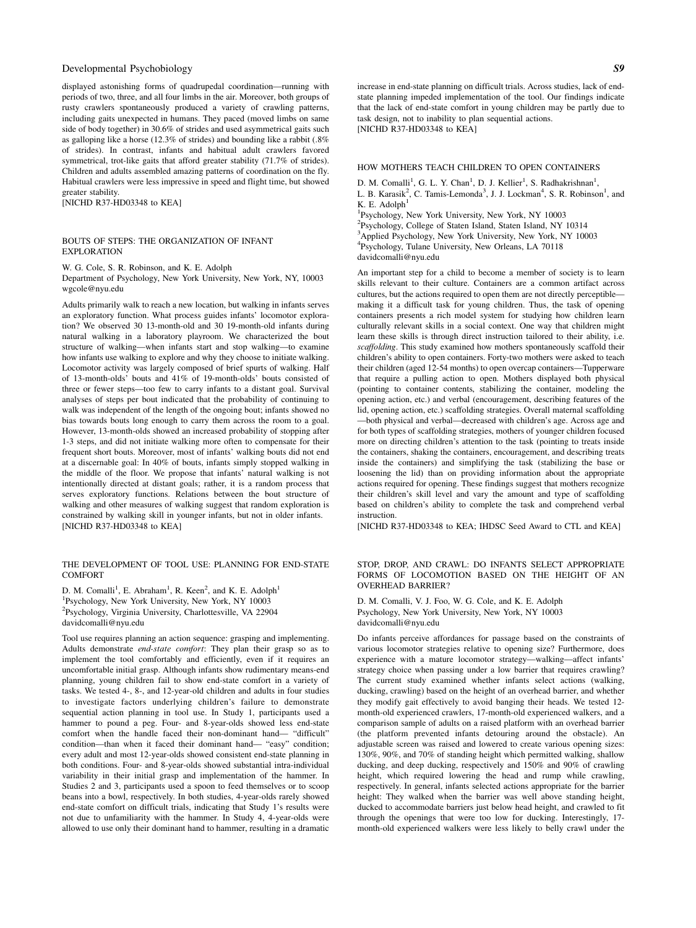displayed astonishing forms of quadrupedal coordination—running with periods of two, three, and all four limbs in the air. Moreover, both groups of rusty crawlers spontaneously produced a variety of crawling patterns, including gaits unexpected in humans. They paced (moved limbs on same side of body together) in 30.6% of strides and used asymmetrical gaits such as galloping like a horse (12.3% of strides) and bounding like a rabbit (.8% of strides). In contrast, infants and habitual adult crawlers favored symmetrical, trot-like gaits that afford greater stability (71.7% of strides). Children and adults assembled amazing patterns of coordination on the fly. Habitual crawlers were less impressive in speed and flight time, but showed greater stability.

[NICHD R37-HD03348 to KEA]

#### BOUTS OF STEPS: THE ORGANIZATION OF INFANT EXPLORATION

W. G. Cole, S. R. Robinson, and K. E. Adolph

Department of Psychology, New York University, New York, NY, 10003 wgcole@nyu.edu

Adults primarily walk to reach a new location, but walking in infants serves an exploratory function. What process guides infants' locomotor exploration? We observed 30 13-month-old and 30 19-month-old infants during natural walking in a laboratory playroom. We characterized the bout structure of walking—when infants start and stop walking—to examine how infants use walking to explore and why they choose to initiate walking. Locomotor activity was largely composed of brief spurts of walking. Half of 13-month-olds' bouts and 41% of 19-month-olds' bouts consisted of three or fewer steps—too few to carry infants to a distant goal. Survival analyses of steps per bout indicated that the probability of continuing to walk was independent of the length of the ongoing bout; infants showed no bias towards bouts long enough to carry them across the room to a goal. However, 13-month-olds showed an increased probability of stopping after 1-3 steps, and did not initiate walking more often to compensate for their frequent short bouts. Moreover, most of infants' walking bouts did not end at a discernable goal: In 40% of bouts, infants simply stopped walking in the middle of the floor. We propose that infants' natural walking is not intentionally directed at distant goals; rather, it is a random process that serves exploratory functions. Relations between the bout structure of walking and other measures of walking suggest that random exploration is constrained by walking skill in younger infants, but not in older infants. [NICHD R37-HD03348 to KEA]

# THE DEVELOPMENT OF TOOL USE: PLANNING FOR END-STATE **COMFORT**

D. M. Comalli<sup>1</sup>, E. Abraham<sup>1</sup>, R. Keen<sup>2</sup>, and K. E. Adolph<sup>1</sup> <sup>1</sup>Psychology, New York University, New York, NY 10003 2 Psychology, Virginia University, Charlottesville, VA 22904 davidcomalli@nyu.edu

Tool use requires planning an action sequence: grasping and implementing. Adults demonstrate end-state comfort: They plan their grasp so as to implement the tool comfortably and efficiently, even if it requires an uncomfortable initial grasp. Although infants show rudimentary means-end planning, young children fail to show end-state comfort in a variety of tasks. We tested 4-, 8-, and 12-year-old children and adults in four studies to investigate factors underlying children's failure to demonstrate sequential action planning in tool use. In Study 1, participants used a hammer to pound a peg. Four- and 8-year-olds showed less end-state comfort when the handle faced their non-dominant hand— "difficult" condition—than when it faced their dominant hand— "easy" condition; every adult and most 12-year-olds showed consistent end-state planning in both conditions. Four- and 8-year-olds showed substantial intra-individual variability in their initial grasp and implementation of the hammer. In Studies 2 and 3, participants used a spoon to feed themselves or to scoop beans into a bowl, respectively. In both studies, 4-year-olds rarely showed end-state comfort on difficult trials, indicating that Study 1's results were not due to unfamiliarity with the hammer. In Study 4, 4-year-olds were allowed to use only their dominant hand to hammer, resulting in a dramatic increase in end-state planning on difficult trials. Across studies, lack of endstate planning impeded implementation of the tool. Our findings indicate that the lack of end-state comfort in young children may be partly due to task design, not to inability to plan sequential actions. [NICHD R37-HD03348 to KEA]

# HOW MOTHERS TEACH CHILDREN TO OPEN CONTAINERS

D. M. Comalli<sup>1</sup>, G. L. Y. Chan<sup>1</sup>, D. J. Kellier<sup>1</sup>, S. Radhakrishnan<sup>1</sup>,

L. B. Karasik<sup>2</sup>, C. Tamis-Lemonda<sup>3</sup>, J. J. Lockman<sup>4</sup>, S. R. Robinson<sup>1</sup>, and K. E. Adolph<sup>1</sup>

1 Psychology, New York University, New York, NY 10003

<sup>2</sup>Psychology, College of Staten Island, Staten Island, NY 10314 <sup>3</sup>Applied Psychology, New York University, New York, NY 10003 4 Psychology, Tulane University, New Orleans, LA 70118 davidcomalli@nyu.edu

An important step for a child to become a member of society is to learn skills relevant to their culture. Containers are a common artifact across cultures, but the actions required to open them are not directly perceptible making it a difficult task for young children. Thus, the task of opening containers presents a rich model system for studying how children learn culturally relevant skills in a social context. One way that children might learn these skills is through direct instruction tailored to their ability, i.e. scaffolding. This study examined how mothers spontaneously scaffold their children's ability to open containers. Forty-two mothers were asked to teach their children (aged 12-54 months) to open overcap containers—Tupperware that require a pulling action to open. Mothers displayed both physical (pointing to container contents, stabilizing the container, modeling the opening action, etc.) and verbal (encouragement, describing features of the lid, opening action, etc.) scaffolding strategies. Overall maternal scaffolding —both physical and verbal—decreased with children's age. Across age and for both types of scaffolding strategies, mothers of younger children focused more on directing children's attention to the task (pointing to treats inside the containers, shaking the containers, encouragement, and describing treats inside the containers) and simplifying the task (stabilizing the base or loosening the lid) than on providing information about the appropriate actions required for opening. These findings suggest that mothers recognize their children's skill level and vary the amount and type of scaffolding based on children's ability to complete the task and comprehend verbal instruction.

[NICHD R37-HD03348 to KEA; IHDSC Seed Award to CTL and KEA]

#### STOP, DROP, AND CRAWL: DO INFANTS SELECT APPROPRIATE FORMS OF LOCOMOTION BASED ON THE HEIGHT OF AN OVERHEAD BARRIER?

D. M. Comalli, V. J. Foo, W. G. Cole, and K. E. Adolph Psychology, New York University, New York, NY 10003 davidcomalli@nyu.edu

Do infants perceive affordances for passage based on the constraints of various locomotor strategies relative to opening size? Furthermore, does experience with a mature locomotor strategy—walking—affect infants' strategy choice when passing under a low barrier that requires crawling? The current study examined whether infants select actions (walking, ducking, crawling) based on the height of an overhead barrier, and whether they modify gait effectively to avoid banging their heads. We tested 12 month-old experienced crawlers, 17-month-old experienced walkers, and a comparison sample of adults on a raised platform with an overhead barrier (the platform prevented infants detouring around the obstacle). An adjustable screen was raised and lowered to create various opening sizes: 130%, 90%, and 70% of standing height which permitted walking, shallow ducking, and deep ducking, respectively and 150% and 90% of crawling height, which required lowering the head and rump while crawling, respectively. In general, infants selected actions appropriate for the barrier height: They walked when the barrier was well above standing height, ducked to accommodate barriers just below head height, and crawled to fit through the openings that were too low for ducking. Interestingly, 17 month-old experienced walkers were less likely to belly crawl under the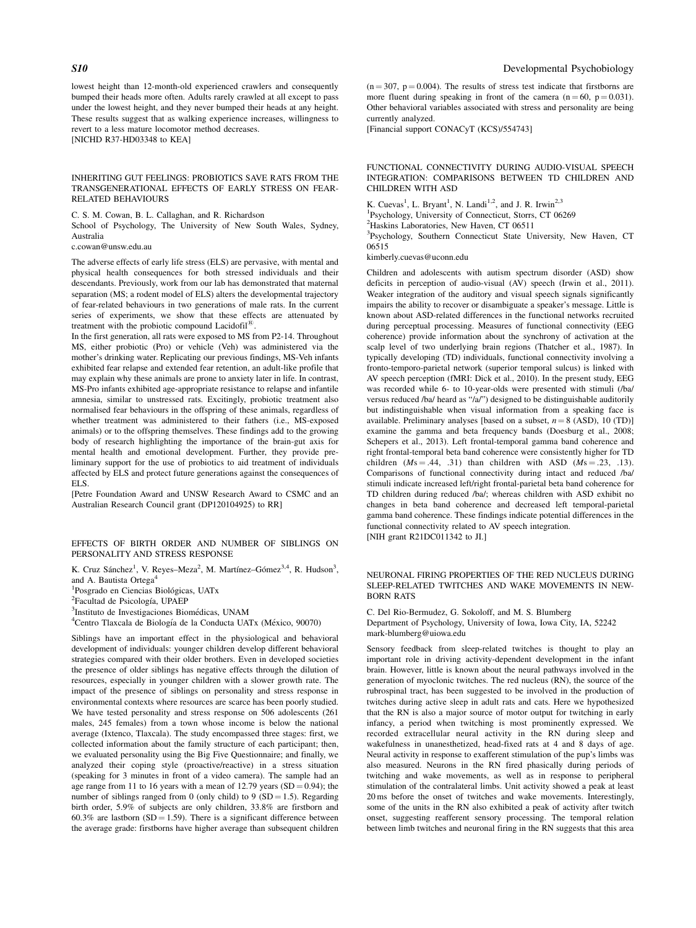lowest height than 12-month-old experienced crawlers and consequently bumped their heads more often. Adults rarely crawled at all except to pass under the lowest height, and they never bumped their heads at any height. These results suggest that as walking experience increases, willingness to revert to a less mature locomotor method decreases.

[NICHD R37-HD03348 to KEA]

#### INHERITING GUT FEELINGS: PROBIOTICS SAVE RATS FROM THE TRANSGENERATIONAL EFFECTS OF EARLY STRESS ON FEAR-RELATED BEHAVIOURS

C. S. M. Cowan, B. L. Callaghan, and R. Richardson

School of Psychology, The University of New South Wales, Sydney, Australia

c.cowan@unsw.edu.au

The adverse effects of early life stress (ELS) are pervasive, with mental and physical health consequences for both stressed individuals and their descendants. Previously, work from our lab has demonstrated that maternal separation (MS; a rodent model of ELS) alters the developmental trajectory of fear-related behaviours in two generations of male rats. In the current series of experiments, we show that these effects are attenuated by treatment with the probiotic compound Lacidofil<sup>®</sup>.

In the first generation, all rats were exposed to MS from P2-14. Throughout MS, either probiotic (Pro) or vehicle (Veh) was administered via the mother's drinking water. Replicating our previous findings, MS-Veh infants exhibited fear relapse and extended fear retention, an adult-like profile that may explain why these animals are prone to anxiety later in life. In contrast, MS-Pro infants exhibited age-appropriate resistance to relapse and infantile amnesia, similar to unstressed rats. Excitingly, probiotic treatment also normalised fear behaviours in the offspring of these animals, regardless of whether treatment was administered to their fathers (i.e., MS-exposed animals) or to the offspring themselves. These findings add to the growing body of research highlighting the importance of the brain-gut axis for mental health and emotional development. Further, they provide preliminary support for the use of probiotics to aid treatment of individuals affected by ELS and protect future generations against the consequences of ELS.

[Petre Foundation Award and UNSW Research Award to CSMC and an Australian Research Council grant (DP120104925) to RR]

### EFFECTS OF BIRTH ORDER AND NUMBER OF SIBLINGS ON PERSONALITY AND STRESS RESPONSE

K. Cruz Sánchez<sup>1</sup>, V. Reyes-Meza<sup>2</sup>, M. Martínez-Gómez<sup>3,4</sup>, R. Hudson<sup>3</sup>, and A. Bautista Ortega<sup>4</sup>

<sup>1</sup>Posgrado en Ciencias Biológicas, UATx<br><sup>2</sup>Focultad de Psicología, UPA EP

<sup>2</sup>Facultad de Psicología, UPAEP

<sup>3</sup>Instituto de Investigaciones Biomédicas, UNAM

 ${}^{4}$ Centro Tlaxcala de Biología de la Conducta UATx (México, 90070)

Siblings have an important effect in the physiological and behavioral development of individuals: younger children develop different behavioral strategies compared with their older brothers. Even in developed societies the presence of older siblings has negative effects through the dilution of resources, especially in younger children with a slower growth rate. The impact of the presence of siblings on personality and stress response in environmental contexts where resources are scarce has been poorly studied. We have tested personality and stress response on 506 adolescents (261 males, 245 females) from a town whose income is below the national average (Ixtenco, Tlaxcala). The study encompassed three stages: first, we collected information about the family structure of each participant; then, we evaluated personality using the Big Five Questionnaire; and finally, we analyzed their coping style (proactive/reactive) in a stress situation (speaking for 3 minutes in front of a video camera). The sample had an age range from 11 to 16 years with a mean of 12.79 years  $(SD = 0.94)$ ; the number of siblings ranged from 0 (only child) to 9 (SD = 1.5). Regarding birth order, 5.9% of subjects are only children, 33.8% are firstborn and 60.3% are lastborn (SD = 1.59). There is a significant difference between the average grade: firstborns have higher average than subsequent children

 $(n = 307, p = 0.004)$ . The results of stress test indicate that firstborns are more fluent during speaking in front of the camera  $(n = 60, p = 0.031)$ . Other behavioral variables associated with stress and personality are being currently analyzed.

[Financial support CONACyT (KCS)/554743]

# FUNCTIONAL CONNECTIVITY DURING AUDIO-VISUAL SPEECH INTEGRATION: COMPARISONS BETWEEN TD CHILDREN AND CHILDREN WITH ASD

K. Cuevas<sup>1</sup>, L. Bryant<sup>1</sup>, N. Landi<sup>1,2</sup>, and J. R. Irwin<sup>2,3</sup> 1 Psychology, University of Connecticut, Storrs, CT 06269 <sup>2</sup>Haskins Laboratories, New Haven, CT 06511 <sup>3</sup>Psychology, Southern Connecticut State University, New Haven, CT 06515

kimberly.cuevas@uconn.edu

Children and adolescents with autism spectrum disorder (ASD) show deficits in perception of audio-visual (AV) speech (Irwin et al., 2011). Weaker integration of the auditory and visual speech signals significantly impairs the ability to recover or disambiguate a speaker's message. Little is known about ASD-related differences in the functional networks recruited during perceptual processing. Measures of functional connectivity (EEG coherence) provide information about the synchrony of activation at the scalp level of two underlying brain regions (Thatcher et al., 1987). In typically developing (TD) individuals, functional connectivity involving a fronto-temporo-parietal network (superior temporal sulcus) is linked with AV speech perception (fMRI: Dick et al., 2010). In the present study, EEG was recorded while 6- to 10-year-olds were presented with stimuli (/ba/ versus reduced /ba/ heard as "/a/") designed to be distinguishable auditorily but indistinguishable when visual information from a speaking face is available. Preliminary analyses [based on a subset,  $n = 8$  (ASD), 10 (TD)] examine the gamma and beta frequency bands (Doesburg et al., 2008; Schepers et al., 2013). Left frontal-temporal gamma band coherence and right frontal-temporal beta band coherence were consistently higher for TD children  $(Ms = .44, .31)$  than children with ASD  $(Ms = .23, .13)$ . Comparisons of functional connectivity during intact and reduced /ba/ stimuli indicate increased left/right frontal-parietal beta band coherence for TD children during reduced /ba/; whereas children with ASD exhibit no changes in beta band coherence and decreased left temporal-parietal gamma band coherence. These findings indicate potential differences in the functional connectivity related to AV speech integration. [NIH grant R21DC011342 to JI.]

#### NEURONAL FIRING PROPERTIES OF THE RED NUCLEUS DURING SLEEP-RELATED TWITCHES AND WAKE MOVEMENTS IN NEW-BORN RATS

C. Del Rio-Bermudez, G. Sokoloff, and M. S. Blumberg Department of Psychology, University of Iowa, Iowa City, IA, 52242 mark-blumberg@uiowa.edu

Sensory feedback from sleep-related twitches is thought to play an important role in driving activity-dependent development in the infant brain. However, little is known about the neural pathways involved in the generation of myoclonic twitches. The red nucleus (RN), the source of the rubrospinal tract, has been suggested to be involved in the production of twitches during active sleep in adult rats and cats. Here we hypothesized that the RN is also a major source of motor output for twitching in early infancy, a period when twitching is most prominently expressed. We recorded extracellular neural activity in the RN during sleep and wakefulness in unanesthetized, head-fixed rats at 4 and 8 days of age. Neural activity in response to exafferent stimulation of the pup's limbs was also measured. Neurons in the RN fired phasically during periods of twitching and wake movements, as well as in response to peripheral stimulation of the contralateral limbs. Unit activity showed a peak at least 20 ms before the onset of twitches and wake movements. Interestingly, some of the units in the RN also exhibited a peak of activity after twitch onset, suggesting reafferent sensory processing. The temporal relation between limb twitches and neuronal firing in the RN suggests that this area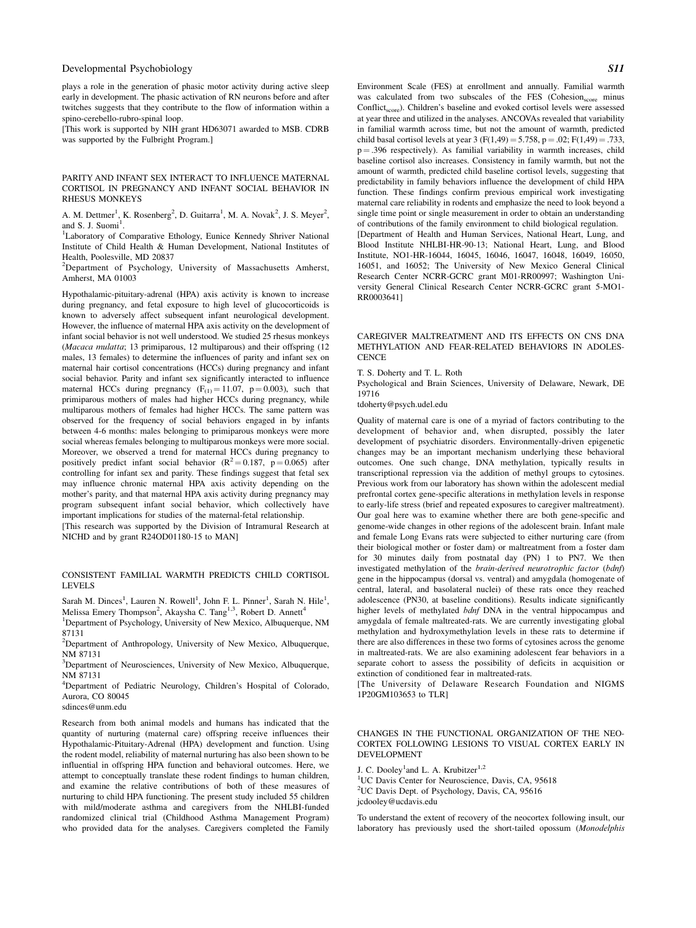plays a role in the generation of phasic motor activity during active sleep early in development. The phasic activation of RN neurons before and after twitches suggests that they contribute to the flow of information within a spino-cerebello-rubro-spinal loop.

[This work is supported by NIH grant HD63071 awarded to MSB. CDRB was supported by the Fulbright Program.]

#### PARITY AND INFANT SEX INTERACT TO INFLUENCE MATERNAL CORTISOL IN PREGNANCY AND INFANT SOCIAL BEHAVIOR IN RHESUS MONKEYS

A. M. Dettmer<sup>1</sup>, K. Rosenberg<sup>2</sup>, D. Guitarra<sup>1</sup>, M. A. Novak<sup>2</sup>, J. S. Meyer<sup>2</sup>, and S. J. Suomi<sup>1</sup>.<br><sup>1</sup>L aboratory, of C

<sup>1</sup>Laboratory of Comparative Ethology, Eunice Kennedy Shriver National Institute of Child Health & Human Development, National Institutes of Health, Poolesville, MD 20837

<sup>2</sup>Department of Psychology, University of Massachusetts Amherst, Amherst, MA 01003

Hypothalamic-pituitary-adrenal (HPA) axis activity is known to increase during pregnancy, and fetal exposure to high level of glucocorticoids is known to adversely affect subsequent infant neurological development. However, the influence of maternal HPA axis activity on the development of infant social behavior is not well understood. We studied 25 rhesus monkeys (Macaca mulatta; 13 primiparous, 12 multiparous) and their offspring (12 males, 13 females) to determine the influences of parity and infant sex on maternal hair cortisol concentrations (HCCs) during pregnancy and infant social behavior. Parity and infant sex significantly interacted to influence maternal HCCs during pregnancy  $(F_{(1)} = 11.07, p = 0.003)$ , such that primiparous mothers of males had higher HCCs during pregnancy, while multiparous mothers of females had higher HCCs. The same pattern was observed for the frequency of social behaviors engaged in by infants between 4-6 months: males belonging to primiparous monkeys were more social whereas females belonging to multiparous monkeys were more social. Moreover, we observed a trend for maternal HCCs during pregnancy to positively predict infant social behavior  $(R^2 = 0.187, p = 0.065)$  after controlling for infant sex and parity. These findings suggest that fetal sex may influence chronic maternal HPA axis activity depending on the mother's parity, and that maternal HPA axis activity during pregnancy may program subsequent infant social behavior, which collectively have important implications for studies of the maternal-fetal relationship. [This research was supported by the Division of Intramural Research at

NICHD and by grant R24OD01180-15 to MAN]

#### CONSISTENT FAMILIAL WARMTH PREDICTS CHILD CORTISOL LEVELS

Sarah M. Dinces<sup>1</sup>, Lauren N. Rowell<sup>1</sup>, John F. L. Pinner<sup>1</sup>, Sarah N. Hile<sup>1</sup>,<br>Melissa Emery Thompson<sup>2</sup>, Akaysha C. Tang<sup>1,3</sup>, Robert D. Annett<sup>4</sup>

<sup>1</sup>Department of Psychology, University of New Mexico, Albuquerque, NM 87131

<sup>2</sup>Department of Anthropology, University of New Mexico, Albuquerque, NM 87131

<sup>3</sup>Department of Neurosciences, University of New Mexico, Albuquerque, NM 87131

<sup>4</sup>Department of Pediatric Neurology, Children's Hospital of Colorado, Aurora, CO 80045

sdinces@unm.edu

Research from both animal models and humans has indicated that the quantity of nurturing (maternal care) offspring receive influences their Hypothalamic-Pituitary-Adrenal (HPA) development and function. Using the rodent model, reliability of maternal nurturing has also been shown to be influential in offspring HPA function and behavioral outcomes. Here, we attempt to conceptually translate these rodent findings to human children, and examine the relative contributions of both of these measures of nurturing to child HPA functioning. The present study included 55 children with mild/moderate asthma and caregivers from the NHLBI-funded randomized clinical trial (Childhood Asthma Management Program) who provided data for the analyses. Caregivers completed the Family

Environment Scale (FES) at enrollment and annually. Familial warmth was calculated from two subscales of the FES (Cohesion<sub>score</sub> minus Conflict<sub>score</sub>). Children's baseline and evoked cortisol levels were assessed at year three and utilized in the analyses. ANCOVAs revealed that variability in familial warmth across time, but not the amount of warmth, predicted child basal cortisol levels at year 3 (F(1,49) = 5.758, p = .02; F(1,49) = .733,  $p = .396$  respectively). As familial variability in warmth increases, child baseline cortisol also increases. Consistency in family warmth, but not the amount of warmth, predicted child baseline cortisol levels, suggesting that predictability in family behaviors influence the development of child HPA function. These findings confirm previous empirical work investigating maternal care reliability in rodents and emphasize the need to look beyond a single time point or single measurement in order to obtain an understanding of contributions of the family environment to child biological regulation. [Department of Health and Human Services, National Heart, Lung, and Blood Institute NHLBI-HR-90-13; National Heart, Lung, and Blood Institute, NO1-HR-16044, 16045, 16046, 16047, 16048, 16049, 16050, 16051, and 16052; The University of New Mexico General Clinical Research Center NCRR-GCRC grant M01-RR00997; Washington University General Clinical Research Center NCRR-GCRC grant 5-MO1- RR0003641]

CAREGIVER MALTREATMENT AND ITS EFFECTS ON CNS DNA METHYLATION AND FEAR-RELATED BEHAVIORS IN ADOLES-**CENCE** 

T. S. Doherty and T. L. Roth

Psychological and Brain Sciences, University of Delaware, Newark, DE 19716

tdoherty@psych.udel.edu

Quality of maternal care is one of a myriad of factors contributing to the development of behavior and, when disrupted, possibly the later development of psychiatric disorders. Environmentally-driven epigenetic changes may be an important mechanism underlying these behavioral outcomes. One such change, DNA methylation, typically results in transcriptional repression via the addition of methyl groups to cytosines. Previous work from our laboratory has shown within the adolescent medial prefrontal cortex gene-specific alterations in methylation levels in response to early-life stress (brief and repeated exposures to caregiver maltreatment). Our goal here was to examine whether there are both gene-specific and genome-wide changes in other regions of the adolescent brain. Infant male and female Long Evans rats were subjected to either nurturing care (from their biological mother or foster dam) or maltreatment from a foster dam for 30 minutes daily from postnatal day (PN) 1 to PN7. We then investigated methylation of the brain-derived neurotrophic factor (bdnf) gene in the hippocampus (dorsal vs. ventral) and amygdala (homogenate of central, lateral, and basolateral nuclei) of these rats once they reached adolescence (PN30, at baseline conditions). Results indicate significantly higher levels of methylated bdnf DNA in the ventral hippocampus and amygdala of female maltreated-rats. We are currently investigating global methylation and hydroxymethylation levels in these rats to determine if there are also differences in these two forms of cytosines across the genome in maltreated-rats. We are also examining adolescent fear behaviors in a separate cohort to assess the possibility of deficits in acquisition or extinction of conditioned fear in maltreated-rats.

[The University of Delaware Research Foundation and NIGMS 1P20GM103653 to TLR]

# CHANGES IN THE FUNCTIONAL ORGANIZATION OF THE NEO-CORTEX FOLLOWING LESIONS TO VISUAL CORTEX EARLY IN DEVELOPMENT

J. C. Dooley<sup>1</sup> and L. A. Krubitzer<sup>1,2</sup>

<sup>1</sup>UC Davis Center for Neuroscience, Davis, CA, 95618 <sup>2</sup>UC Davis Dept. of Psychology, Davis, CA, 95616 jcdooley@ucdavis.edu

To understand the extent of recovery of the neocortex following insult, our laboratory has previously used the short-tailed opossum (Monodelphis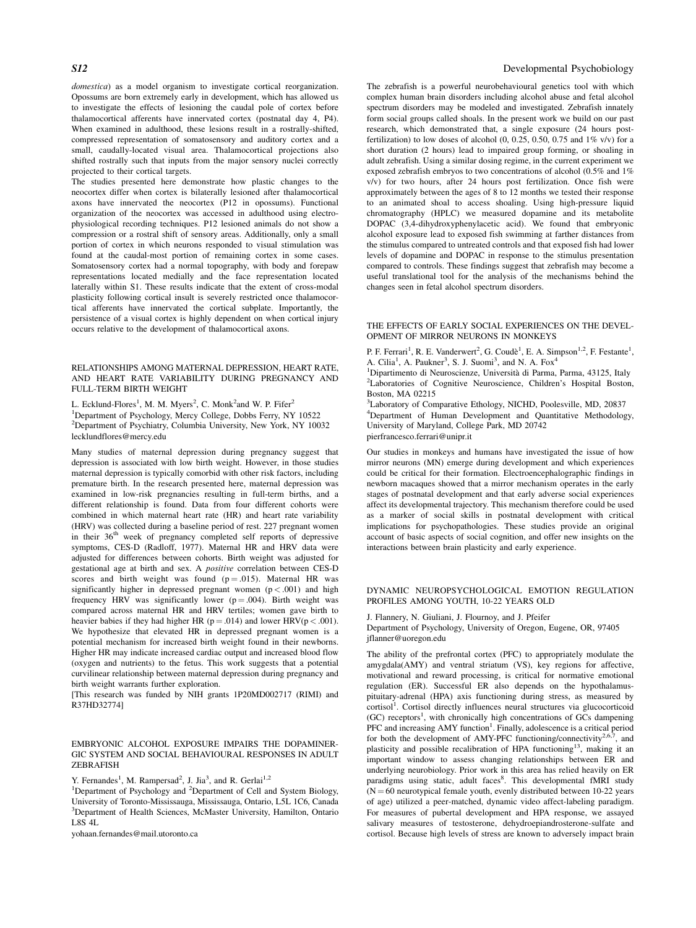domestica) as a model organism to investigate cortical reorganization. Opossums are born extremely early in development, which has allowed us to investigate the effects of lesioning the caudal pole of cortex before thalamocortical afferents have innervated cortex (postnatal day 4, P4). When examined in adulthood, these lesions result in a rostrally-shifted, compressed representation of somatosensory and auditory cortex and a small, caudally-located visual area. Thalamocortical projections also shifted rostrally such that inputs from the major sensory nuclei correctly projected to their cortical targets.

The studies presented here demonstrate how plastic changes to the neocortex differ when cortex is bilaterally lesioned after thalamocortical axons have innervated the neocortex (P12 in opossums). Functional organization of the neocortex was accessed in adulthood using electrophysiological recording techniques. P12 lesioned animals do not show a compression or a rostral shift of sensory areas. Additionally, only a small portion of cortex in which neurons responded to visual stimulation was found at the caudal-most portion of remaining cortex in some cases. Somatosensory cortex had a normal topography, with body and forepaw representations located medially and the face representation located laterally within S1. These results indicate that the extent of cross-modal plasticity following cortical insult is severely restricted once thalamocortical afferents have innervated the cortical subplate. Importantly, the persistence of a visual cortex is highly dependent on when cortical injury occurs relative to the development of thalamocortical axons.

RELATIONSHIPS AMONG MATERNAL DEPRESSION, HEART RATE, AND HEART RATE VARIABILITY DURING PREGNANCY AND FULL-TERM BIRTH WEIGHT

L. Ecklund-Flores<sup>1</sup>, M. M. Myers<sup>2</sup>, C. Monk<sup>2</sup>and W. P. Fifer<sup>2</sup> <sup>1</sup>Department of Psychology, Mercy College, Dobbs Ferry, NY 10522 2 Department of Psychiatry, Columbia University, New York, NY 10032 lecklundflores@mercy.edu

Many studies of maternal depression during pregnancy suggest that depression is associated with low birth weight. However, in those studies maternal depression is typically comorbid with other risk factors, including premature birth. In the research presented here, maternal depression was examined in low-risk pregnancies resulting in full-term births, and a different relationship is found. Data from four different cohorts were combined in which maternal heart rate (HR) and heart rate variability (HRV) was collected during a baseline period of rest. 227 pregnant women in their 36<sup>th</sup> week of pregnancy completed self reports of depressive symptoms, CES-D (Radloff, 1977). Maternal HR and HRV data were adjusted for differences between cohorts. Birth weight was adjusted for gestational age at birth and sex. A *positive* correlation between CES-D scores and birth weight was found  $(p = .015)$ . Maternal HR was significantly higher in depressed pregnant women  $(p < .001)$  and high frequency HRV was significantly lower ( $p = .004$ ). Birth weight was compared across maternal HR and HRV tertiles; women gave birth to heavier babies if they had higher HR ( $p = .014$ ) and lower HRV( $p < .001$ ). We hypothesize that elevated HR in depressed pregnant women is a potential mechanism for increased birth weight found in their newborns. Higher HR may indicate increased cardiac output and increased blood flow (oxygen and nutrients) to the fetus. This work suggests that a potential curvilinear relationship between maternal depression during pregnancy and birth weight warrants further exploration.

[This research was funded by NIH grants 1P20MD002717 (RIMI) and R37HD32774]

# EMBRYONIC ALCOHOL EXPOSURE IMPAIRS THE DOPAMINER-GIC SYSTEM AND SOCIAL BEHAVIOURAL RESPONSES IN ADULT ZEBRAFISH

Y. Fernandes<sup>1</sup>, M. Rampersad<sup>2</sup>, J. Jia<sup>3</sup>, and R. Gerlai<sup>1,2</sup>

yohaan.fernandes@mail.utoronto.ca

# S12 Developmental Psychobiology

The zebrafish is a powerful neurobehavioural genetics tool with which complex human brain disorders including alcohol abuse and fetal alcohol spectrum disorders may be modeled and investigated. Zebrafish innately form social groups called shoals. In the present work we build on our past research, which demonstrated that, a single exposure (24 hours postfertilization) to low doses of alcohol  $(0, 0.25, 0.50, 0.75, 0.4\,1\%$  v/v) for a short duration (2 hours) lead to impaired group forming, or shoaling in adult zebrafish. Using a similar dosing regime, in the current experiment we exposed zebrafish embryos to two concentrations of alcohol (0.5% and 1% v/v) for two hours, after 24 hours post fertilization. Once fish were approximately between the ages of 8 to 12 months we tested their response to an animated shoal to access shoaling. Using high-pressure liquid chromatography (HPLC) we measured dopamine and its metabolite DOPAC (3,4-dihydroxyphenylacetic acid). We found that embryonic alcohol exposure lead to exposed fish swimming at farther distances from the stimulus compared to untreated controls and that exposed fish had lower levels of dopamine and DOPAC in response to the stimulus presentation compared to controls. These findings suggest that zebrafish may become a useful translational tool for the analysis of the mechanisms behind the changes seen in fetal alcohol spectrum disorders.

#### THE EFFECTS OF EARLY SOCIAL EXPERIENCES ON THE DEVEL-OPMENT OF MIRROR NEURONS IN MONKEYS

P. F. Ferrari<sup>1</sup>, R. E. Vanderwert<sup>2</sup>, G. Coudè<sup>1</sup>, E. A. Simpson<sup>1,2</sup>, F. Festante<sup>1</sup>, A. Cilia<sup>1</sup>, A. Paukner<sup>3</sup>, S. J. Suomi<sup>3</sup>, and N. A. Fox<sup>4</sup>

<sup>1</sup>Dipartimento di Neuroscienze, Università di Parma, Parma, 43125, Italy <sup>2</sup>Leheratories, of Cognitius Neuroscience, Children's Hospital, Boston <sup>2</sup>Laboratories of Cognitive Neuroscience, Children's Hospital Boston, Boston, MA 02215

<sup>3</sup>Laboratory of Comparative Ethology, NICHD, Poolesville, MD, 20837 <sup>4</sup>Department of Human Development and Quantitative Methodology, University of Maryland, College Park, MD 20742 pierfrancesco.ferrari@unipr.it

Our studies in monkeys and humans have investigated the issue of how mirror neurons (MN) emerge during development and which experiences could be critical for their formation. Electroencephalographic findings in newborn macaques showed that a mirror mechanism operates in the early stages of postnatal development and that early adverse social experiences affect its developmental trajectory. This mechanism therefore could be used as a marker of social skills in postnatal development with critical implications for psychopathologies. These studies provide an original account of basic aspects of social cognition, and offer new insights on the interactions between brain plasticity and early experience.

# DYNAMIC NEUROPSYCHOLOGICAL EMOTION REGULATION PROFILES AMONG YOUTH, 10-22 YEARS OLD

J. Flannery, N. Giuliani, J. Flournoy, and J. Pfeifer Department of Psychology, University of Oregon, Eugene, OR, 97405 jflanner@uoregon.edu

The ability of the prefrontal cortex (PFC) to appropriately modulate the amygdala(AMY) and ventral striatum (VS), key regions for affective, motivational and reward processing, is critical for normative emotional regulation (ER). Successful ER also depends on the hypothalamuspituitary-adrenal (HPA) axis functioning during stress, as measured by cortisol<sup>1</sup>. Cortisol directly influences neural structures via glucocorticoid (GC) receptors<sup>1</sup>, with chronically high concentrations of GCs dampening PFC and increasing AMY function<sup>1</sup>. Finally, adolescence is a critical period for both the development of AMY-PFC functioning/connectivity<sup>2,6,7</sup>, and plasticity and possible recalibration of HPA functioning<sup>13</sup>, making it an important window to assess changing relationships between ER and underlying neurobiology. Prior work in this area has relied heavily on ER paradigms using static, adult faces<sup>8</sup>. This developmental fMRI study  $(N = 60$  neurotypical female youth, evenly distributed between 10-22 years of age) utilized a peer-matched, dynamic video affect-labeling paradigm. For measures of pubertal development and HPA response, we assayed salivary measures of testosterone, dehydroepiandrosterone-sulfate and cortisol. Because high levels of stress are known to adversely impact brain

<sup>&</sup>lt;sup>1</sup>Department of Psychology and <sup>2</sup>Department of Cell and System Biology, University of Toronto-Mississauga, Mississauga, Ontario, L5L 1C6, Canada <sup>3</sup>Department of Health Sciences, McMaster University, Hamilton, Ontario L8S 4L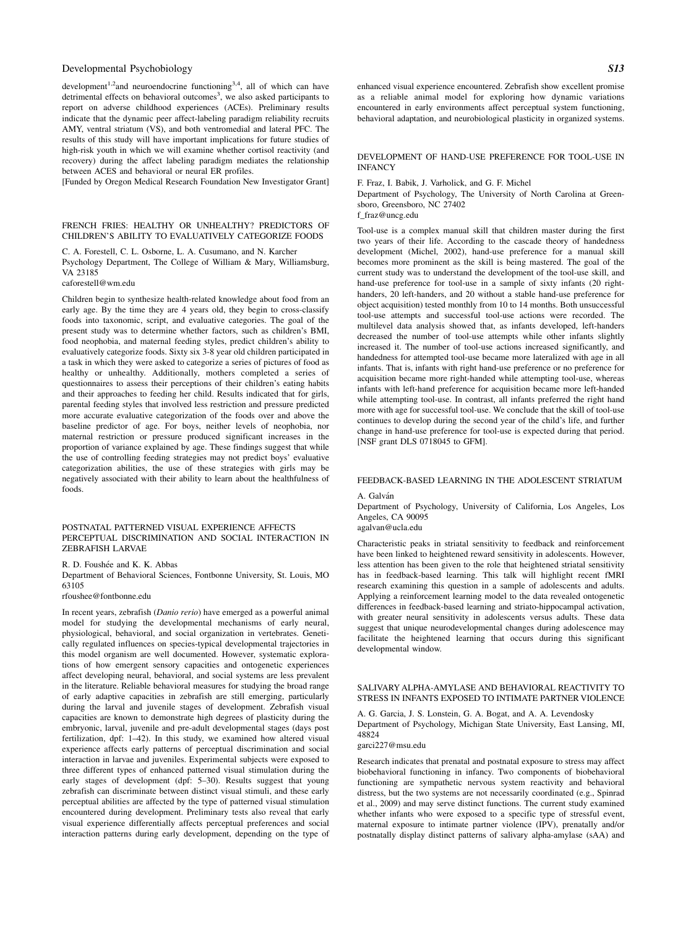development<sup>1,2</sup>and neuroendocrine functioning<sup>3,4</sup>, all of which can have detrimental effects on behavioral outcomes<sup>3</sup>, we also asked participants to report on adverse childhood experiences (ACEs). Preliminary results indicate that the dynamic peer affect-labeling paradigm reliability recruits AMY, ventral striatum (VS), and both ventromedial and lateral PFC. The results of this study will have important implications for future studies of high-risk youth in which we will examine whether cortisol reactivity (and recovery) during the affect labeling paradigm mediates the relationship between ACES and behavioral or neural ER profiles.

[Funded by Oregon Medical Research Foundation New Investigator Grant]

#### FRENCH FRIES: HEALTHY OR UNHEALTHY? PREDICTORS OF CHILDREN'S ABILITY TO EVALUATIVELY CATEGORIZE FOODS

C. A. Forestell, C. L. Osborne, L. A. Cusumano, and N. Karcher Psychology Department, The College of William & Mary, Williamsburg, VA 23185

caforestell@wm.edu

Children begin to synthesize health-related knowledge about food from an early age. By the time they are 4 years old, they begin to cross-classify foods into taxonomic, script, and evaluative categories. The goal of the present study was to determine whether factors, such as children's BMI, food neophobia, and maternal feeding styles, predict children's ability to evaluatively categorize foods. Sixty six 3-8 year old children participated in a task in which they were asked to categorize a series of pictures of food as healthy or unhealthy. Additionally, mothers completed a series of questionnaires to assess their perceptions of their children's eating habits and their approaches to feeding her child. Results indicated that for girls, parental feeding styles that involved less restriction and pressure predicted more accurate evaluative categorization of the foods over and above the baseline predictor of age. For boys, neither levels of neophobia, nor maternal restriction or pressure produced significant increases in the proportion of variance explained by age. These findings suggest that while the use of controlling feeding strategies may not predict boys' evaluative categorization abilities, the use of these strategies with girls may be negatively associated with their ability to learn about the healthfulness of foods.

#### POSTNATAL PATTERNED VISUAL EXPERIENCE AFFECTS PERCEPTUAL DISCRIMINATION AND SOCIAL INTERACTION IN ZEBRAFISH LARVAE

R. D. Foushée and K. K. Abbas

Department of Behavioral Sciences, Fontbonne University, St. Louis, MO 63105

rfoushee@fontbonne.edu

In recent years, zebrafish (Danio rerio) have emerged as a powerful animal model for studying the developmental mechanisms of early neural, physiological, behavioral, and social organization in vertebrates. Genetically regulated influences on species-typical developmental trajectories in this model organism are well documented. However, systematic explorations of how emergent sensory capacities and ontogenetic experiences affect developing neural, behavioral, and social systems are less prevalent in the literature. Reliable behavioral measures for studying the broad range of early adaptive capacities in zebrafish are still emerging, particularly during the larval and juvenile stages of development. Zebrafish visual capacities are known to demonstrate high degrees of plasticity during the embryonic, larval, juvenile and pre-adult developmental stages (days post fertilization, dpf: 1–42). In this study, we examined how altered visual experience affects early patterns of perceptual discrimination and social interaction in larvae and juveniles. Experimental subjects were exposed to three different types of enhanced patterned visual stimulation during the early stages of development (dpf: 5–30). Results suggest that young zebrafish can discriminate between distinct visual stimuli, and these early perceptual abilities are affected by the type of patterned visual stimulation encountered during development. Preliminary tests also reveal that early visual experience differentially affects perceptual preferences and social interaction patterns during early development, depending on the type of enhanced visual experience encountered. Zebrafish show excellent promise as a reliable animal model for exploring how dynamic variations encountered in early environments affect perceptual system functioning, behavioral adaptation, and neurobiological plasticity in organized systems.

#### DEVELOPMENT OF HAND-USE PREFERENCE FOR TOOL-USE IN INFANCY

F. Fraz, I. Babik, J. Varholick, and G. F. Michel

Department of Psychology, The University of North Carolina at Greensboro, Greensboro, NC 27402

f\_fraz@uncg.edu

Tool-use is a complex manual skill that children master during the first two years of their life. According to the cascade theory of handedness development (Michel, 2002), hand-use preference for a manual skill becomes more prominent as the skill is being mastered. The goal of the current study was to understand the development of the tool-use skill, and hand-use preference for tool-use in a sample of sixty infants (20 righthanders, 20 left-handers, and 20 without a stable hand-use preference for object acquisition) tested monthly from 10 to 14 months. Both unsuccessful tool-use attempts and successful tool-use actions were recorded. The multilevel data analysis showed that, as infants developed, left-handers decreased the number of tool-use attempts while other infants slightly increased it. The number of tool-use actions increased significantly, and handedness for attempted tool-use became more lateralized with age in all infants. That is, infants with right hand-use preference or no preference for acquisition became more right-handed while attempting tool-use, whereas infants with left-hand preference for acquisition became more left-handed while attempting tool-use. In contrast, all infants preferred the right hand more with age for successful tool-use. We conclude that the skill of tool-use continues to develop during the second year of the child's life, and further change in hand-use preference for tool-use is expected during that period. [NSF grant DLS 0718045 to GFM].

# FEEDBACK-BASED LEARNING IN THE ADOLESCENT STRIATUM

A. Galván

Department of Psychology, University of California, Los Angeles, Los Angeles, CA 90095 agalvan@ucla.edu

Characteristic peaks in striatal sensitivity to feedback and reinforcement have been linked to heightened reward sensitivity in adolescents. However, less attention has been given to the role that heightened striatal sensitivity has in feedback-based learning. This talk will highlight recent fMRI research examining this question in a sample of adolescents and adults. Applying a reinforcement learning model to the data revealed ontogenetic differences in feedback-based learning and striato-hippocampal activation, with greater neural sensitivity in adolescents versus adults. These data suggest that unique neurodevelopmental changes during adolescence may facilitate the heightened learning that occurs during this significant developmental window.

#### SALIVARY ALPHA-AMYLASE AND BEHAVIORAL REACTIVITY TO STRESS IN INFANTS EXPOSED TO INTIMATE PARTNER VIOLENCE

A. G. Garcia, J. S. Lonstein, G. A. Bogat, and A. A. Levendosky Department of Psychology, Michigan State University, East Lansing, MI, 48824

#### garci227@msu.edu

Research indicates that prenatal and postnatal exposure to stress may affect biobehavioral functioning in infancy. Two components of biobehavioral functioning are sympathetic nervous system reactivity and behavioral distress, but the two systems are not necessarily coordinated (e.g., Spinrad et al., 2009) and may serve distinct functions. The current study examined whether infants who were exposed to a specific type of stressful event, maternal exposure to intimate partner violence (IPV), prenatally and/or postnatally display distinct patterns of salivary alpha-amylase (sAA) and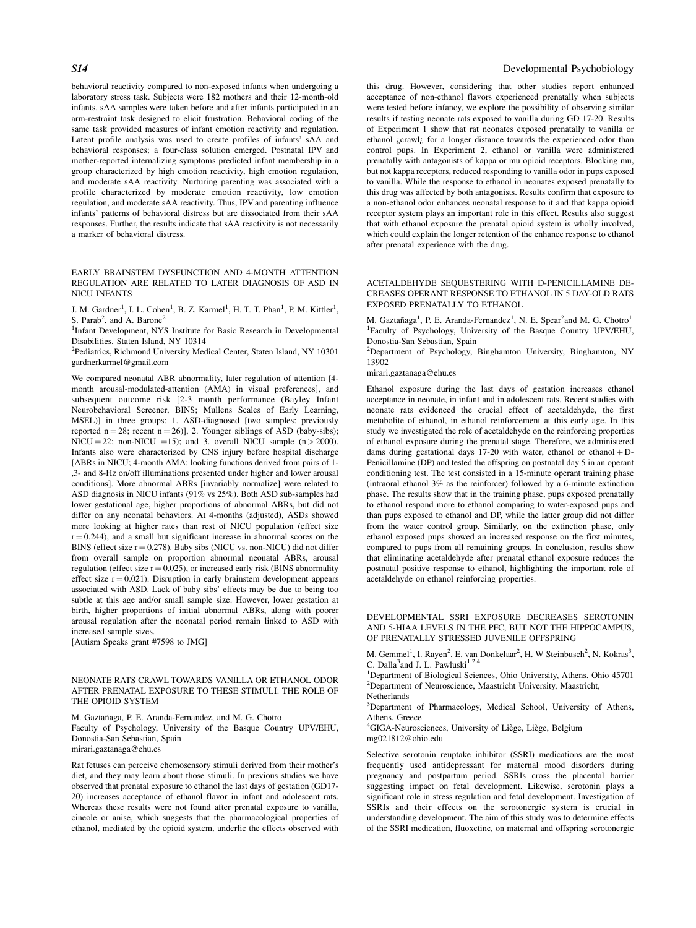behavioral reactivity compared to non-exposed infants when undergoing a laboratory stress task. Subjects were 182 mothers and their 12-month-old infants. sAA samples were taken before and after infants participated in an arm-restraint task designed to elicit frustration. Behavioral coding of the same task provided measures of infant emotion reactivity and regulation. Latent profile analysis was used to create profiles of infants' sAA and behavioral responses; a four-class solution emerged. Postnatal IPV and mother-reported internalizing symptoms predicted infant membership in a group characterized by high emotion reactivity, high emotion regulation, and moderate sAA reactivity. Nurturing parenting was associated with a profile characterized by moderate emotion reactivity, low emotion regulation, and moderate sAA reactivity. Thus, IPV and parenting influence infants' patterns of behavioral distress but are dissociated from their sAA responses. Further, the results indicate that sAA reactivity is not necessarily a marker of behavioral distress.

#### EARLY BRAINSTEM DYSFUNCTION AND 4-MONTH ATTENTION REGULATION ARE RELATED TO LATER DIAGNOSIS OF ASD IN NICU INFANTS

J. M. Gardner<sup>1</sup>, I. L. Cohen<sup>1</sup>, B. Z. Karmel<sup>1</sup>, H. T. T. Phan<sup>1</sup>, P. M. Kittler<sup>1</sup>, S. Parab<sup>2</sup>, and A. Barone<sup>2</sup>

<sup>1</sup>Infant Development, NYS Institute for Basic Research in Developmental Disabilities, Staten Island, NY 10314

<sup>2</sup>Pediatrics, Richmond University Medical Center, Staten Island, NY 10301 gardnerkarmel@gmail.com

We compared neonatal ABR abnormality, later regulation of attention [4 month arousal-modulated-attention (AMA) in visual preferences], and subsequent outcome risk [2-3 month performance (Bayley Infant Neurobehavioral Screener, BINS; Mullens Scales of Early Learning, MSEL)] in three groups: 1. ASD-diagnosed [two samples: previously reported  $n = 28$ ; recent  $n = 26$ ], 2. Younger siblings of ASD (baby-sibs);  $NICU = 22$ ; non-NICU = 15); and 3. overall NICU sample (n > 2000). Infants also were characterized by CNS injury before hospital discharge [ABRs in NICU; 4-month AMA: looking functions derived from pairs of 1- ,3- and 8-Hz on/off illuminations presented under higher and lower arousal conditions]. More abnormal ABRs [invariably normalize] were related to ASD diagnosis in NICU infants (91% vs 25%). Both ASD sub-samples had lower gestational age, higher proportions of abnormal ABRs, but did not differ on any neonatal behaviors. At 4-months (adjusted), ASDs showed more looking at higher rates than rest of NICU population (effect size  $r = 0.244$ ), and a small but significant increase in abnormal scores on the BINS (effect size  $r = 0.278$ ). Baby sibs (NICU vs. non-NICU) did not differ from overall sample on proportion abnormal neonatal ABRs, arousal regulation (effect size  $r = 0.025$ ), or increased early risk (BINS abnormality effect size  $r = 0.021$ ). Disruption in early brainstem development appears associated with ASD. Lack of baby sibs' effects may be due to being too subtle at this age and/or small sample size. However, lower gestation at birth, higher proportions of initial abnormal ABRs, along with poorer arousal regulation after the neonatal period remain linked to ASD with increased sample sizes.

[Autism Speaks grant #7598 to JMG]

#### NEONATE RATS CRAWL TOWARDS VANILLA OR ETHANOL ODOR AFTER PRENATAL EXPOSURE TO THESE STIMULI: THE ROLE OF THE OPIOID SYSTEM

M. Gaztañaga, P. E. Aranda-Fernandez, and M. G. Chotro Faculty of Psychology, University of the Basque Country UPV/EHU, Donostia-San Sebastian, Spain

mirari.gaztanaga@ehu.es

Rat fetuses can perceive chemosensory stimuli derived from their mother's diet, and they may learn about those stimuli. In previous studies we have observed that prenatal exposure to ethanol the last days of gestation (GD17- 20) increases acceptance of ethanol flavor in infant and adolescent rats. Whereas these results were not found after prenatal exposure to vanilla, cineole or anise, which suggests that the pharmacological properties of ethanol, mediated by the opioid system, underlie the effects observed with

# S14 Developmental Psychobiology

this drug. However, considering that other studies report enhanced acceptance of non-ethanol flavors experienced prenatally when subjects were tested before infancy, we explore the possibility of observing similar results if testing neonate rats exposed to vanilla during GD 17-20. Results of Experiment 1 show that rat neonates exposed prenatally to vanilla or ethanol ¿crawl¿ for a longer distance towards the experienced odor than control pups. In Experiment 2, ethanol or vanilla were administered prenatally with antagonists of kappa or mu opioid receptors. Blocking mu, but not kappa receptors, reduced responding to vanilla odor in pups exposed to vanilla. While the response to ethanol in neonates exposed prenatally to this drug was affected by both antagonists. Results confirm that exposure to a non-ethanol odor enhances neonatal response to it and that kappa opioid receptor system plays an important role in this effect. Results also suggest that with ethanol exposure the prenatal opioid system is wholly involved, which could explain the longer retention of the enhance response to ethanol after prenatal experience with the drug.

# ACETALDEHYDE SEQUESTERING WITH D-PENICILLAMINE DE-CREASES OPERANT RESPONSE TO ETHANOL IN 5 DAY-OLD RATS EXPOSED PRENATALLY TO ETHANOL

M. Gaztañaga<sup>1</sup>, P. E. Aranda-Fernandez<sup>1</sup>, N. E. Spear<sup>2</sup>and M. G. Chotro<sup>1</sup> 1 Faculty of Psychology, University of the Basque Country UPV/EHU, Donostia-San Sebastian, Spain

2 Department of Psychology, Binghamton University, Binghamton, NY 13902

mirari.gaztanaga@ehu.es

Ethanol exposure during the last days of gestation increases ethanol acceptance in neonate, in infant and in adolescent rats. Recent studies with neonate rats evidenced the crucial effect of acetaldehyde, the first metabolite of ethanol, in ethanol reinforcement at this early age. In this study we investigated the role of acetaldehyde on the reinforcing properties of ethanol exposure during the prenatal stage. Therefore, we administered dams during gestational days 17-20 with water, ethanol or ethanol + D-Penicillamine (DP) and tested the offspring on postnatal day 5 in an operant conditioning test. The test consisted in a 15-minute operant training phase (intraoral ethanol 3% as the reinforcer) followed by a 6-minute extinction phase. The results show that in the training phase, pups exposed prenatally to ethanol respond more to ethanol comparing to water-exposed pups and than pups exposed to ethanol and DP, while the latter group did not differ from the water control group. Similarly, on the extinction phase, only ethanol exposed pups showed an increased response on the first minutes, compared to pups from all remaining groups. In conclusion, results show that eliminating acetaldehyde after prenatal ethanol exposure reduces the postnatal positive response to ethanol, highlighting the important role of acetaldehyde on ethanol reinforcing properties.

DEVELOPMENTAL SSRI EXPOSURE DECREASES SEROTONIN AND 5-HIAA LEVELS IN THE PFC, BUT NOT THE HIPPOCAMPUS, OF PRENATALLY STRESSED JUVENILE OFFSPRING

M. Gemmel<sup>1</sup>, I. Rayen<sup>2</sup>, E. van Donkelaar<sup>2</sup>, H. W Steinbusch<sup>2</sup>, N. Kokras<sup>3</sup>, C. Dalla<sup>3</sup>and J. L. Pawluski<sup>1,2,4</sup>

<sup>1</sup>Department of Biological Sciences, Ohio University, Athens, Ohio 45701 2 Department of Neuroscience, Maastricht University, Maastricht, Netherlands

<sup>3</sup>Department of Pharmacology, Medical School, University of Athens, Athens, Greece

<sup>4</sup>GIGA-Neurosciences, University of Liège, Liège, Belgium mg021812@ohio.edu

Selective serotonin reuptake inhibitor (SSRI) medications are the most frequently used antidepressant for maternal mood disorders during pregnancy and postpartum period. SSRIs cross the placental barrier suggesting impact on fetal development. Likewise, serotonin plays a significant role in stress regulation and fetal development. Investigation of SSRIs and their effects on the serotonergic system is crucial in understanding development. The aim of this study was to determine effects of the SSRI medication, fluoxetine, on maternal and offspring serotonergic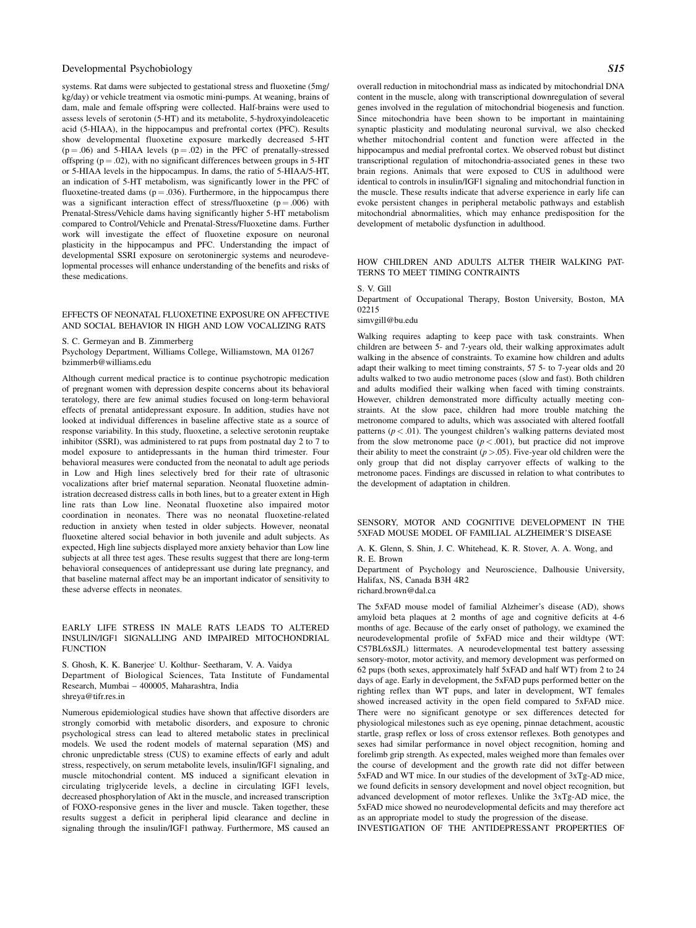systems. Rat dams were subjected to gestational stress and fluoxetine (5mg/ kg/day) or vehicle treatment via osmotic mini-pumps. At weaning, brains of dam, male and female offspring were collected. Half-brains were used to assess levels of serotonin (5-HT) and its metabolite, 5-hydroxyindoleacetic acid (5-HIAA), in the hippocampus and prefrontal cortex (PFC). Results show developmental fluoxetine exposure markedly decreased 5-HT  $(p = .06)$  and 5-HIAA levels  $(p = .02)$  in the PFC of prenatally-stressed offspring ( $p = .02$ ), with no significant differences between groups in 5-HT or 5-HIAA levels in the hippocampus. In dams, the ratio of 5-HIAA/5-HT, an indication of 5-HT metabolism, was significantly lower in the PFC of fluoxetine-treated dams ( $p = .036$ ). Furthermore, in the hippocampus there was a significant interaction effect of stress/fluoxetine ( $p = .006$ ) with Prenatal-Stress/Vehicle dams having significantly higher 5-HT metabolism compared to Control/Vehicle and Prenatal-Stress/Fluoxetine dams. Further work will investigate the effect of fluoxetine exposure on neuronal plasticity in the hippocampus and PFC. Understanding the impact of developmental SSRI exposure on serotoninergic systems and neurodevelopmental processes will enhance understanding of the benefits and risks of these medications.

# EFFECTS OF NEONATAL FLUOXETINE EXPOSURE ON AFFECTIVE AND SOCIAL BEHAVIOR IN HIGH AND LOW VOCALIZING RATS

S. C. Germeyan and B. Zimmerberg

Psychology Department, Williams College, Williamstown, MA 01267 bzimmerb@williams.edu

Although current medical practice is to continue psychotropic medication of pregnant women with depression despite concerns about its behavioral teratology, there are few animal studies focused on long-term behavioral effects of prenatal antidepressant exposure. In addition, studies have not looked at individual differences in baseline affective state as a source of response variability. In this study, fluoxetine, a selective serotonin reuptake inhibitor (SSRI), was administered to rat pups from postnatal day 2 to 7 to model exposure to antidepressants in the human third trimester. Four behavioral measures were conducted from the neonatal to adult age periods in Low and High lines selectively bred for their rate of ultrasonic vocalizations after brief maternal separation. Neonatal fluoxetine administration decreased distress calls in both lines, but to a greater extent in High line rats than Low line. Neonatal fluoxetine also impaired motor coordination in neonates. There was no neonatal fluoxetine-related reduction in anxiety when tested in older subjects. However, neonatal fluoxetine altered social behavior in both juvenile and adult subjects. As expected, High line subjects displayed more anxiety behavior than Low line subjects at all three test ages. These results suggest that there are long-term behavioral consequences of antidepressant use during late pregnancy, and that baseline maternal affect may be an important indicator of sensitivity to these adverse effects in neonates.

#### EARLY LIFE STRESS IN MALE RATS LEADS TO ALTERED INSULIN/IGF1 SIGNALLING AND IMPAIRED MITOCHONDRIAL **FUNCTION**

S. Ghosh, K. K. Banerjee<sup>,</sup> U. Kolthur- Seetharam, V. A. Vaidya Department of Biological Sciences, Tata Institute of Fundamental Research, Mumbai – 400005, Maharashtra, India shreya@tifr.res.in

Numerous epidemiological studies have shown that affective disorders are strongly comorbid with metabolic disorders, and exposure to chronic psychological stress can lead to altered metabolic states in preclinical models. We used the rodent models of maternal separation (MS) and chronic unpredictable stress (CUS) to examine effects of early and adult stress, respectively, on serum metabolite levels, insulin/IGF1 signaling, and muscle mitochondrial content. MS induced a significant elevation in circulating triglyceride levels, a decline in circulating IGF1 levels, decreased phosphorylation of Akt in the muscle, and increased transcription of FOXO-responsive genes in the liver and muscle. Taken together, these results suggest a deficit in peripheral lipid clearance and decline in signaling through the insulin/IGF1 pathway. Furthermore, MS caused an

overall reduction in mitochondrial mass as indicated by mitochondrial DNA content in the muscle, along with transcriptional downregulation of several genes involved in the regulation of mitochondrial biogenesis and function. Since mitochondria have been shown to be important in maintaining synaptic plasticity and modulating neuronal survival, we also checked whether mitochondrial content and function were affected in the hippocampus and medial prefrontal cortex. We observed robust but distinct transcriptional regulation of mitochondria-associated genes in these two brain regions. Animals that were exposed to CUS in adulthood were identical to controls in insulin/IGF1 signaling and mitochondrial function in the muscle. These results indicate that adverse experience in early life can evoke persistent changes in peripheral metabolic pathways and establish mitochondrial abnormalities, which may enhance predisposition for the development of metabolic dysfunction in adulthood.

#### HOW CHILDREN AND ADULTS ALTER THEIR WALKING PAT-TERNS TO MEET TIMING CONTRAINTS

S. V. Gill

Department of Occupational Therapy, Boston University, Boston, MA 02215

simvgill@bu.edu

Walking requires adapting to keep pace with task constraints. When children are between 5- and 7-years old, their walking approximates adult walking in the absence of constraints. To examine how children and adults adapt their walking to meet timing constraints, 57 5- to 7-year olds and 20 adults walked to two audio metronome paces (slow and fast). Both children and adults modified their walking when faced with timing constraints. However, children demonstrated more difficulty actually meeting constraints. At the slow pace, children had more trouble matching the metronome compared to adults, which was associated with altered footfall patterns  $(p < .01)$ . The youngest children's walking patterns deviated most from the slow metronome pace  $(p < .001)$ , but practice did not improve their ability to meet the constraint  $(p > .05)$ . Five-year old children were the only group that did not display carryover effects of walking to the metronome paces. Findings are discussed in relation to what contributes to the development of adaptation in children.

SENSORY, MOTOR AND COGNITIVE DEVELOPMENT IN THE 5XFAD MOUSE MODEL OF FAMILIAL ALZHEIMER'S DISEASE

A. K. Glenn, S. Shin, J. C. Whitehead, K. R. Stover, A. A. Wong, and R. E. Brown

Department of Psychology and Neuroscience, Dalhousie University, Halifax, NS, Canada B3H 4R2 richard.brown@dal.ca

The 5xFAD mouse model of familial Alzheimer's disease (AD), shows amyloid beta plaques at 2 months of age and cognitive deficits at 4-6 months of age. Because of the early onset of pathology, we examined the neurodevelopmental profile of 5xFAD mice and their wildtype (WT: C57BL6xSJL) littermates. A neurodevelopmental test battery assessing sensory-motor, motor activity, and memory development was performed on 62 pups (both sexes, approximately half 5xFAD and half WT) from 2 to 24 days of age. Early in development, the 5xFAD pups performed better on the righting reflex than WT pups, and later in development, WT females showed increased activity in the open field compared to 5xFAD mice. There were no significant genotype or sex differences detected for physiological milestones such as eye opening, pinnae detachment, acoustic startle, grasp reflex or loss of cross extensor reflexes. Both genotypes and sexes had similar performance in novel object recognition, homing and forelimb grip strength. As expected, males weighed more than females over the course of development and the growth rate did not differ between 5xFAD and WT mice. In our studies of the development of 3xTg-AD mice, we found deficits in sensory development and novel object recognition, but advanced development of motor reflexes. Unlike the 3xTg-AD mice, the 5xFAD mice showed no neurodevelopmental deficits and may therefore act as an appropriate model to study the progression of the disease.

INVESTIGATION OF THE ANTIDEPRESSANT PROPERTIES OF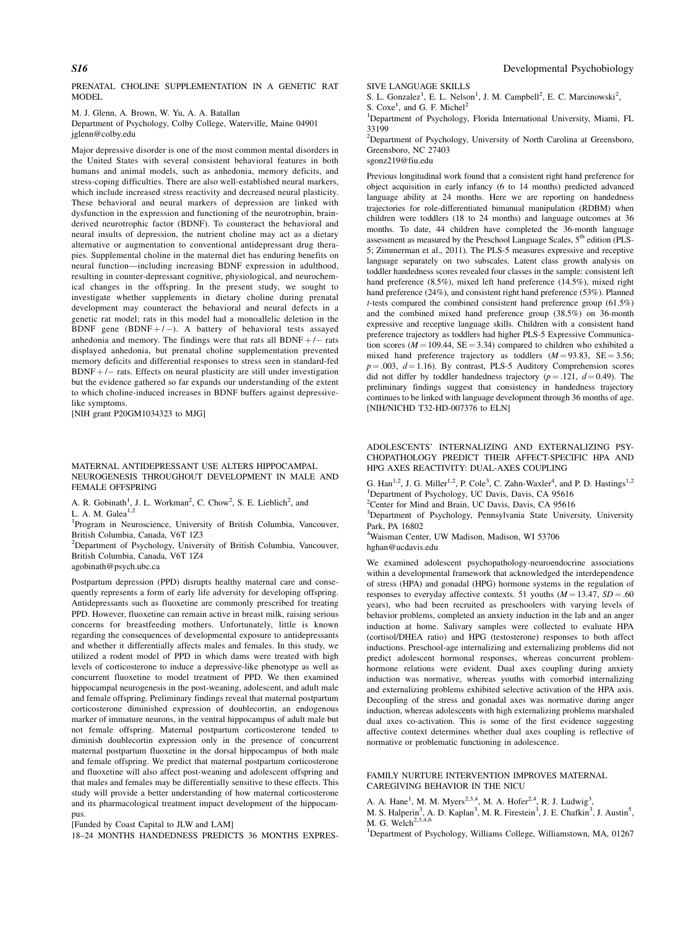PRENATAL CHOLINE SUPPLEMENTATION IN A GENETIC RAT MODEL

M. J. Glenn, A. Brown, W. Yu, A. A. Batallan Department of Psychology, Colby College, Waterville, Maine 04901 jglenn@colby.edu

Major depressive disorder is one of the most common mental disorders in the United States with several consistent behavioral features in both humans and animal models, such as anhedonia, memory deficits, and stress-coping difficulties. There are also well-established neural markers, which include increased stress reactivity and decreased neural plasticity. These behavioral and neural markers of depression are linked with dysfunction in the expression and functioning of the neurotrophin, brainderived neurotrophic factor (BDNF). To counteract the behavioral and neural insults of depression, the nutrient choline may act as a dietary alternative or augmentation to conventional antidepressant drug therapies. Supplemental choline in the maternal diet has enduring benefits on neural function—including increasing BDNF expression in adulthood, resulting in counter-depressant cognitive, physiological, and neurochemical changes in the offspring. In the present study, we sought to investigate whether supplements in dietary choline during prenatal development may counteract the behavioral and neural defects in a genetic rat model; rats in this model had a monoallelic deletion in the BDNF gene  $(BDNF+/-)$ . A battery of behavioral tests assayed anhedonia and memory. The findings were that rats all  $BDNF + / -$  rats displayed anhedonia, but prenatal choline supplementation prevented memory deficits and differential responses to stress seen in standard-fed  $BDNF + / -$  rats. Effects on neural plasticity are still under investigation but the evidence gathered so far expands our understanding of the extent to which choline-induced increases in BDNF buffers against depressivelike symptoms.

[NIH grant P20GM1034323 to MJG]

#### MATERNAL ANTIDEPRESSANT USE ALTERS HIPPOCAMPAL NEUROGENESIS THROUGHOUT DEVELOPMENT IN MALE AND FEMALE OFFSPRING

A. R. Gobinath<sup>1</sup>, J. L. Workman<sup>2</sup>, C. Chow<sup>2</sup>, S. E. Lieblich<sup>2</sup>, and L. A. M. Galea<sup>1,2</sup>

<sup>1</sup>Program in Neuroscience, University of British Columbia, Vancouver, British Columbia, Canada, V6T 1Z3

<sup>2</sup>Department of Psychology, University of British Columbia, Vancouver, British Columbia, Canada, V6T 1Z4

agobinath@psych.ubc.ca

Postpartum depression (PPD) disrupts healthy maternal care and consequently represents a form of early life adversity for developing offspring. Antidepressants such as fluoxetine are commonly prescribed for treating PPD. However, fluoxetine can remain active in breast milk, raising serious concerns for breastfeeding mothers. Unfortunately, little is known regarding the consequences of developmental exposure to antidepressants and whether it differentially affects males and females. In this study, we utilized a rodent model of PPD in which dams were treated with high levels of corticosterone to induce a depressive-like phenotype as well as concurrent fluoxetine to model treatment of PPD. We then examined hippocampal neurogenesis in the post-weaning, adolescent, and adult male and female offspring. Preliminary findings reveal that maternal postpartum corticosterone diminished expression of doublecortin, an endogenous marker of immature neurons, in the ventral hippocampus of adult male but not female offspring. Maternal postpartum corticosterone tended to diminish doublecortin expression only in the presence of concurrent maternal postpartum fluoxetine in the dorsal hippocampus of both male and female offspring. We predict that maternal postpartum corticosterone and fluoxetine will also affect post-weaning and adolescent offspring and that males and females may be differentially sensitive to these effects. This study will provide a better understanding of how maternal corticosterone and its pharmacological treatment impact development of the hippocampus.

[Funded by Coast Capital to JLW and LAM]

18–24 MONTHS HANDEDNESS PREDICTS 36 MONTHS EXPRES-

SIVE LANGUAGE SKILLS

S. L. Gonzalez<sup>1</sup>, E. L. Nelson<sup>1</sup>, J. M. Campbell<sup>2</sup>, E. C. Marcinowski<sup>2</sup>,

S. Coxe<sup>1</sup>, and G. F. Michel<sup>2</sup>

<sup>1</sup>Department of Psychology, Florida International University, Miami, FL 33199

<sup>2</sup>Department of Psychology, University of North Carolina at Greensboro, Greensboro, NC 27403

sgonz219@fiu.edu

Previous longitudinal work found that a consistent right hand preference for object acquisition in early infancy (6 to 14 months) predicted advanced language ability at 24 months. Here we are reporting on handedness trajectories for role-differentiated bimanual manipulation (RDBM) when children were toddlers (18 to 24 months) and language outcomes at 36 months. To date, 44 children have completed the 36-month language assessment as measured by the Preschool Language Scales, 5<sup>th</sup> edition (PLS-5; Zimmerman et al., 2011). The PLS-5 measures expressive and receptive language separately on two subscales. Latent class growth analysis on toddler handedness scores revealed four classes in the sample: consistent left hand preference (8.5%), mixed left hand preference (14.5%), mixed right hand preference (24%), and consistent right hand preference (53%). Planned  $t$ -tests compared the combined consistent hand preference group (61.5%) and the combined mixed hand preference group (38.5%) on 36-month expressive and receptive language skills. Children with a consistent hand preference trajectory as toddlers had higher PLS-5 Expressive Communication scores ( $M = 109.44$ ,  $SE = 3.34$ ) compared to children who exhibited a mixed hand preference trajectory as toddlers  $(M = 93.83, SE = 3.56;$  $p = 003$ ,  $d = 1.16$ ). By contrast, PLS-5 Auditory Comprehension scores did not differ by toddler handedness trajectory ( $p = .121$ ,  $d = 0.49$ ). The preliminary findings suggest that consistency in handedness trajectory continues to be linked with language development through 36 months of age. [NIH/NICHD T32-HD-007376 to ELN]

ADOLESCENTS' INTERNALIZING AND EXTERNALIZING PSY-CHOPATHOLOGY PREDICT THEIR AFFECT-SPECIFIC HPA AND HPG AXES REACTIVITY: DUAL-AXES COUPLING

G. Han<sup>1,2</sup>, J. G. Miller<sup>1,2</sup>, P. Cole<sup>3</sup>, C. Zahn-Waxler<sup>4</sup>, and P. D. Hastings<sup>1,2</sup> <sup>1</sup>Department of Psychology, UC Davis, Davis, CA 95616

<sup>2</sup>Center for Mind and Brain, UC Davis, Davis, CA 95616

<sup>3</sup>Department of Psychology, Pennsylvania State University, University Park, PA 16802

4 Waisman Center, UW Madison, Madison, WI 53706

hghan@ucdavis.edu

We examined adolescent psychopathology-neuroendocrine associations within a developmental framework that acknowledged the interdependence of stress (HPA) and gonadal (HPG) hormone systems in the regulation of responses to everyday affective contexts. 51 youths ( $M = 13.47$ ,  $SD = .60$ years), who had been recruited as preschoolers with varying levels of behavior problems, completed an anxiety induction in the lab and an anger induction at home. Salivary samples were collected to evaluate HPA (cortisol/DHEA ratio) and HPG (testosterone) responses to both affect inductions. Preschool-age internalizing and externalizing problems did not predict adolescent hormonal responses, whereas concurrent problemhormone relations were evident. Dual axes coupling during anxiety induction was normative, whereas youths with comorbid internalizing and externalizing problems exhibited selective activation of the HPA axis. Decoupling of the stress and gonadal axes was normative during anger induction, whereas adolescents with high externalizing problems marshaled dual axes co-activation. This is some of the first evidence suggesting affective context determines whether dual axes coupling is reflective of normative or problematic functioning in adolescence.

#### FAMILY NURTURE INTERVENTION IMPROVES MATERNAL CAREGIVING BEHAVIOR IN THE NICU

A. A. Hane<sup>1</sup>, M. M. Myers<sup>2,3,4</sup>, M. A. Hofer<sup>2,4</sup>, R. J. Ludwig<sup>3</sup>,

M. S. Halperin<sup>3</sup>, A. D. Kaplan<sup>3</sup>, M. R. Firestein<sup>3</sup>, J. E. Chafkin<sup>3</sup>, J. Austin<sup>5</sup>, M. G. Welch<sup>2,3,4,6</sup>

<sup>1</sup>Department of Psychology, Williams College, Williamstown, MA, 01267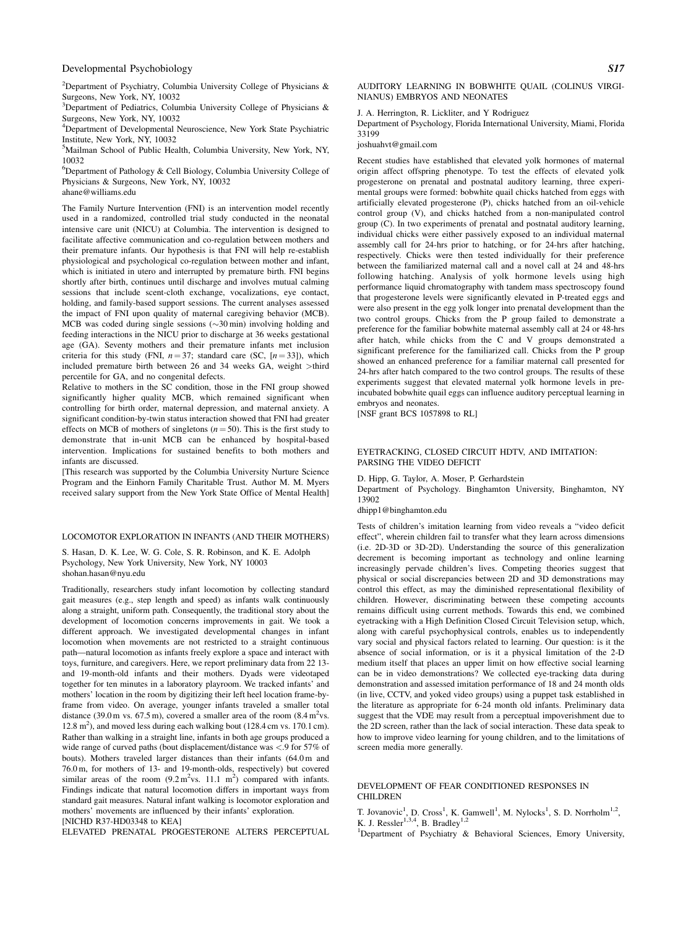<sup>2</sup>Department of Psychiatry, Columbia University College of Physicians & Surgeons, New York, NY, 10032

<sup>3</sup>Department of Pediatrics, Columbia University College of Physicians & Surgeons, New York, NY, 10032

4 Department of Developmental Neuroscience, New York State Psychiatric Institute, New York, NY, 10032

5 Mailman School of Public Health, Columbia University, New York, NY, 10032

6 Department of Pathology & Cell Biology, Columbia University College of Physicians & Surgeons, New York, NY, 10032

ahane@williams.edu

The Family Nurture Intervention (FNI) is an intervention model recently used in a randomized, controlled trial study conducted in the neonatal intensive care unit (NICU) at Columbia. The intervention is designed to facilitate affective communication and co-regulation between mothers and their premature infants. Our hypothesis is that FNI will help re-establish physiological and psychological co-regulation between mother and infant, which is initiated in utero and interrupted by premature birth. FNI begins shortly after birth, continues until discharge and involves mutual calming sessions that include scent-cloth exchange, vocalizations, eye contact, holding, and family-based support sessions. The current analyses assessed the impact of FNI upon quality of maternal caregiving behavior (MCB). MCB was coded during single sessions  $(\sim 30 \text{ min})$  involving holding and feeding interactions in the NICU prior to discharge at 36 weeks gestational age (GA). Seventy mothers and their premature infants met inclusion criteria for this study (FNI,  $n = 37$ ; standard care (SC,  $[n = 33]$ ), which included premature birth between 26 and 34 weeks GA, weight >third percentile for GA, and no congenital defects.

Relative to mothers in the SC condition, those in the FNI group showed significantly higher quality MCB, which remained significant when controlling for birth order, maternal depression, and maternal anxiety. A significant condition-by-twin status interaction showed that FNI had greater effects on MCB of mothers of singletons  $(n = 50)$ . This is the first study to demonstrate that in-unit MCB can be enhanced by hospital-based intervention. Implications for sustained benefits to both mothers and infants are discussed.

[This research was supported by the Columbia University Nurture Science Program and the Einhorn Family Charitable Trust. Author M. M. Myers received salary support from the New York State Office of Mental Health]

LOCOMOTOR EXPLORATION IN INFANTS (AND THEIR MOTHERS)

S. Hasan, D. K. Lee, W. G. Cole, S. R. Robinson, and K. E. Adolph Psychology, New York University, New York, NY 10003 shohan.hasan@nyu.edu

Traditionally, researchers study infant locomotion by collecting standard gait measures (e.g., step length and speed) as infants walk continuously along a straight, uniform path. Consequently, the traditional story about the development of locomotion concerns improvements in gait. We took a different approach. We investigated developmental changes in infant locomotion when movements are not restricted to a straight continuous path—natural locomotion as infants freely explore a space and interact with toys, furniture, and caregivers. Here, we report preliminary data from 22 13 and 19-month-old infants and their mothers. Dyads were videotaped together for ten minutes in a laboratory playroom. We tracked infants' and mothers' location in the room by digitizing their left heel location frame-byframe from video. On average, younger infants traveled a smaller total distance (39.0 m vs.  $67.5$  m), covered a smaller area of the room (8.4 m<sup>2</sup>vs.  $12.8 \text{ m}^2$ ), and moved less during each walking bout (128.4 cm vs. 170.1 cm). Rather than walking in a straight line, infants in both age groups produced a wide range of curved paths (bout displacement/distance was <.9 for 57% of bouts). Mothers traveled larger distances than their infants (64.0 m and 76.0 m, for mothers of 13- and 19-month-olds, respectively) but covered similar areas of the room  $(9.2 \text{ m}^2 \text{vs. } 11.1 \text{ m}^2)$  compared with infants. Findings indicate that natural locomotion differs in important ways from standard gait measures. Natural infant walking is locomotor exploration and mothers' movements are influenced by their infants' exploration. [NICHD R37-HD03348 to KEA]

ELEVATED PRENATAL PROGESTERONE ALTERS PERCEPTUAL

AUDITORY LEARNING IN BOBWHITE QUAIL (COLINUS VIRGI-NIANUS) EMBRYOS AND NEONATES

#### J. A. Herrington, R. Lickliter, and Y Rodriguez

Department of Psychology, Florida International University, Miami, Florida 33199

#### joshuahvt@gmail.com

Recent studies have established that elevated yolk hormones of maternal origin affect offspring phenotype. To test the effects of elevated yolk progesterone on prenatal and postnatal auditory learning, three experimental groups were formed: bobwhite quail chicks hatched from eggs with artificially elevated progesterone (P), chicks hatched from an oil-vehicle control group (V), and chicks hatched from a non-manipulated control group (C). In two experiments of prenatal and postnatal auditory learning, individual chicks were either passively exposed to an individual maternal assembly call for 24-hrs prior to hatching, or for 24-hrs after hatching, respectively. Chicks were then tested individually for their preference between the familiarized maternal call and a novel call at 24 and 48-hrs following hatching. Analysis of yolk hormone levels using high performance liquid chromatography with tandem mass spectroscopy found that progesterone levels were significantly elevated in P-treated eggs and were also present in the egg yolk longer into prenatal development than the two control groups. Chicks from the P group failed to demonstrate a preference for the familiar bobwhite maternal assembly call at 24 or 48-hrs after hatch, while chicks from the C and V groups demonstrated a significant preference for the familiarized call. Chicks from the P group showed an enhanced preference for a familiar maternal call presented for 24-hrs after hatch compared to the two control groups. The results of these experiments suggest that elevated maternal yolk hormone levels in preincubated bobwhite quail eggs can influence auditory perceptual learning in embryos and neonates.

[NSF grant BCS 1057898 to RL]

#### EYETRACKING, CLOSED CIRCUIT HDTV, AND IMITATION: PARSING THE VIDEO DEFICIT

D. Hipp, G. Taylor, A. Moser, P. Gerhardstein

Department of Psychology. Binghamton University, Binghamton, NY 13902

#### dhipp1@binghamton.edu

Tests of children's imitation learning from video reveals a "video deficit effect", wherein children fail to transfer what they learn across dimensions (i.e. 2D-3D or 3D-2D). Understanding the source of this generalization decrement is becoming important as technology and online learning increasingly pervade children's lives. Competing theories suggest that physical or social discrepancies between 2D and 3D demonstrations may control this effect, as may the diminished representational flexibility of children. However, discriminating between these competing accounts remains difficult using current methods. Towards this end, we combined eyetracking with a High Definition Closed Circuit Television setup, which, along with careful psychophysical controls, enables us to independently vary social and physical factors related to learning. Our question: is it the absence of social information, or is it a physical limitation of the 2-D medium itself that places an upper limit on how effective social learning can be in video demonstrations? We collected eye-tracking data during demonstration and assessed imitation performance of 18 and 24 month olds (in live, CCTV, and yoked video groups) using a puppet task established in the literature as appropriate for 6-24 month old infants. Preliminary data suggest that the VDE may result from a perceptual impoverishment due to the 2D screen, rather than the lack of social interaction. These data speak to how to improve video learning for young children, and to the limitations of screen media more generally.

# DEVELOPMENT OF FEAR CONDITIONED RESPONSES IN CHILDREN

T. Jovanovic<sup>1</sup>, D. Cross<sup>1</sup>, K. Gamwell<sup>1</sup>, M. Nylocks<sup>1</sup>, S. D. Norrholm<sup>1,2</sup>, K. J. Ressler<sup>1,3,4</sup>, B. Bradley<sup>1,2</sup>

<sup>1</sup>Department of Psychiatry & Behavioral Sciences, Emory University,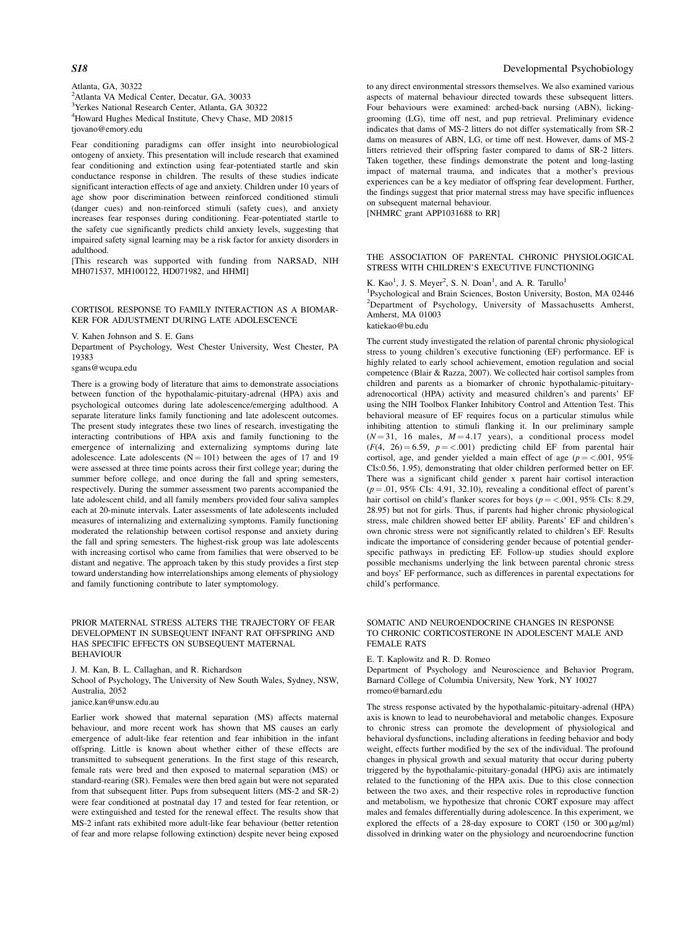Atlanta, GA, 30322 2 Atlanta VA Medical Center, Decatur, GA, 30033 3 Yerkes National Research Center, Atlanta, GA 30322 4 Howard Hughes Medical Institute, Chevy Chase, MD 20815 tjovano@emory.edu

Fear conditioning paradigms can offer insight into neurobiological ontogeny of anxiety. This presentation will include research that examined fear conditioning and extinction using fear-potentiated startle and skin conductance response in children. The results of these studies indicate significant interaction effects of age and anxiety. Children under 10 years of age show poor discrimination between reinforced conditioned stimuli (danger cues) and non-reinforced stimuli (safety cues), and anxiety increases fear responses during conditioning. Fear-potentiated startle to the safety cue significantly predicts child anxiety levels, suggesting that impaired safety signal learning may be a risk factor for anxiety disorders in adulthood.

[This research was supported with funding from NARSAD, NIH MH071537, MH100122, HD071982, and HHMI]

#### CORTISOL RESPONSE TO FAMILY INTERACTION AS A BIOMAR-KER FOR ADJUSTMENT DURING LATE ADOLESCENCE

V. Kahen Johnson and S. E. Gans

Department of Psychology, West Chester University, West Chester, PA 19383

sgans@wcupa.edu

There is a growing body of literature that aims to demonstrate associations between function of the hypothalamic-pituitary-adrenal (HPA) axis and psychological outcomes during late adolescence/emerging adulthood. A separate literature links family functioning and late adolescent outcomes. The present study integrates these two lines of research, investigating the interacting contributions of HPA axis and family functioning to the emergence of internalizing and externalizing symptoms during late adolescence. Late adolescents  $(N = 101)$  between the ages of 17 and 19 were assessed at three time points across their first college year; during the summer before college, and once during the fall and spring semesters, respectively. During the summer assessment two parents accompanied the late adolescent child, and all family members provided four saliva samples each at 20-minute intervals. Later assessments of late adolescents included measures of internalizing and externalizing symptoms. Family functioning moderated the relationship between cortisol response and anxiety during the fall and spring semesters. The highest-risk group was late adolescents with increasing cortisol who came from families that were observed to be distant and negative. The approach taken by this study provides a first step toward understanding how interrelationships among elements of physiology and family functioning contribute to later symptomology.

#### PRIOR MATERNAL STRESS ALTERS THE TRAJECTORY OF FEAR DEVELOPMENT IN SUBSEQUENT INFANT RAT OFFSPRING AND HAS SPECIFIC EFFECTS ON SUBSEQUENT MATERNAL **BEHAVIOUR**

J. M. Kan, B. L. Callaghan, and R. Richardson

School of Psychology, The University of New South Wales, Sydney, NSW, Australia, 2052

janice.kan@unsw.edu.au

Earlier work showed that maternal separation (MS) affects maternal behaviour, and more recent work has shown that MS causes an early emergence of adult-like fear retention and fear inhibition in the infant offspring. Little is known about whether either of these effects are transmitted to subsequent generations. In the first stage of this research, female rats were bred and then exposed to maternal separation (MS) or standard-rearing (SR). Females were then bred again but were not separated from that subsequent litter. Pups from subsequent litters (MS-2 and SR-2) were fear conditioned at postnatal day 17 and tested for fear retention, or were extinguished and tested for the renewal effect. The results show that MS-2 infant rats exhibited more adult-like fear behaviour (better retention of fear and more relapse following extinction) despite never being exposed

#### S18 Developmental Psychobiology

to any direct environmental stressors themselves. We also examined various aspects of maternal behaviour directed towards these subsequent litters. Four behaviours were examined: arched-back nursing (ABN), lickinggrooming (LG), time off nest, and pup retrieval. Preliminary evidence indicates that dams of MS-2 litters do not differ systematically from SR-2 dams on measures of ABN, LG, or time off nest. However, dams of MS-2 litters retrieved their offspring faster compared to dams of SR-2 litters. Taken together, these findings demonstrate the potent and long-lasting impact of maternal trauma, and indicates that a mother's previous experiences can be a key mediator of offspring fear development. Further, the findings suggest that prior maternal stress may have specific influences on subsequent maternal behaviour.

[NHMRC grant APP1031688 to RR]

# THE ASSOCIATION OF PARENTAL CHRONIC PHYSIOLOGICAL STRESS WITH CHILDREN'S EXECUTIVE FUNCTIONING

K. Kao<sup>1</sup>, J. S. Meyer<sup>2</sup>, S. N. Doan<sup>1</sup>, and A. R. Tarullo<sup>1</sup> 1 Psychological and Brain Sciences, Boston University, Boston, MA 02446

<sup>2</sup>Department of Psychology, University of Massachusetts Amherst, Amherst, MA 01003 katiekao@bu.edu

The current study investigated the relation of parental chronic physiological stress to young children's executive functioning (EF) performance. EF is highly related to early school achievement, emotion regulation and social competence (Blair & Razza, 2007). We collected hair cortisol samples from children and parents as a biomarker of chronic hypothalamic-pituitaryadrenocortical (HPA) activity and measured children's and parents' EF using the NIH Toolbox Flanker Inhibitory Control and Attention Test. This behavioral measure of EF requires focus on a particular stimulus while inhibiting attention to stimuli flanking it. In our preliminary sample  $(N = 31, 16$  males,  $M = 4.17$  years), a conditional process model  $(F(4, 26) = 6.59, p = <.001)$  predicting child EF from parental hair cortisol, age, and gender yielded a main effect of age ( $p = <.001$ , 95%) CIs:0.56, 1.95), demonstrating that older children performed better on EF. There was a significant child gender x parent hair cortisol interaction  $(p = .01, 95\% \text{ CIs: } 4.91, 32.10)$ , revealing a conditional effect of parent's hair cortisol on child's flanker scores for boys ( $p = <.001$ , 95% CIs: 8.29, 28.95) but not for girls. Thus, if parents had higher chronic physiological stress, male children showed better EF ability. Parents' EF and children's own chronic stress were not significantly related to children's EF. Results indicate the importance of considering gender because of potential genderspecific pathways in predicting EF. Follow-up studies should explore possible mechanisms underlying the link between parental chronic stress and boys' EF performance, such as differences in parental expectations for child's performance.

#### SOMATIC AND NEUROENDOCRINE CHANGES IN RESPONSE TO CHRONIC CORTICOSTERONE IN ADOLESCENT MALE AND FEMALE RATS

E. T. Kaplowitz and R. D. Romeo

Department of Psychology and Neuroscience and Behavior Program, Barnard College of Columbia University, New York, NY 10027 rromeo@barnard.edu

The stress response activated by the hypothalamic-pituitary-adrenal (HPA) axis is known to lead to neurobehavioral and metabolic changes. Exposure to chronic stress can promote the development of physiological and behavioral dysfunctions, including alterations in feeding behavior and body weight, effects further modified by the sex of the individual. The profound changes in physical growth and sexual maturity that occur during puberty triggered by the hypothalamic-pituitary-gonadal (HPG) axis are intimately related to the functioning of the HPA axis. Due to this close connection between the two axes, and their respective roles in reproductive function and metabolism, we hypothesize that chronic CORT exposure may affect males and females differentially during adolescence. In this experiment, we explored the effects of a 28-day exposure to CORT (150 or  $300 \mu g/ml$ ) dissolved in drinking water on the physiology and neuroendocrine function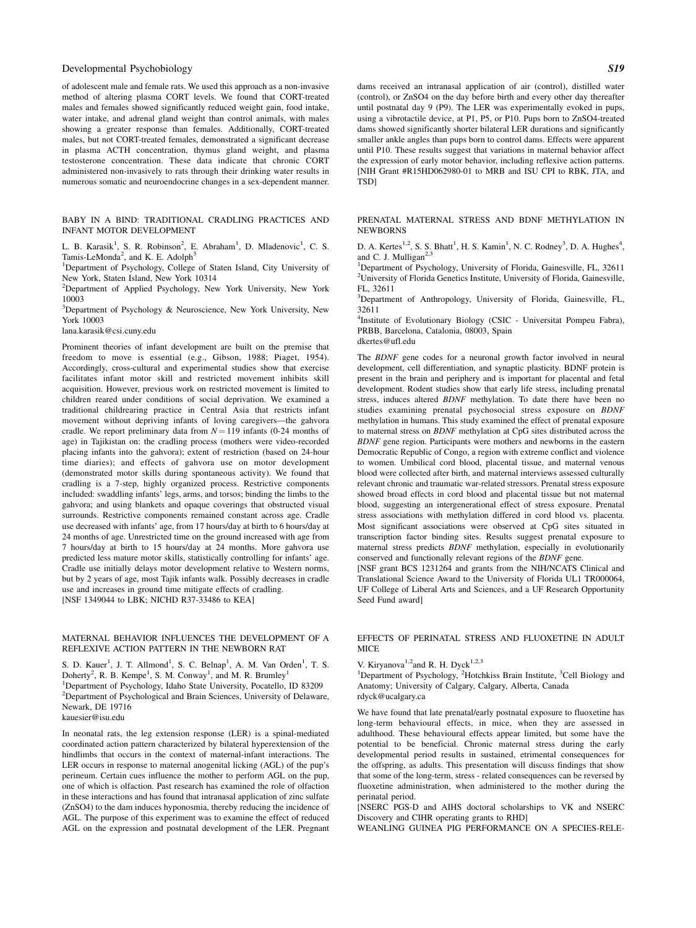of adolescent male and female rats. We used this approach as a non-invasive method of altering plasma CORT levels. We found that CORT-treated males and females showed significantly reduced weight gain, food intake, water intake, and adrenal gland weight than control animals, with males showing a greater response than females. Additionally, CORT-treated males, but not CORT-treated females, demonstrated a significant decrease in plasma ACTH concentration, thymus gland weight, and plasma testosterone concentration. These data indicate that chronic CORT administered non-invasively to rats through their drinking water results in numerous somatic and neuroendocrine changes in a sex-dependent manner.

BABY IN A BIND: TRADITIONAL CRADLING PRACTICES AND INFANT MOTOR DEVELOPMENT

L. B. Karasik<sup>1</sup>, S. R. Robinson<sup>2</sup>, E. Abraham<sup>1</sup>, D. Mladenovic<sup>1</sup>, C. S. Tamis-LeMonda<sup>2</sup>, and K. E. Adolph<sup>3</sup>

<sup>1</sup>Department of Psychology, College of Staten Island, City University of New York, Staten Island, New York 10314

2 Department of Applied Psychology, New York University, New York 10003

<sup>3</sup>Department of Psychology & Neuroscience, New York University, New York 10003

lana.karasik@csi.cuny.edu

Prominent theories of infant development are built on the premise that freedom to move is essential (e.g., Gibson, 1988; Piaget, 1954). Accordingly, cross-cultural and experimental studies show that exercise facilitates infant motor skill and restricted movement inhibits skill acquisition. However, previous work on restricted movement is limited to children reared under conditions of social deprivation. We examined a traditional childrearing practice in Central Asia that restricts infant movement without depriving infants of loving caregivers—the gahvora cradle. We report preliminary data from  $N = 119$  infants (0-24 months of age) in Tajikistan on: the cradling process (mothers were video-recorded placing infants into the gahvora); extent of restriction (based on 24-hour time diaries); and effects of gahvora use on motor development (demonstrated motor skills during spontaneous activity). We found that cradling is a 7-step, highly organized process. Restrictive components included: swaddling infants' legs, arms, and torsos; binding the limbs to the gahvora; and using blankets and opaque coverings that obstructed visual surrounds. Restrictive components remained constant across age. Cradle use decreased with infants' age, from 17 hours/day at birth to 6 hours/day at 24 months of age. Unrestricted time on the ground increased with age from 7 hours/day at birth to 15 hours/day at 24 months. More gahvora use predicted less mature motor skills, statistically controlling for infants' age. Cradle use initially delays motor development relative to Western norms, but by 2 years of age, most Tajik infants walk. Possibly decreases in cradle use and increases in ground time mitigate effects of cradling. [NSF 1349044 to LBK; NICHD R37-33486 to KEA]

# MATERNAL BEHAVIOR INFLUENCES THE DEVELOPMENT OF A REFLEXIVE ACTION PATTERN IN THE NEWBORN RAT

S. D. Kauer<sup>1</sup>, J. T. Allmond<sup>1</sup>, S. C. Belnap<sup>1</sup>, A. M. Van Orden<sup>1</sup>, T. S. Doherty<sup>2</sup>, R. B. Kempe<sup>1</sup>, S. M. Conway<sup>1</sup>, and M. R. Brumley<sup>1</sup> <sup>1</sup>Department of Psychology, Idaho State University, Pocatello, ID 83209 <sup>2</sup>Department of Psychological and Brain Sciences, University of Delaware, Newark, DE 19716 kauesier@isu.edu

In neonatal rats, the leg extension response (LER) is a spinal-mediated coordinated action pattern characterized by bilateral hyperextension of the hindlimbs that occurs in the context of maternal-infant interactions. The LER occurs in response to maternal anogenital licking (AGL) of the pup's perineum. Certain cues influence the mother to perform AGL on the pup, one of which is olfaction. Past research has examined the role of olfaction in these interactions and has found that intranasal application of zinc sulfate (ZnSO4) to the dam induces hyponosmia, thereby reducing the incidence of AGL. The purpose of this experiment was to examine the effect of reduced AGL on the expression and postnatal development of the LER. Pregnant

dams received an intranasal application of air (control), distilled water (control), or ZnSO4 on the day before birth and every other day thereafter until postnatal day 9 (P9). The LER was experimentally evoked in pups, using a vibrotactile device, at P1, P5, or P10. Pups born to ZnSO4-treated dams showed significantly shorter bilateral LER durations and significantly smaller ankle angles than pups born to control dams. Effects were apparent until P10. These results suggest that variations in maternal behavior affect the expression of early motor behavior, including reflexive action patterns. [NIH Grant #R15HD062980-01 to MRB and ISU CPI to RBK, JTA, and TSD]

PRENATAL MATERNAL STRESS AND BDNF METHYLATION IN **NEWBORNS** 

D. A. Kertes<sup>1,2</sup>, S. S. Bhatt<sup>1</sup>, H. S. Kamin<sup>1</sup>, N. C. Rodney<sup>3</sup>, D. A. Hughes<sup>4</sup>, and C. J. Mulligan $2,3$ 

<sup>1</sup>Department of Psychology, University of Florida, Gainesville, FL, 32611 2 University of Florida Genetics Institute, University of Florida, Gainesville, FL, 32611

<sup>3</sup>Department of Anthropology, University of Florida, Gainesville, FL, 32611

4 Institute of Evolutionary Biology (CSIC - Universitat Pompeu Fabra), PRBB, Barcelona, Catalonia, 08003, Spain dkertes@ufl.edu

The BDNF gene codes for a neuronal growth factor involved in neural development, cell differentiation, and synaptic plasticity. BDNF protein is present in the brain and periphery and is important for placental and fetal development. Rodent studies show that early life stress, including prenatal stress, induces altered BDNF methylation. To date there have been no studies examining prenatal psychosocial stress exposure on BDNF methylation in humans. This study examined the effect of prenatal exposure to maternal stress on BDNF methylation at CpG sites distributed across the BDNF gene region. Participants were mothers and newborns in the eastern Democratic Republic of Congo, a region with extreme conflict and violence to women. Umbilical cord blood, placental tissue, and maternal venous blood were collected after birth, and maternal interviews assessed culturally relevant chronic and traumatic war-related stressors. Prenatal stress exposure showed broad effects in cord blood and placental tissue but not maternal blood, suggesting an intergenerational effect of stress exposure. Prenatal stress associations with methylation differed in cord blood vs. placenta. Most significant associations were observed at CpG sites situated in transcription factor binding sites. Results suggest prenatal exposure to maternal stress predicts BDNF methylation, especially in evolutionarily conserved and functionally relevant regions of the BDNF gene.

[NSF grant BCS 1231264 and grants from the NIH/NCATS Clinical and Translational Science Award to the University of Florida UL1 TR000064, UF College of Liberal Arts and Sciences, and a UF Research Opportunity Seed Fund award]

# EFFECTS OF PERINATAL STRESS AND FLUOXETINE IN ADULT **MICE**

V. Kiryanova<sup>1,2</sup>and R. H. Dyck<sup>1,2,3</sup>

<sup>1</sup>Department of Psychology, <sup>2</sup>Hotchkiss Brain Institute, <sup>3</sup>Cell Biology and Anatomy; University of Calgary, Calgary, Alberta, Canada rdyck@ucalgary.ca

We have found that late prenatal/early postnatal exposure to fluoxetine has long-term behavioural effects, in mice, when they are assessed in adulthood. These behavioural effects appear limited, but some have the potential to be beneficial. Chronic maternal stress during the early developmental period results in sustained, etrimental consequences for the offspring, as adults. This presentation will discuss findings that show that some of the long-term, stress - related consequences can be reversed by fluoxetine administration, when administered to the mother during the perinatal period.

[NSERC PGS-D and AIHS doctoral scholarships to VK and NSERC Discovery and CIHR operating grants to RHD]

WEANLING GUINEA PIG PERFORMANCE ON A SPECIES-RELE-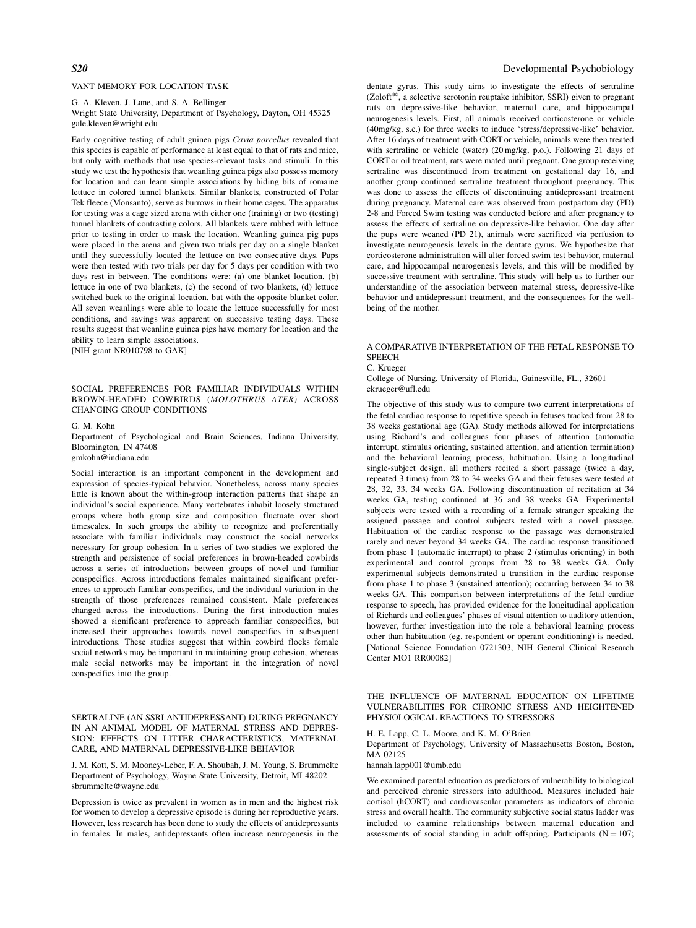# VANT MEMORY FOR LOCATION TASK

G. A. Kleven, J. Lane, and S. A. Bellinger Wright State University, Department of Psychology, Dayton, OH 45325 gale.kleven@wright.edu

Early cognitive testing of adult guinea pigs Cavia porcellus revealed that this species is capable of performance at least equal to that of rats and mice, but only with methods that use species-relevant tasks and stimuli. In this study we test the hypothesis that weanling guinea pigs also possess memory for location and can learn simple associations by hiding bits of romaine lettuce in colored tunnel blankets. Similar blankets, constructed of Polar Tek fleece (Monsanto), serve as burrows in their home cages. The apparatus for testing was a cage sized arena with either one (training) or two (testing) tunnel blankets of contrasting colors. All blankets were rubbed with lettuce prior to testing in order to mask the location. Weanling guinea pig pups were placed in the arena and given two trials per day on a single blanket until they successfully located the lettuce on two consecutive days. Pups were then tested with two trials per day for 5 days per condition with two days rest in between. The conditions were: (a) one blanket location, (b) lettuce in one of two blankets, (c) the second of two blankets, (d) lettuce switched back to the original location, but with the opposite blanket color. All seven weanlings were able to locate the lettuce successfully for most conditions, and savings was apparent on successive testing days. These results suggest that weanling guinea pigs have memory for location and the ability to learn simple associations.

[NIH grant NR010798 to GAK]

# SOCIAL PREFERENCES FOR FAMILIAR INDIVIDUALS WITHIN BROWN-HEADED COWBIRDS (MOLOTHRUS ATER) ACROSS CHANGING GROUP CONDITIONS

#### G. M. Kohn

Department of Psychological and Brain Sciences, Indiana University, Bloomington, IN 47408

gmkohn@indiana.edu

Social interaction is an important component in the development and expression of species-typical behavior. Nonetheless, across many species little is known about the within-group interaction patterns that shape an individual's social experience. Many vertebrates inhabit loosely structured groups where both group size and composition fluctuate over short timescales. In such groups the ability to recognize and preferentially associate with familiar individuals may construct the social networks necessary for group cohesion. In a series of two studies we explored the strength and persistence of social preferences in brown-headed cowbirds across a series of introductions between groups of novel and familiar conspecifics. Across introductions females maintained significant preferences to approach familiar conspecifics, and the individual variation in the strength of those preferences remained consistent. Male preferences changed across the introductions. During the first introduction males showed a significant preference to approach familiar conspecifics, but increased their approaches towards novel conspecifics in subsequent introductions. These studies suggest that within cowbird flocks female social networks may be important in maintaining group cohesion, whereas male social networks may be important in the integration of novel conspecifics into the group.

SERTRALINE (AN SSRI ANTIDEPRESSANT) DURING PREGNANCY IN AN ANIMAL MODEL OF MATERNAL STRESS AND DEPRES-SION: EFFECTS ON LITTER CHARACTERISTICS, MATERNAL CARE, AND MATERNAL DEPRESSIVE-LIKE BEHAVIOR

J. M. Kott, S. M. Mooney-Leber, F. A. Shoubah, J. M. Young, S. Brummelte Department of Psychology, Wayne State University, Detroit, MI 48202 sbrummelte@wayne.edu

Depression is twice as prevalent in women as in men and the highest risk for women to develop a depressive episode is during her reproductive years. However, less research has been done to study the effects of antidepressants in females. In males, antidepressants often increase neurogenesis in the

### S20 Developmental Psychobiology

dentate gyrus. This study aims to investigate the effects of sertraline  $(Zoloft^{\circledR})$ , a selective serotonin reuptake inhibitor, SSRI) given to pregnant rats on depressive-like behavior, maternal care, and hippocampal neurogenesis levels. First, all animals received corticosterone or vehicle (40mg/kg, s.c.) for three weeks to induce 'stress/depressive-like' behavior. After 16 days of treatment with CORT or vehicle, animals were then treated with sertraline or vehicle (water) (20 mg/kg, p.o.). Following 21 days of CORT or oil treatment, rats were mated until pregnant. One group receiving sertraline was discontinued from treatment on gestational day 16, and another group continued sertraline treatment throughout pregnancy. This was done to assess the effects of discontinuing antidepressant treatment during pregnancy. Maternal care was observed from postpartum day (PD) 2-8 and Forced Swim testing was conducted before and after pregnancy to assess the effects of sertraline on depressive-like behavior. One day after the pups were weaned (PD 21), animals were sacrificed via perfusion to investigate neurogenesis levels in the dentate gyrus. We hypothesize that corticosterone administration will alter forced swim test behavior, maternal care, and hippocampal neurogenesis levels, and this will be modified by successive treatment with sertraline. This study will help us to further our understanding of the association between maternal stress, depressive-like behavior and antidepressant treatment, and the consequences for the wellbeing of the mother.

# A COMPARATIVE INTERPRETATION OF THE FETAL RESPONSE TO **SPEECH**

C. Krueger

College of Nursing, University of Florida, Gainesville, FL., 32601 ckrueger@ufl.edu

The objective of this study was to compare two current interpretations of the fetal cardiac response to repetitive speech in fetuses tracked from 28 to 38 weeks gestational age (GA). Study methods allowed for interpretations using Richard's and colleagues four phases of attention (automatic interrupt, stimulus orienting, sustained attention, and attention termination) and the behavioral learning process, habituation. Using a longitudinal single-subject design, all mothers recited a short passage (twice a day, repeated 3 times) from 28 to 34 weeks GA and their fetuses were tested at 28, 32, 33, 34 weeks GA. Following discontinuation of recitation at 34 weeks GA, testing continued at 36 and 38 weeks GA. Experimental subjects were tested with a recording of a female stranger speaking the assigned passage and control subjects tested with a novel passage. Habituation of the cardiac response to the passage was demonstrated rarely and never beyond 34 weeks GA. The cardiac response transitioned from phase 1 (automatic interrupt) to phase 2 (stimulus orienting) in both experimental and control groups from 28 to 38 weeks GA. Only experimental subjects demonstrated a transition in the cardiac response from phase 1 to phase 3 (sustained attention); occurring between 34 to 38 weeks GA. This comparison between interpretations of the fetal cardiac response to speech, has provided evidence for the longitudinal application of Richards and colleagues' phases of visual attention to auditory attention, however, further investigation into the role a behavioral learning process other than habituation (eg. respondent or operant conditioning) is needed. [National Science Foundation 0721303, NIH General Clinical Research Center MO1 RR00082]

THE INFLUENCE OF MATERNAL EDUCATION ON LIFETIME VULNERABILITIES FOR CHRONIC STRESS AND HEIGHTENED PHYSIOLOGICAL REACTIONS TO STRESSORS

# H. E. Lapp, C. L. Moore, and K. M. O'Brien

Department of Psychology, University of Massachusetts Boston, Boston, MA 02125

hannah.lapp001@umb.edu

We examined parental education as predictors of vulnerability to biological and perceived chronic stressors into adulthood. Measures included hair cortisol (hCORT) and cardiovascular parameters as indicators of chronic stress and overall health. The community subjective social status ladder was included to examine relationships between maternal education and assessments of social standing in adult offspring. Participants  $(N = 107;$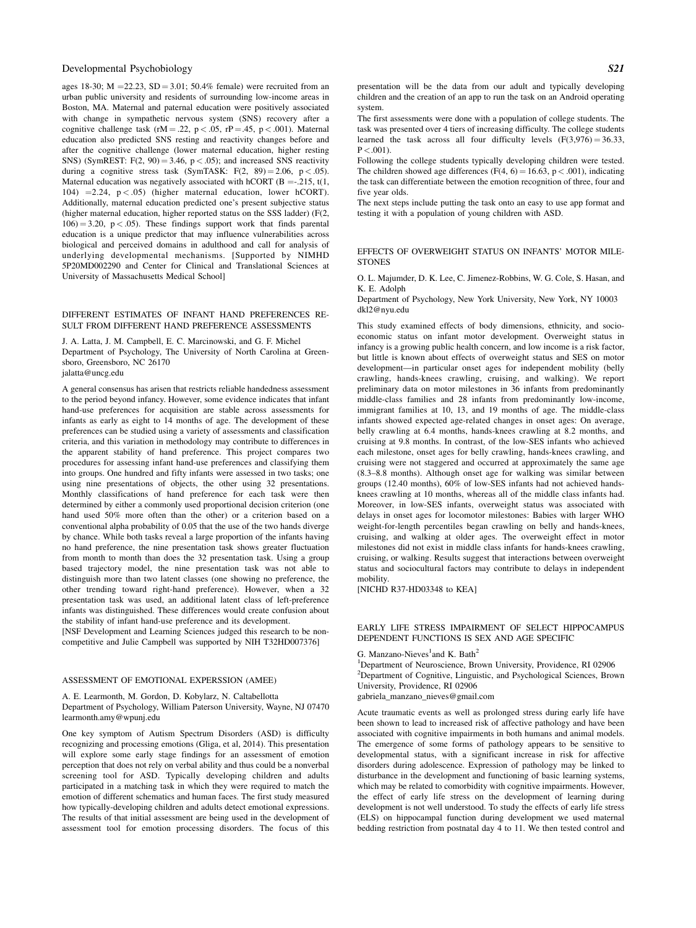ages 18-30; M = 22.23, SD = 3.01; 50.4% female) were recruited from an urban public university and residents of surrounding low-income areas in Boston, MA. Maternal and paternal education were positively associated with change in sympathetic nervous system (SNS) recovery after a cognitive challenge task (rM = .22, p < .05, rP = .45, p < .001). Maternal education also predicted SNS resting and reactivity changes before and after the cognitive challenge (lower maternal education, higher resting SNS) (SymREST:  $F(2, 90) = 3.46$ ,  $p < .05$ ); and increased SNS reactivity during a cognitive stress task (SymTASK:  $F(2, 89) = 2.06, p < .05$ ). Maternal education was negatively associated with hCORT (B = -.215, t(1, 104)  $=2.24$ ,  $p < .05$ ) (higher maternal education, lower hCORT). Additionally, maternal education predicted one's present subjective status (higher maternal education, higher reported status on the SSS ladder) (F(2,  $106$ ) = 3.20, p < .05). These findings support work that finds parental education is a unique predictor that may influence vulnerabilities across biological and perceived domains in adulthood and call for analysis of underlying developmental mechanisms. [Supported by NIMHD 5P20MD002290 and Center for Clinical and Translational Sciences at University of Massachusetts Medical School]

#### DIFFERENT ESTIMATES OF INFANT HAND PREFERENCES RE-SULT FROM DIFFERENT HAND PREFERENCE ASSESSMENTS

J. A. Latta, J. M. Campbell, E. C. Marcinowski, and G. F. Michel Department of Psychology, The University of North Carolina at Greensboro, Greensboro, NC 26170 jalatta@uncg.edu

A general consensus has arisen that restricts reliable handedness assessment to the period beyond infancy. However, some evidence indicates that infant hand-use preferences for acquisition are stable across assessments for infants as early as eight to 14 months of age. The development of these preferences can be studied using a variety of assessments and classification criteria, and this variation in methodology may contribute to differences in the apparent stability of hand preference. This project compares two procedures for assessing infant hand-use preferences and classifying them into groups. One hundred and fifty infants were assessed in two tasks; one using nine presentations of objects, the other using 32 presentations. Monthly classifications of hand preference for each task were then determined by either a commonly used proportional decision criterion (one hand used 50% more often than the other) or a criterion based on a conventional alpha probability of 0.05 that the use of the two hands diverge by chance. While both tasks reveal a large proportion of the infants having no hand preference, the nine presentation task shows greater fluctuation from month to month than does the 32 presentation task. Using a group based trajectory model, the nine presentation task was not able to distinguish more than two latent classes (one showing no preference, the other trending toward right-hand preference). However, when a 32 presentation task was used, an additional latent class of left-preference infants was distinguished. These differences would create confusion about the stability of infant hand-use preference and its development.

[NSF Development and Learning Sciences judged this research to be noncompetitive and Julie Campbell was supported by NIH T32HD007376]

#### ASSESSMENT OF EMOTIONAL EXPERSSION (AMEE)

A. E. Learmonth, M. Gordon, D. Kobylarz, N. Caltabellotta

Department of Psychology, William Paterson University, Wayne, NJ 07470 learmonth.amy@wpunj.edu

One key symptom of Autism Spectrum Disorders (ASD) is difficulty recognizing and processing emotions (Gliga, et al, 2014). This presentation will explore some early stage findings for an assessment of emotion perception that does not rely on verbal ability and thus could be a nonverbal screening tool for ASD. Typically developing children and adults participated in a matching task in which they were required to match the emotion of different schematics and human faces. The first study measured how typically-developing children and adults detect emotional expressions. The results of that initial assessment are being used in the development of assessment tool for emotion processing disorders. The focus of this presentation will be the data from our adult and typically developing children and the creation of an app to run the task on an Android operating system.

The first assessments were done with a population of college students. The task was presented over 4 tiers of increasing difficulty. The college students learned the task across all four difficulty levels  $(F(3, 976) = 36.33$ ,  $P < 001$ ).

Following the college students typically developing children were tested. The children showed age differences (F(4, 6) = 16.63, p < .001), indicating the task can differentiate between the emotion recognition of three, four and five year olds.

The next steps include putting the task onto an easy to use app format and testing it with a population of young children with ASD.

# EFFECTS OF OVERWEIGHT STATUS ON INFANTS' MOTOR MILE-**STONES**

O. L. Majumder, D. K. Lee, C. Jimenez-Robbins, W. G. Cole, S. Hasan, and K. E. Adolph

Department of Psychology, New York University, New York, NY 10003 dkl2@nyu.edu

This study examined effects of body dimensions, ethnicity, and socioeconomic status on infant motor development. Overweight status in infancy is a growing public health concern, and low income is a risk factor, but little is known about effects of overweight status and SES on motor development—in particular onset ages for independent mobility (belly crawling, hands-knees crawling, cruising, and walking). We report preliminary data on motor milestones in 36 infants from predominantly middle-class families and 28 infants from predominantly low-income, immigrant families at 10, 13, and 19 months of age. The middle-class infants showed expected age-related changes in onset ages: On average, belly crawling at 6.4 months, hands-knees crawling at 8.2 months, and cruising at 9.8 months. In contrast, of the low-SES infants who achieved each milestone, onset ages for belly crawling, hands-knees crawling, and cruising were not staggered and occurred at approximately the same age (8.3–8.8 months). Although onset age for walking was similar between groups (12.40 months), 60% of low-SES infants had not achieved handsknees crawling at 10 months, whereas all of the middle class infants had. Moreover, in low-SES infants, overweight status was associated with delays in onset ages for locomotor milestones: Babies with larger WHO weight-for-length percentiles began crawling on belly and hands-knees, cruising, and walking at older ages. The overweight effect in motor milestones did not exist in middle class infants for hands-knees crawling, cruising, or walking. Results suggest that interactions between overweight status and sociocultural factors may contribute to delays in independent mobility.

[NICHD R37-HD03348 to KEA]

# EARLY LIFE STRESS IMPAIRMENT OF SELECT HIPPOCAMPUS DEPENDENT FUNCTIONS IS SEX AND AGE SPECIFIC

# G. Manzano-Nieves<sup>1</sup> and K. Bath<sup>2</sup>

<sup>1</sup>Department of Neuroscience, Brown University, Providence, RI 02906 <sup>2</sup>Department of Cognitive, Linguistic, and Psychological Sciences, Brown University, Providence, RI 02906

gabriela\_manzano\_nieves@gmail.com

Acute traumatic events as well as prolonged stress during early life have been shown to lead to increased risk of affective pathology and have been associated with cognitive impairments in both humans and animal models. The emergence of some forms of pathology appears to be sensitive to developmental status, with a significant increase in risk for affective disorders during adolescence. Expression of pathology may be linked to disturbance in the development and functioning of basic learning systems, which may be related to comorbidity with cognitive impairments. However, the effect of early life stress on the development of learning during development is not well understood. To study the effects of early life stress (ELS) on hippocampal function during development we used maternal bedding restriction from postnatal day 4 to 11. We then tested control and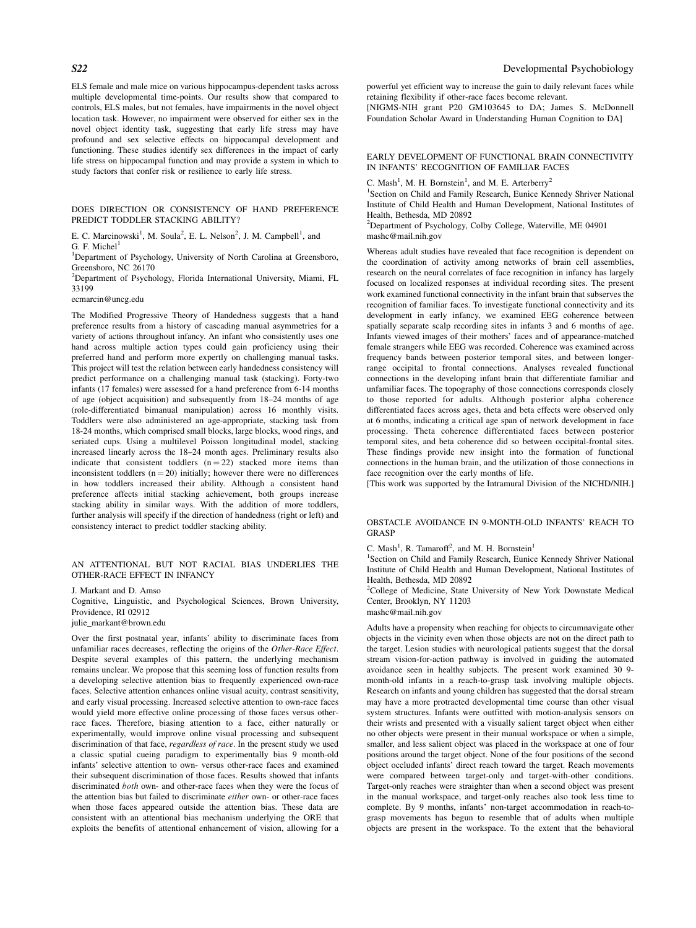ELS female and male mice on various hippocampus-dependent tasks across multiple developmental time-points. Our results show that compared to controls, ELS males, but not females, have impairments in the novel object location task. However, no impairment were observed for either sex in the novel object identity task, suggesting that early life stress may have profound and sex selective effects on hippocampal development and functioning. These studies identify sex differences in the impact of early life stress on hippocampal function and may provide a system in which to study factors that confer risk or resilience to early life stress.

DOES DIRECTION OR CONSISTENCY OF HAND PREFERENCE PREDICT TODDLER STACKING ABILITY?

E. C. Marcinowski<sup>1</sup>, M. Soula<sup>2</sup>, E. L. Nelson<sup>2</sup>, J. M. Campbell<sup>1</sup>, and G. F. Michel $<sup>1</sup>$ </sup>

<sup>1</sup>Department of Psychology, University of North Carolina at Greensboro, Greensboro, NC 26170

2 Department of Psychology, Florida International University, Miami, FL 33199

#### ecmarcin@uncg.edu

The Modified Progressive Theory of Handedness suggests that a hand preference results from a history of cascading manual asymmetries for a variety of actions throughout infancy. An infant who consistently uses one hand across multiple action types could gain proficiency using their preferred hand and perform more expertly on challenging manual tasks. This project will test the relation between early handedness consistency will predict performance on a challenging manual task (stacking). Forty-two infants (17 females) were assessed for a hand preference from 6-14 months of age (object acquisition) and subsequently from 18–24 months of age (role-differentiated bimanual manipulation) across 16 monthly visits. Toddlers were also administered an age-appropriate, stacking task from 18-24 months, which comprised small blocks, large blocks, wood rings, and seriated cups. Using a multilevel Poisson longitudinal model, stacking increased linearly across the 18–24 month ages. Preliminary results also indicate that consistent toddlers  $(n = 22)$  stacked more items than inconsistent toddlers  $(n = 20)$  initially; however there were no differences in how toddlers increased their ability. Although a consistent hand preference affects initial stacking achievement, both groups increase stacking ability in similar ways. With the addition of more toddlers, further analysis will specify if the direction of handedness (right or left) and consistency interact to predict toddler stacking ability.

#### AN ATTENTIONAL BUT NOT RACIAL BIAS UNDERLIES THE OTHER-RACE EFFECT IN INFANCY

J. Markant and D. Amso Cognitive, Linguistic, and Psychological Sciences, Brown University, Providence, RI 02912 julie\_markant@brown.edu

Over the first postnatal year, infants' ability to discriminate faces from unfamiliar races decreases, reflecting the origins of the Other-Race Effect. Despite several examples of this pattern, the underlying mechanism remains unclear. We propose that this seeming loss of function results from a developing selective attention bias to frequently experienced own-race faces. Selective attention enhances online visual acuity, contrast sensitivity, and early visual processing. Increased selective attention to own-race faces would yield more effective online processing of those faces versus otherrace faces. Therefore, biasing attention to a face, either naturally or experimentally, would improve online visual processing and subsequent discrimination of that face, regardless of race. In the present study we used a classic spatial cueing paradigm to experimentally bias 9 month-old infants' selective attention to own- versus other-race faces and examined their subsequent discrimination of those faces. Results showed that infants discriminated both own- and other-race faces when they were the focus of the attention bias but failed to discriminate either own- or other-race faces when those faces appeared outside the attention bias. These data are consistent with an attentional bias mechanism underlying the ORE that exploits the benefits of attentional enhancement of vision, allowing for a

powerful yet efficient way to increase the gain to daily relevant faces while retaining flexibility if other-race faces become relevant.

[NIGMS-NIH grant P20 GM103645 to DA; James S. McDonnell Foundation Scholar Award in Understanding Human Cognition to DA]

#### EARLY DEVELOPMENT OF FUNCTIONAL BRAIN CONNECTIVITY IN INFANTS' RECOGNITION OF FAMILIAR FACES

C. Mash<sup>1</sup>, M. H. Bornstein<sup>1</sup>, and M. E. Arterberry<sup>2</sup>

<sup>1</sup>Section on Child and Family Research, Eunice Kennedy Shriver National Institute of Child Health and Human Development, National Institutes of Health, Bethesda, MD 20892

<sup>2</sup>Department of Psychology, Colby College, Waterville, ME 04901 mashc@mail.nih.gov

Whereas adult studies have revealed that face recognition is dependent on the coordination of activity among networks of brain cell assemblies, research on the neural correlates of face recognition in infancy has largely focused on localized responses at individual recording sites. The present work examined functional connectivity in the infant brain that subserves the recognition of familiar faces. To investigate functional connectivity and its development in early infancy, we examined EEG coherence between spatially separate scalp recording sites in infants 3 and 6 months of age. Infants viewed images of their mothers' faces and of appearance-matched female strangers while EEG was recorded. Coherence was examined across frequency bands between posterior temporal sites, and between longerrange occipital to frontal connections. Analyses revealed functional connections in the developing infant brain that differentiate familiar and unfamiliar faces. The topography of those connections corresponds closely to those reported for adults. Although posterior alpha coherence differentiated faces across ages, theta and beta effects were observed only at 6 months, indicating a critical age span of network development in face processing. Theta coherence differentiated faces between posterior temporal sites, and beta coherence did so between occipital-frontal sites. These findings provide new insight into the formation of functional connections in the human brain, and the utilization of those connections in face recognition over the early months of life.

[This work was supported by the Intramural Division of the NICHD/NIH.]

#### OBSTACLE AVOIDANCE IN 9-MONTH-OLD INFANTS' REACH TO GRASP

C. Mash<sup>1</sup>, R. Tamaroff<sup>2</sup>, and M. H. Bornstein<sup>1</sup>

<sup>1</sup>Section on Child and Family Research, Eunice Kennedy Shriver National Institute of Child Health and Human Development, National Institutes of Health, Bethesda, MD 20892

<sup>2</sup>College of Medicine, State University of New York Downstate Medical Center, Brooklyn, NY 11203

mashc@mail.nih.gov

Adults have a propensity when reaching for objects to circumnavigate other objects in the vicinity even when those objects are not on the direct path to the target. Lesion studies with neurological patients suggest that the dorsal stream vision-for-action pathway is involved in guiding the automated avoidance seen in healthy subjects. The present work examined 30 9 month-old infants in a reach-to-grasp task involving multiple objects. Research on infants and young children has suggested that the dorsal stream may have a more protracted developmental time course than other visual system structures. Infants were outfitted with motion-analysis sensors on their wrists and presented with a visually salient target object when either no other objects were present in their manual workspace or when a simple, smaller, and less salient object was placed in the workspace at one of four positions around the target object. None of the four positions of the second object occluded infants' direct reach toward the target. Reach movements were compared between target-only and target-with-other conditions. Target-only reaches were straighter than when a second object was present in the manual workspace, and target-only reaches also took less time to complete. By 9 months, infants' non-target accommodation in reach-tograsp movements has begun to resemble that of adults when multiple objects are present in the workspace. To the extent that the behavioral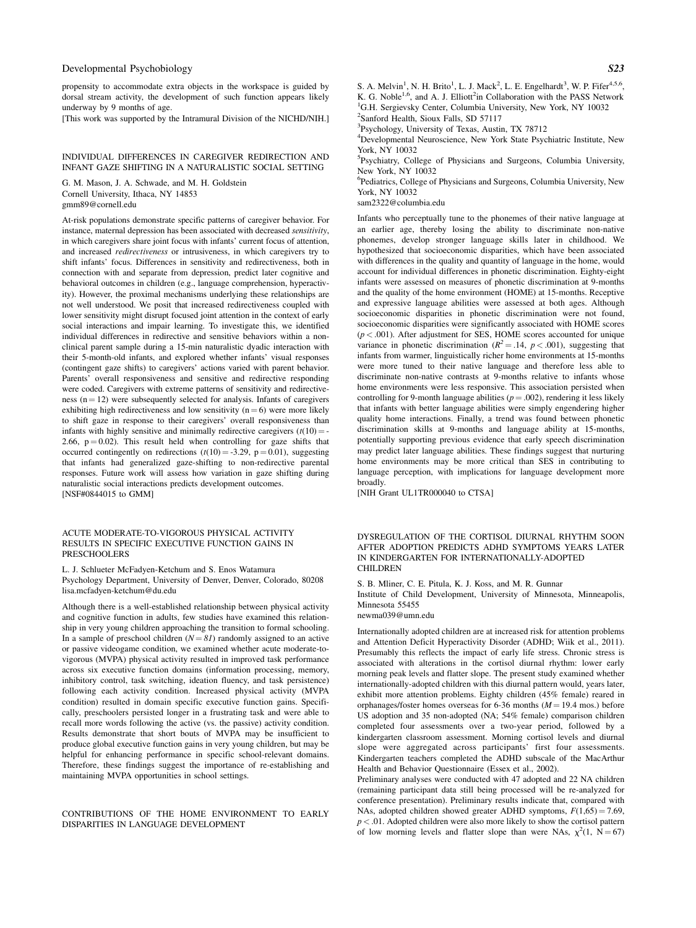propensity to accommodate extra objects in the workspace is guided by dorsal stream activity, the development of such function appears likely underway by 9 months of age.

[This work was supported by the Intramural Division of the NICHD/NIH.]

### INDIVIDUAL DIFFERENCES IN CAREGIVER REDIRECTION AND INFANT GAZE SHIFTING IN A NATURALISTIC SOCIAL SETTING

G. M. Mason, J. A. Schwade, and M. H. Goldstein Cornell University, Ithaca, NY 14853 gmm89@cornell.edu

At-risk populations demonstrate specific patterns of caregiver behavior. For instance, maternal depression has been associated with decreased sensitivity, in which caregivers share joint focus with infants' current focus of attention, and increased redirectiveness or intrusiveness, in which caregivers try to shift infants' focus. Differences in sensitivity and redirectiveness, both in connection with and separate from depression, predict later cognitive and behavioral outcomes in children (e.g., language comprehension, hyperactivity). However, the proximal mechanisms underlying these relationships are not well understood. We posit that increased redirectiveness coupled with lower sensitivity might disrupt focused joint attention in the context of early social interactions and impair learning. To investigate this, we identified individual differences in redirective and sensitive behaviors within a nonclinical parent sample during a 15-min naturalistic dyadic interaction with their 5-month-old infants, and explored whether infants' visual responses (contingent gaze shifts) to caregivers' actions varied with parent behavior. Parents' overall responsiveness and sensitive and redirective responding were coded. Caregivers with extreme patterns of sensitivity and redirectiveness  $(n = 12)$  were subsequently selected for analysis. Infants of caregivers exhibiting high redirectiveness and low sensitivity  $(n = 6)$  were more likely to shift gaze in response to their caregivers' overall responsiveness than infants with highly sensitive and minimally redirective caregivers  $(t(10) = -t)$ 2.66,  $p = 0.02$ ). This result held when controlling for gaze shifts that occurred contingently on redirections  $(t(10) = -3.29, p = 0.01)$ , suggesting that infants had generalized gaze-shifting to non-redirective parental responses. Future work will assess how variation in gaze shifting during naturalistic social interactions predicts development outcomes. [NSF#0844015 to GMM]

#### ACUTE MODERATE-TO-VIGOROUS PHYSICAL ACTIVITY RESULTS IN SPECIFIC EXECUTIVE FUNCTION GAINS IN PRESCHOOLERS

L. J. Schlueter McFadyen-Ketchum and S. Enos Watamura Psychology Department, University of Denver, Denver, Colorado, 80208 lisa.mcfadyen-ketchum@du.edu

Although there is a well-established relationship between physical activity and cognitive function in adults, few studies have examined this relationship in very young children approaching the transition to formal schooling. In a sample of preschool children  $(N = 81)$  randomly assigned to an active or passive videogame condition, we examined whether acute moderate-tovigorous (MVPA) physical activity resulted in improved task performance across six executive function domains (information processing, memory, inhibitory control, task switching, ideation fluency, and task persistence) following each activity condition. Increased physical activity (MVPA condition) resulted in domain specific executive function gains. Specifically, preschoolers persisted longer in a frustrating task and were able to recall more words following the active (vs. the passive) activity condition. Results demonstrate that short bouts of MVPA may be insufficient to produce global executive function gains in very young children, but may be helpful for enhancing performance in specific school-relevant domains. Therefore, these findings suggest the importance of re-establishing and maintaining MVPA opportunities in school settings.

CONTRIBUTIONS OF THE HOME ENVIRONMENT TO EARLY DISPARITIES IN LANGUAGE DEVELOPMENT

S. A. Melvin<sup>1</sup>, N. H. Brito<sup>1</sup>, L. J. Mack<sup>2</sup>, L. E. Engelhardt<sup>3</sup>, W. P. Fifer<sup>4,5,6</sup>, K. G. Noble<sup>1,6</sup>, and A. J. Elliott<sup>2</sup>in Collaboration with the PASS Network <sup>1</sup>G H. Sergiaucky Conter, Columbia University, New York, NV 10032 <sup>1</sup>G.H. Sergievsky Center, Columbia University, New York, NY 10032

2 Sanford Health, Sioux Falls, SD 57117

<sup>3</sup>Psychology, University of Texas, Austin, TX 78712

4 Developmental Neuroscience, New York State Psychiatric Institute, New York, NY 10032

5 Psychiatry, College of Physicians and Surgeons, Columbia University, New York, NY 10032

6 Pediatrics, College of Physicians and Surgeons, Columbia University, New York, NY 10032

sam2322@columbia.edu

Infants who perceptually tune to the phonemes of their native language at an earlier age, thereby losing the ability to discriminate non-native phonemes, develop stronger language skills later in childhood. We hypothesized that socioeconomic disparities, which have been associated with differences in the quality and quantity of language in the home, would account for individual differences in phonetic discrimination. Eighty-eight infants were assessed on measures of phonetic discrimination at 9-months and the quality of the home environment (HOME) at 15-months. Receptive and expressive language abilities were assessed at both ages. Although socioeconomic disparities in phonetic discrimination were not found, socioeconomic disparities were significantly associated with HOME scores  $(p < .001)$ . After adjustment for SES, HOME scores accounted for unique variance in phonetic discrimination ( $R^2 = .14$ ,  $p < .001$ ), suggesting that infants from warmer, linguistically richer home environments at 15-months were more tuned to their native language and therefore less able to discriminate non-native contrasts at 9-months relative to infants whose home environments were less responsive. This association persisted when controlling for 9-month language abilities ( $p = .002$ ), rendering it less likely that infants with better language abilities were simply engendering higher quality home interactions. Finally, a trend was found between phonetic discrimination skills at 9-months and language ability at 15-months, potentially supporting previous evidence that early speech discrimination may predict later language abilities. These findings suggest that nurturing home environments may be more critical than SES in contributing to language perception, with implications for language development more broadly.

[NIH Grant UL1TR000040 to CTSA]

#### DYSREGULATION OF THE CORTISOL DIURNAL RHYTHM SOON AFTER ADOPTION PREDICTS ADHD SYMPTOMS YEARS LATER IN KINDERGARTEN FOR INTERNATIONALLY-ADOPTED CHILDREN

S. B. Mliner, C. E. Pitula, K. J. Koss, and M. R. Gunnar

Institute of Child Development, University of Minnesota, Minneapolis, Minnesota 55455

newma039@umn.edu

Internationally adopted children are at increased risk for attention problems and Attention Deficit Hyperactivity Disorder (ADHD; Wiik et al., 2011). Presumably this reflects the impact of early life stress. Chronic stress is associated with alterations in the cortisol diurnal rhythm: lower early morning peak levels and flatter slope. The present study examined whether internationally-adopted children with this diurnal pattern would, years later, exhibit more attention problems. Eighty children (45% female) reared in orphanages/foster homes overseas for 6-36 months  $(M = 19.4 \text{ mos.})$  before US adoption and 35 non-adopted (NA; 54% female) comparison children completed four assessments over a two-year period, followed by a kindergarten classroom assessment. Morning cortisol levels and diurnal slope were aggregated across participants' first four assessments. Kindergarten teachers completed the ADHD subscale of the MacArthur Health and Behavior Questionnaire (Essex et al., 2002).

Preliminary analyses were conducted with 47 adopted and 22 NA children (remaining participant data still being processed will be re-analyzed for conference presentation). Preliminary results indicate that, compared with NAs, adopted children showed greater ADHD symptoms,  $F(1,65) = 7.69$ ,  $p < .01$ . Adopted children were also more likely to show the cortisol pattern of low morning levels and flatter slope than were NAs,  $\chi^2(1, \ N = 67)$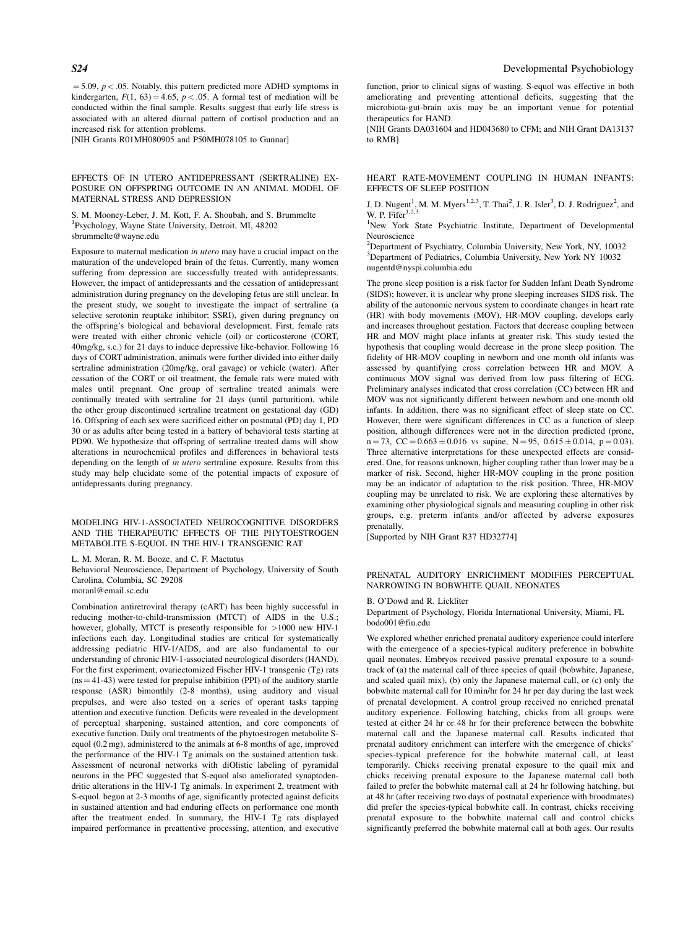$=$  5.09,  $p <$  0.05. Notably, this pattern predicted more ADHD symptoms in kindergarten,  $F(1, 63) = 4.65$ ,  $p < .05$ . A formal test of mediation will be conducted within the final sample. Results suggest that early life stress is associated with an altered diurnal pattern of cortisol production and an increased risk for attention problems.

[NIH Grants R01MH080905 and P50MH078105 to Gunnar]

#### EFFECTS OF IN UTERO ANTIDEPRESSANT (SERTRALINE) EX-POSURE ON OFFSPRING OUTCOME IN AN ANIMAL MODEL OF MATERNAL STRESS AND DEPRESSION

S. M. Mooney-Leber, J. M. Kott, F. A. Shoubah, and S. Brummelte 1 Psychology, Wayne State University, Detroit, MI, 48202 sbrummelte@wayne.edu

Exposure to maternal medication in utero may have a crucial impact on the maturation of the undeveloped brain of the fetus. Currently, many women suffering from depression are successfully treated with antidepressants. However, the impact of antidepressants and the cessation of antidepressant administration during pregnancy on the developing fetus are still unclear. In the present study, we sought to investigate the impact of sertraline (a selective serotonin reuptake inhibitor; SSRI), given during pregnancy on the offspring's biological and behavioral development. First, female rats were treated with either chronic vehicle (oil) or corticosterone (CORT, 40mg/kg, s.c.) for 21 days to induce depressive like-behavior. Following 16 days of CORT administration, animals were further divided into either daily sertraline administration (20mg/kg, oral gavage) or vehicle (water). After cessation of the CORT or oil treatment, the female rats were mated with males until pregnant. One group of sertraline treated animals were continually treated with sertraline for 21 days (until parturition), while the other group discontinued sertraline treatment on gestational day (GD) 16. Offspring of each sex were sacrificed either on postnatal (PD) day 1, PD 30 or as adults after being tested in a battery of behavioral tests starting at PD90. We hypothesize that offspring of sertraline treated dams will show alterations in neurochemical profiles and differences in behavioral tests depending on the length of in utero sertraline exposure. Results from this study may help elucidate some of the potential impacts of exposure of antidepressants during pregnancy.

MODELING HIV-1-ASSOCIATED NEUROCOGNITIVE DISORDERS AND THE THERAPEUTIC EFFECTS OF THE PHYTOESTROGEN METABOLITE S-EQUOL IN THE HIV-1 TRANSGENIC RAT

L. M. Moran, R. M. Booze, and C. F. Mactutus

Behavioral Neuroscience, Department of Psychology, University of South Carolina, Columbia, SC 29208

moranl@email.sc.edu

Combination antiretroviral therapy (cART) has been highly successful in reducing mother-to-child-transmission (MTCT) of AIDS in the U.S.; however, globally, MTCT is presently responsible for  $>1000$  new HIV-1 infections each day. Longitudinal studies are critical for systematically addressing pediatric HIV-1/AIDS, and are also fundamental to our understanding of chronic HIV-1-associated neurological disorders (HAND). For the first experiment, ovariectomized Fischer HIV-1 transgenic (Tg) rats  $(ns = 41-43)$  were tested for prepulse inhibition (PPI) of the auditory startle response (ASR) bimonthly (2-8 months), using auditory and visual prepulses, and were also tested on a series of operant tasks tapping attention and executive function. Deficits were revealed in the development of perceptual sharpening, sustained attention, and core components of executive function. Daily oral treatments of the phytoestrogen metabolite Sequol (0.2 mg), administered to the animals at 6-8 months of age, improved the performance of the HIV-1 Tg animals on the sustained attention task. Assessment of neuronal networks with diOlistic labeling of pyramidal neurons in the PFC suggested that S-equol also ameliorated synaptodendritic alterations in the HIV-1 Tg animals. In experiment 2, treatment with S-equol. begun at 2-3 months of age, significantly protected against deficits in sustained attention and had enduring effects on performance one month after the treatment ended. In summary, the HIV-1 Tg rats displayed impaired performance in preattentive processing, attention, and executive

function, prior to clinical signs of wasting. S-equol was effective in both ameliorating and preventing attentional deficits, suggesting that the microbiota-gut-brain axis may be an important venue for potential therapeutics for HAND.

[NIH Grants DA031604 and HD043680 to CFM; and NIH Grant DA13137 to RMB]

# HEART RATE-MOVEMENT COUPLING IN HUMAN INFANTS: EFFECTS OF SLEEP POSITION

J. D. Nugent<sup>1</sup>, M. M. Myers<sup>1,2,3</sup>, T. Thai<sup>2</sup>, J. R. Isler<sup>3</sup>, D. J. Rodriguez<sup>2</sup>, and W. P. Fifer<sup>1,2,3</sup>

<sup>1</sup>New York State Psychiatric Institute, Department of Developmental Neuroscience

2 Department of Psychiatry, Columbia University, New York, NY, 10032 3 Department of Pediatrics, Columbia University, New York NY 10032 nugentd@nyspi.columbia.edu

The prone sleep position is a risk factor for Sudden Infant Death Syndrome (SIDS); however, it is unclear why prone sleeping increases SIDS risk. The ability of the autonomic nervous system to coordinate changes in heart rate (HR) with body movements (MOV), HR-MOV coupling, develops early and increases throughout gestation. Factors that decrease coupling between HR and MOV might place infants at greater risk. This study tested the hypothesis that coupling would decrease in the prone sleep position. The fidelity of HR-MOV coupling in newborn and one month old infants was assessed by quantifying cross correlation between HR and MOV. A continuous MOV signal was derived from low pass filtering of ECG. Preliminary analyses indicated that cross correlation (CC) between HR and MOV was not significantly different between newborn and one-month old infants. In addition, there was no significant effect of sleep state on CC. However, there were significant differences in CC as a function of sleep position, although differences were not in the direction predicted (prone,  $n = 73$ ,  $CC = 0.663 \pm 0.016$  vs supine,  $N = 95$ ,  $0.615 \pm 0.014$ ,  $p = 0.03$ ). Three alternative interpretations for these unexpected effects are considered. One, for reasons unknown, higher coupling rather than lower may be a marker of risk. Second, higher HR-MOV coupling in the prone position may be an indicator of adaptation to the risk position. Three, HR-MOV coupling may be unrelated to risk. We are exploring these alternatives by examining other physiological signals and measuring coupling in other risk groups, e.g. preterm infants and/or affected by adverse exposures prenatally.

[Supported by NIH Grant R37 HD32774]

#### PRENATAL AUDITORY ENRICHMENT MODIFIES PERCEPTUAL NARROWING IN BOBWHITE QUAIL NEONATES

#### B. O'Dowd and R. Lickliter

Department of Psychology, Florida International University, Miami, FL bodo001@fiu.edu

We explored whether enriched prenatal auditory experience could interfere with the emergence of a species-typical auditory preference in bobwhite quail neonates. Embryos received passive prenatal exposure to a soundtrack of (a) the maternal call of three species of quail (bobwhite, Japanese, and scaled quail mix), (b) only the Japanese maternal call, or (c) only the bobwhite maternal call for 10 min/hr for 24 hr per day during the last week of prenatal development. A control group received no enriched prenatal auditory experience. Following hatching, chicks from all groups were tested at either 24 hr or 48 hr for their preference between the bobwhite maternal call and the Japanese maternal call. Results indicated that prenatal auditory enrichment can interfere with the emergence of chicks' species-typical preference for the bobwhite maternal call, at least temporarily. Chicks receiving prenatal exposure to the quail mix and chicks receiving prenatal exposure to the Japanese maternal call both failed to prefer the bobwhite maternal call at 24 hr following hatching, but at 48 hr (after receiving two days of postnatal experience with broodmates) did prefer the species-typical bobwhite call. In contrast, chicks receiving prenatal exposure to the bobwhite maternal call and control chicks significantly preferred the bobwhite maternal call at both ages. Our results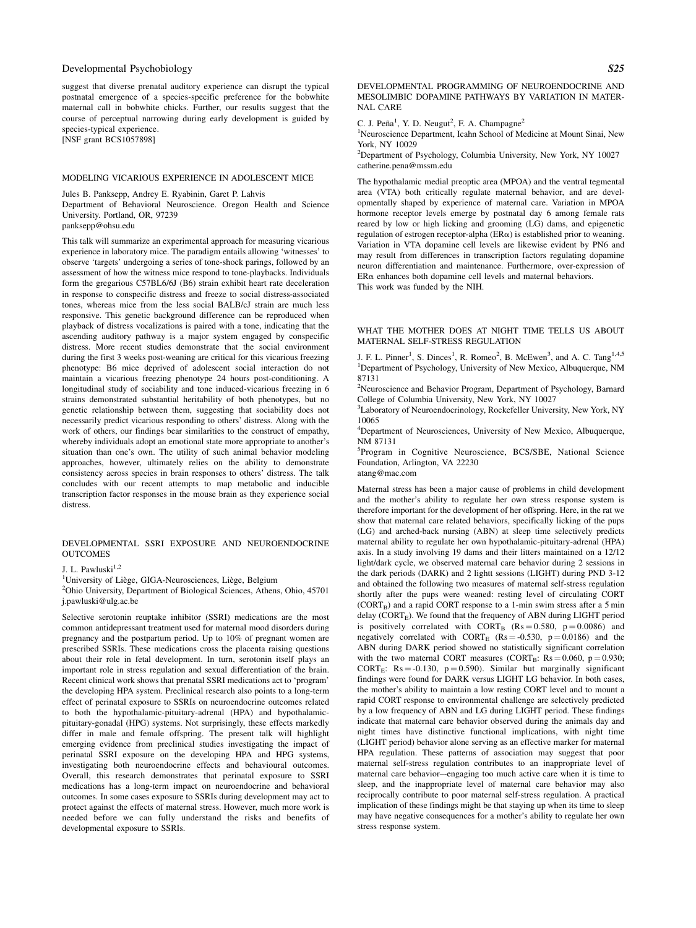suggest that diverse prenatal auditory experience can disrupt the typical postnatal emergence of a species-specific preference for the bobwhite maternal call in bobwhite chicks. Further, our results suggest that the course of perceptual narrowing during early development is guided by species-typical experience. [NSF grant BCS1057898]

MODELING VICARIOUS EXPERIENCE IN ADOLESCENT MICE

Jules B. Panksepp, Andrey E. Ryabinin, Garet P. Lahvis

Department of Behavioral Neuroscience. Oregon Health and Science University. Portland, OR, 97239

panksepp@ohsu.edu

This talk will summarize an experimental approach for measuring vicarious experience in laboratory mice. The paradigm entails allowing 'witnesses' to observe 'targets' undergoing a series of tone-shock parings, followed by an assessment of how the witness mice respond to tone-playbacks. Individuals form the gregarious C57BL6/6J (B6) strain exhibit heart rate deceleration in response to conspecific distress and freeze to social distress-associated tones, whereas mice from the less social BALB/cJ strain are much less responsive. This genetic background difference can be reproduced when playback of distress vocalizations is paired with a tone, indicating that the ascending auditory pathway is a major system engaged by conspecific distress. More recent studies demonstrate that the social environment during the first 3 weeks post-weaning are critical for this vicarious freezing phenotype: B6 mice deprived of adolescent social interaction do not maintain a vicarious freezing phenotype 24 hours post-conditioning. A longitudinal study of sociability and tone induced-vicarious freezing in 6 strains demonstrated substantial heritability of both phenotypes, but no genetic relationship between them, suggesting that sociability does not necessarily predict vicarious responding to others' distress. Along with the work of others, our findings bear similarities to the construct of empathy, whereby individuals adopt an emotional state more appropriate to another's situation than one's own. The utility of such animal behavior modeling approaches, however, ultimately relies on the ability to demonstrate consistency across species in brain responses to others' distress. The talk concludes with our recent attempts to map metabolic and inducible transcription factor responses in the mouse brain as they experience social distress.

#### DEVELOPMENTAL SSRI EXPOSURE AND NEUROENDOCRINE **OUTCOMES**

J. L. Pawluski $^{1,2}$ 

<sup>1</sup>University of Liège, GIGA-Neurosciences, Liège, Belgium  $\frac{2 \text{Chi}}{\text{Dist}}$ 

Ohio University, Department of Biological Sciences, Athens, Ohio, 45701 j.pawluski@ulg.ac.be

Selective serotonin reuptake inhibitor (SSRI) medications are the most common antidepressant treatment used for maternal mood disorders during pregnancy and the postpartum period. Up to 10% of pregnant women are prescribed SSRIs. These medications cross the placenta raising questions about their role in fetal development. In turn, serotonin itself plays an important role in stress regulation and sexual differentiation of the brain. Recent clinical work shows that prenatal SSRI medications act to 'program' the developing HPA system. Preclinical research also points to a long-term effect of perinatal exposure to SSRIs on neuroendocrine outcomes related to both the hypothalamic-pituitary-adrenal (HPA) and hypothalamicpituitary-gonadal (HPG) systems. Not surprisingly, these effects markedly differ in male and female offspring. The present talk will highlight emerging evidence from preclinical studies investigating the impact of perinatal SSRI exposure on the developing HPA and HPG systems, investigating both neuroendocrine effects and behavioural outcomes. Overall, this research demonstrates that perinatal exposure to SSRI medications has a long-term impact on neuroendocrine and behavioral outcomes. In some cases exposure to SSRIs during development may act to protect against the effects of maternal stress. However, much more work is needed before we can fully understand the risks and benefits of developmental exposure to SSRIs.

DEVELOPMENTAL PROGRAMMING OF NEUROENDOCRINE AND MESOLIMBIC DOPAMINE PATHWAYS BY VARIATION IN MATER-NAL CARE

C. J. Peña<sup>1</sup>, Y. D. Neugut<sup>2</sup>, F. A. Champagne<sup>2</sup>

<sup>1</sup>Neuroscience Department, Icahn School of Medicine at Mount Sinai, New York, NY 10029

2 Department of Psychology, Columbia University, New York, NY 10027 catherine.pena@mssm.edu

The hypothalamic medial preoptic area (MPOA) and the ventral tegmental area (VTA) both critically regulate maternal behavior, and are developmentally shaped by experience of maternal care. Variation in MPOA hormone receptor levels emerge by postnatal day 6 among female rats reared by low or high licking and grooming (LG) dams, and epigenetic regulation of estrogen receptor-alpha ( $ER\alpha$ ) is established prior to weaning. Variation in VTA dopamine cell levels are likewise evident by PN6 and may result from differences in transcription factors regulating dopamine neuron differentiation and maintenance. Furthermore, over-expression of  $ER\alpha$  enhances both dopamine cell levels and maternal behaviors. This work was funded by the NIH.

WHAT THE MOTHER DOES AT NIGHT TIME TELLS US ABOUT MATERNAL SELF-STRESS REGULATION

J. F. L. Pinner<sup>1</sup>, S. Dinces<sup>1</sup>, R. Romeo<sup>2</sup>, B. McEwen<sup>3</sup>, and A. C. Tang<sup>1,4,5</sup> <sup>1</sup>Department of Psychology, University of New Mexico, Albuquerque, NM 87131

<sup>2</sup>Neuroscience and Behavior Program, Department of Psychology, Barnard College of Columbia University, New York, NY 10027

<sup>3</sup>Laboratory of Neuroendocrinology, Rockefeller University, New York, NY 10065

4 Department of Neurosciences, University of New Mexico, Albuquerque, NM 87131

<sup>5</sup>Program in Cognitive Neuroscience, BCS/SBE, National Science Foundation, Arlington, VA 22230

atang@mac.com

Maternal stress has been a major cause of problems in child development and the mother's ability to regulate her own stress response system is therefore important for the development of her offspring. Here, in the rat we show that maternal care related behaviors, specifically licking of the pups (LG) and arched-back nursing (ABN) at sleep time selectively predicts maternal ability to regulate her own hypothalamic-pituitary-adrenal (HPA) axis. In a study involving 19 dams and their litters maintained on a 12/12 light/dark cycle, we observed maternal care behavior during 2 sessions in the dark periods (DARK) and 2 lightt sessions (LIGHT) during PND 3-12 and obtained the following two measures of maternal self-stress regulation shortly after the pups were weaned: resting level of circulating CORT  $(CORT<sub>B</sub>)$  and a rapid CORT response to a 1-min swim stress after a 5 min delay  $(CORT<sub>E</sub>)$ . We found that the frequency of ABN during LIGHT period is positively correlated with  $CORT_B$   $(Rs = 0.580, p = 0.0086)$  and negatively correlated with  $CORT_E$  (Rs = -0.530, p = 0.0186) and the ABN during DARK period showed no statistically significant correlation with the two maternal CORT measures (CORT<sub>B</sub>:  $Rs = 0.060$ ,  $p = 0.930$ ; CORT<sub>E</sub>: Rs = -0.130, p = 0.590). Similar but marginally significant findings were found for DARK versus LIGHT LG behavior. In both cases, the mother's ability to maintain a low resting CORT level and to mount a rapid CORT response to environmental challenge are selectively predicted by a low frequency of ABN and LG during LIGHT period. These findings indicate that maternal care behavior observed during the animals day and night times have distinctive functional implications, with night time (LIGHT period) behavior alone serving as an effective marker for maternal HPA regulation. These patterns of association may suggest that poor maternal self-stress regulation contributes to an inappropriate level of maternal care behavior–-engaging too much active care when it is time to sleep, and the inappropriate level of maternal care behavior may also reciprocally contribute to poor maternal self-stress regulation. A practical implication of these findings might be that staying up when its time to sleep may have negative consequences for a mother's ability to regulate her own stress response system.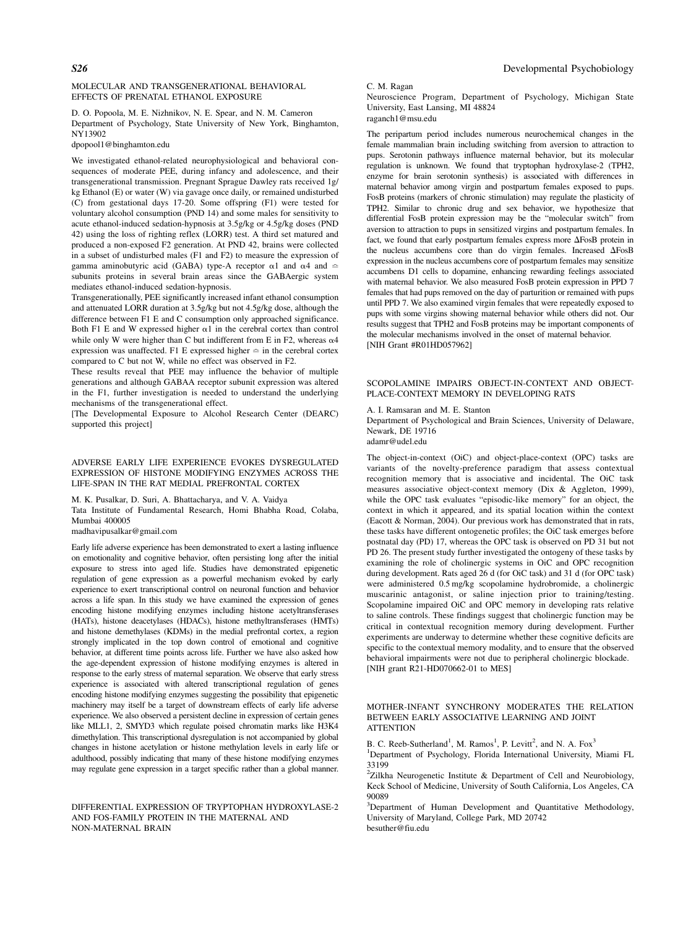#### MOLECULAR AND TRANSGENERATIONAL BEHAVIORAL EFFECTS OF PRENATAL ETHANOL EXPOSURE

D. O. Popoola, M. E. Nizhnikov, N. E. Spear, and N. M. Cameron Department of Psychology, State University of New York, Binghamton, NY13902

dpopool1@binghamton.edu

We investigated ethanol-related neurophysiological and behavioral consequences of moderate PEE, during infancy and adolescence, and their transgenerational transmission. Pregnant Sprague Dawley rats received 1g/ kg Ethanol (E) or water (W) via gavage once daily, or remained undisturbed (C) from gestational days 17-20. Some offspring (F1) were tested for voluntary alcohol consumption (PND 14) and some males for sensitivity to acute ethanol-induced sedation-hypnosis at 3.5g/kg or 4.5g/kg doses (PND 42) using the loss of righting reflex (LORR) test. A third set matured and produced a non-exposed F2 generation. At PND 42, brains were collected in a subset of undisturbed males (F1 and F2) to measure the expression of gamma aminobutyric acid (GABA) type-A receptor  $\alpha$ 1 and  $\alpha$ 4 and  $\approx$ subunits proteins in several brain areas since the GABAergic system mediates ethanol-induced sedation-hypnosis.

Transgenerationally, PEE significantly increased infant ethanol consumption and attenuated LORR duration at 3.5g/kg but not 4.5g/kg dose, although the difference between F1 E and C consumption only approached significance. Both F1 E and W expressed higher  $\alpha$ 1 in the cerebral cortex than control while only W were higher than C but indifferent from E in F2, whereas  $\alpha$ 4 expression was unaffected. F1 E expressed higher  $\simeq$  in the cerebral cortex compared to C but not W, while no effect was observed in F2.

These results reveal that PEE may influence the behavior of multiple generations and although GABAA receptor subunit expression was altered in the F1, further investigation is needed to understand the underlying mechanisms of the transgenerational effect.

[The Developmental Exposure to Alcohol Research Center (DEARC) supported this project]

# ADVERSE EARLY LIFE EXPERIENCE EVOKES DYSREGULATED EXPRESSION OF HISTONE MODIFYING ENZYMES ACROSS THE LIFE-SPAN IN THE RAT MEDIAL PREFRONTAL CORTEX

M. K. Pusalkar, D. Suri, A. Bhattacharya, and V. A. Vaidya

Tata Institute of Fundamental Research, Homi Bhabha Road, Colaba, Mumbai 400005

madhavipusalkar@gmail.com

Early life adverse experience has been demonstrated to exert a lasting influence on emotionality and cognitive behavior, often persisting long after the initial exposure to stress into aged life. Studies have demonstrated epigenetic regulation of gene expression as a powerful mechanism evoked by early experience to exert transcriptional control on neuronal function and behavior across a life span. In this study we have examined the expression of genes encoding histone modifying enzymes including histone acetyltransferases (HATs), histone deacetylases (HDACs), histone methyltransferases (HMTs) and histone demethylases (KDMs) in the medial prefrontal cortex, a region strongly implicated in the top down control of emotional and cognitive behavior, at different time points across life. Further we have also asked how the age-dependent expression of histone modifying enzymes is altered in response to the early stress of maternal separation. We observe that early stress experience is associated with altered transcriptional regulation of genes encoding histone modifying enzymes suggesting the possibility that epigenetic machinery may itself be a target of downstream effects of early life adverse experience. We also observed a persistent decline in expression of certain genes like MLL1, 2, SMYD3 which regulate poised chromatin marks like H3K4 dimethylation. This transcriptional dysregulation is not accompanied by global changes in histone acetylation or histone methylation levels in early life or adulthood, possibly indicating that many of these histone modifying enzymes may regulate gene expression in a target specific rather than a global manner.

#### DIFFERENTIAL EXPRESSION OF TRYPTOPHAN HYDROXYLASE-2 AND FOS-FAMILY PROTEIN IN THE MATERNAL AND NON-MATERNAL BRAIN

# S26 Developmental Psychobiology

#### C. M. Ragan

Neuroscience Program, Department of Psychology, Michigan State University, East Lansing, MI 48824 raganch1@msu.edu

The peripartum period includes numerous neurochemical changes in the female mammalian brain including switching from aversion to attraction to pups. Serotonin pathways influence maternal behavior, but its molecular regulation is unknown. We found that tryptophan hydroxylase-2 (TPH2, enzyme for brain serotonin synthesis) is associated with differences in maternal behavior among virgin and postpartum females exposed to pups. FosB proteins (markers of chronic stimulation) may regulate the plasticity of TPH2. Similar to chronic drug and sex behavior, we hypothesize that differential FosB protein expression may be the "molecular switch" from aversion to attraction to pups in sensitized virgins and postpartum females. In fact, we found that early postpartum females express more  $\Delta$ FosB protein in the nucleus accumbens core than do virgin females. Increased  $\Delta$ FosB expression in the nucleus accumbens core of postpartum females may sensitize accumbens D1 cells to dopamine, enhancing rewarding feelings associated with maternal behavior. We also measured FosB protein expression in PPD 7 females that had pups removed on the day of parturition or remained with pups until PPD 7. We also examined virgin females that were repeatedly exposed to pups with some virgins showing maternal behavior while others did not. Our results suggest that TPH2 and FosB proteins may be important components of the molecular mechanisms involved in the onset of maternal behavior. [NIH Grant #R01HD057962]

SCOPOLAMINE IMPAIRS OBJECT-IN-CONTEXT AND OBJECT-PLACE-CONTEXT MEMORY IN DEVELOPING RATS

#### A. I. Ramsaran and M. E. Stanton

Department of Psychological and Brain Sciences, University of Delaware, Newark, DE 19716 adamr@udel.edu

The object-in-context (OiC) and object-place-context (OPC) tasks are variants of the novelty-preference paradigm that assess contextual recognition memory that is associative and incidental. The OiC task measures associative object-context memory (Dix & Aggleton, 1999), while the OPC task evaluates "episodic-like memory" for an object, the context in which it appeared, and its spatial location within the context (Eacott & Norman, 2004). Our previous work has demonstrated that in rats, these tasks have different ontogenetic profiles; the OiC task emerges before postnatal day (PD) 17, whereas the OPC task is observed on PD 31 but not PD 26. The present study further investigated the ontogeny of these tasks by examining the role of cholinergic systems in OiC and OPC recognition during development. Rats aged 26 d (for OiC task) and 31 d (for OPC task) were administered 0.5 mg/kg scopolamine hydrobromide, a cholinergic muscarinic antagonist, or saline injection prior to training/testing. Scopolamine impaired OiC and OPC memory in developing rats relative to saline controls. These findings suggest that cholinergic function may be critical in contextual recognition memory during development. Further experiments are underway to determine whether these cognitive deficits are specific to the contextual memory modality, and to ensure that the observed behavioral impairments were not due to peripheral cholinergic blockade. [NIH grant R21-HD070662-01 to MES]

#### MOTHER-INFANT SYNCHRONY MODERATES THE RELATION BETWEEN EARLY ASSOCIATIVE LEARNING AND JOINT **ATTENTION**

B. C. Reeb-Sutherland<sup>1</sup>, M. Ramos<sup>1</sup>, P. Levitt<sup>2</sup>, and N. A. Fox<sup>3</sup>

<sup>1</sup>Department of Psychology, Florida International University, Miami FL 33199

 $2$ Zilkha Neurogenetic Institute & Department of Cell and Neurobiology, Keck School of Medicine, University of South California, Los Angeles, CA 90089

<sup>3</sup>Department of Human Development and Quantitative Methodology, University of Maryland, College Park, MD 20742 besuther@fiu.edu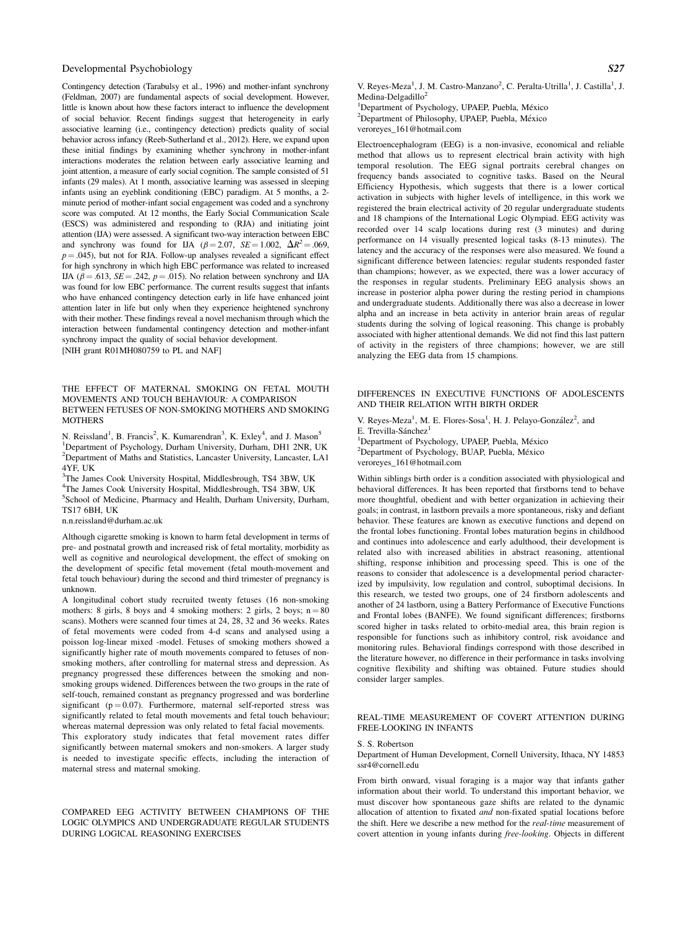Contingency detection (Tarabulsy et al., 1996) and mother-infant synchrony (Feldman, 2007) are fundamental aspects of social development. However, little is known about how these factors interact to influence the development of social behavior. Recent findings suggest that heterogeneity in early associative learning (i.e., contingency detection) predicts quality of social behavior across infancy (Reeb-Sutherland et al., 2012). Here, we expand upon these initial findings by examining whether synchrony in mother-infant interactions moderates the relation between early associative learning and joint attention, a measure of early social cognition. The sample consisted of 51 infants (29 males). At 1 month, associative learning was assessed in sleeping infants using an eyeblink conditioning (EBC) paradigm. At 5 months, a 2 minute period of mother-infant social engagement was coded and a synchrony score was computed. At 12 months, the Early Social Communication Scale (ESCS) was administered and responding to (RJA) and initiating joint attention (IJA) were assessed. A significant two-way interaction between EBC and synchrony was found for IJA ( $\beta = 2.07$ ,  $SE = 1.002$ ,  $\Delta R^2 = .069$ ,  $p = .045$ ), but not for RJA. Follow-up analyses revealed a significant effect for high synchrony in which high EBC performance was related to increased IJA ( $\beta$  = .613, *SE* = .242,  $p$  = .015). No relation between synchrony and IJA was found for low EBC performance. The current results suggest that infants who have enhanced contingency detection early in life have enhanced joint attention later in life but only when they experience heightened synchrony with their mother. These findings reveal a novel mechanism through which the interaction between fundamental contingency detection and mother-infant synchrony impact the quality of social behavior development. [NIH grant R01MH080759 to PL and NAF]

#### THE EFFECT OF MATERNAL SMOKING ON FETAL MOUTH MOVEMENTS AND TOUCH BEHAVIOUR: A COMPARISON BETWEEN FETUSES OF NON-SMOKING MOTHERS AND SMOKING **MOTHERS**

N. Reissland<sup>1</sup>, B. Francis<sup>2</sup>, K. Kumarendran<sup>3</sup>, K. Exley<sup>4</sup>, and J. Mason<sup>5</sup> <sup>1</sup>Department of Psychology, Durham University, Durham, DH1 2NR, UK 2 Department of Maths and Statistics, Lancaster University, Lancaster, LA1 4YF, UK

<sup>3</sup>The James Cook University Hospital, Middlesbrough, TS4 3BW, UK 4 The James Cook University Hospital, Middlesbrough, TS4 3BW, UK 5 School of Medicine, Pharmacy and Health, Durham University, Durham, TS17 6BH, UK

n.n.reissland@durham.ac.uk

Although cigarette smoking is known to harm fetal development in terms of pre- and postnatal growth and increased risk of fetal mortality, morbidity as well as cognitive and neurological development, the effect of smoking on the development of specific fetal movement (fetal mouth-movement and fetal touch behaviour) during the second and third trimester of pregnancy is unknown.

A longitudinal cohort study recruited twenty fetuses (16 non-smoking mothers: 8 girls, 8 boys and 4 smoking mothers: 2 girls, 2 boys;  $n = 80$ scans). Mothers were scanned four times at 24, 28, 32 and 36 weeks. Rates of fetal movements were coded from 4-d scans and analysed using a poisson log-linear mixed -model. Fetuses of smoking mothers showed a significantly higher rate of mouth movements compared to fetuses of nonsmoking mothers, after controlling for maternal stress and depression. As pregnancy progressed these differences between the smoking and nonsmoking groups widened. Differences between the two groups in the rate of self-touch, remained constant as pregnancy progressed and was borderline significant ( $p = 0.07$ ). Furthermore, maternal self-reported stress was significantly related to fetal mouth movements and fetal touch behaviour; whereas maternal depression was only related to fetal facial movements. This exploratory study indicates that fetal movement rates differ significantly between maternal smokers and non-smokers. A larger study is needed to investigate specific effects, including the interaction of maternal stress and maternal smoking.

COMPARED EEG ACTIVITY BETWEEN CHAMPIONS OF THE LOGIC OLYMPICS AND UNDERGRADUATE REGULAR STUDENTS DURING LOGICAL REASONING EXERCISES

V. Reyes-Meza<sup>1</sup>, J. M. Castro-Manzano<sup>2</sup>, C. Peralta-Utrilla<sup>1</sup>, J. Castilla<sup>1</sup>, J. Medina-Delgadillo $2$ 

<sup>1</sup>Department of Psychology, UPAEP, Puebla, México <sup>2</sup>Department of Philosophy, UPAEP, Puebla, México <sup>2</sup>Department of Philosophy, UPAEP, Puebla, México veroreyes\_161@hotmail.com

Electroencephalogram (EEG) is a non-invasive, economical and reliable method that allows us to represent electrical brain activity with high temporal resolution. The EEG signal portraits cerebral changes on frequency bands associated to cognitive tasks. Based on the Neural Efficiency Hypothesis, which suggests that there is a lower cortical activation in subjects with higher levels of intelligence, in this work we registered the brain electrical activity of 20 regular undergraduate students and 18 champions of the International Logic Olympiad. EEG activity was recorded over 14 scalp locations during rest (3 minutes) and during performance on 14 visually presented logical tasks (8-13 minutes). The latency and the accuracy of the responses were also measured. We found a significant difference between latencies: regular students responded faster than champions; however, as we expected, there was a lower accuracy of the responses in regular students. Preliminary EEG analysis shows an increase in posterior alpha power during the resting period in champions and undergraduate students. Additionally there was also a decrease in lower alpha and an increase in beta activity in anterior brain areas of regular students during the solving of logical reasoning. This change is probably associated with higher attentional demands. We did not find this last pattern of activity in the registers of three champions; however, we are still analyzing the EEG data from 15 champions.

# DIFFERENCES IN EXECUTIVE FUNCTIONS OF ADOLESCENTS AND THEIR RELATION WITH BIRTH ORDER

V. Reyes-Meza<sup>1</sup>, M. E. Flores-Sosa<sup>1</sup>, H. J. Pelayo-González<sup>2</sup>, and E. Trevilla-Sánchez $<sup>1</sup>$ </sup>

<sup>1</sup>Department of Psychology, UPAEP, Puebla, México

<sup>2</sup>Department of Psychology, BUAP, Puebla, México

veroreyes\_161@hotmail.com

Within siblings birth order is a condition associated with physiological and behavioral differences. It has been reported that firstborns tend to behave more thoughtful, obedient and with better organization in achieving their goals; in contrast, in lastborn prevails a more spontaneous, risky and defiant behavior. These features are known as executive functions and depend on the frontal lobes functioning. Frontal lobes maturation begins in childhood and continues into adolescence and early adulthood, their development is related also with increased abilities in abstract reasoning, attentional shifting, response inhibition and processing speed. This is one of the reasons to consider that adolescence is a developmental period characterized by impulsivity, low regulation and control, suboptimal decisions. In this research, we tested two groups, one of 24 firstborn adolescents and another of 24 lastborn, using a Battery Performance of Executive Functions and Frontal lobes (BANFE). We found significant differences; firstborns scored higher in tasks related to orbito-medial area, this brain region is responsible for functions such as inhibitory control, risk avoidance and monitoring rules. Behavioral findings correspond with those described in the literature however, no difference in their performance in tasks involving cognitive flexibility and shifting was obtained. Future studies should consider larger samples.

### REAL-TIME MEASUREMENT OF COVERT ATTENTION DURING FREE-LOOKING IN INFANTS

#### S. S. Robertson

Department of Human Development, Cornell University, Ithaca, NY 14853 ssr4@cornell.edu

From birth onward, visual foraging is a major way that infants gather information about their world. To understand this important behavior, we must discover how spontaneous gaze shifts are related to the dynamic allocation of attention to fixated and non-fixated spatial locations before the shift. Here we describe a new method for the real-time measurement of covert attention in young infants during free-looking. Objects in different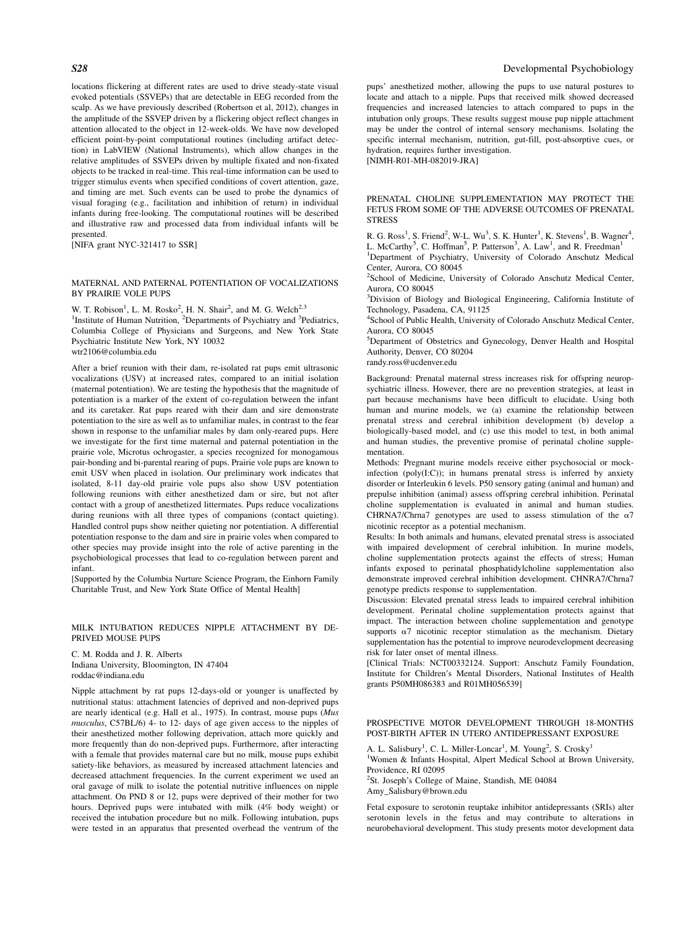locations flickering at different rates are used to drive steady-state visual evoked potentials (SSVEPs) that are detectable in EEG recorded from the scalp. As we have previously described (Robertson et al, 2012), changes in the amplitude of the SSVEP driven by a flickering object reflect changes in attention allocated to the object in 12-week-olds. We have now developed efficient point-by-point computational routines (including artifact detection) in LabVIEW (National Instruments), which allow changes in the relative amplitudes of SSVEPs driven by multiple fixated and non-fixated objects to be tracked in real-time. This real-time information can be used to trigger stimulus events when specified conditions of covert attention, gaze, and timing are met. Such events can be used to probe the dynamics of visual foraging (e.g., facilitation and inhibition of return) in individual infants during free-looking. The computational routines will be described and illustrative raw and processed data from individual infants will be presented.

[NIFA grant NYC-321417 to SSR]

# MATERNAL AND PATERNAL POTENTIATION OF VOCALIZATIONS BY PRAIRIE VOLE PUPS

W. T. Robison<sup>1</sup>, L. M. Rosko<sup>2</sup>, H. N. Shair<sup>2</sup>, and M. G. Welch<sup>2,3</sup><br><sup>1</sup>Institute of Human Nutrition, <sup>2</sup>Departments of Psychiatry and <sup>3</sup>Pediatrics, Columbia College of Physicians and Surgeons, and New York State Psychiatric Institute New York, NY 10032 wtr2106@columbia.edu

After a brief reunion with their dam, re-isolated rat pups emit ultrasonic vocalizations (USV) at increased rates, compared to an initial isolation (maternal potentiation). We are testing the hypothesis that the magnitude of potentiation is a marker of the extent of co-regulation between the infant and its caretaker. Rat pups reared with their dam and sire demonstrate potentiation to the sire as well as to unfamiliar males, in contrast to the fear shown in response to the unfamiliar males by dam only-reared pups. Here we investigate for the first time maternal and paternal potentiation in the prairie vole, Microtus ochrogaster, a species recognized for monogamous pair-bonding and bi-parental rearing of pups. Prairie vole pups are known to emit USV when placed in isolation. Our preliminary work indicates that isolated, 8-11 day-old prairie vole pups also show USV potentiation following reunions with either anesthetized dam or sire, but not after contact with a group of anesthetized littermates. Pups reduce vocalizations during reunions with all three types of companions (contact quieting). Handled control pups show neither quieting nor potentiation. A differential potentiation response to the dam and sire in prairie voles when compared to other species may provide insight into the role of active parenting in the psychobiological processes that lead to co-regulation between parent and infant.

[Supported by the Columbia Nurture Science Program, the Einhorn Family Charitable Trust, and New York State Office of Mental Health]

MILK INTUBATION REDUCES NIPPLE ATTACHMENT BY DE-PRIVED MOUSE PUPS

C. M. Rodda and J. R. Alberts Indiana University, Bloomington, IN 47404 roddac@indiana.edu

Nipple attachment by rat pups 12-days-old or younger is unaffected by nutritional status: attachment latencies of deprived and non-deprived pups are nearly identical (e.g. Hall et al., 1975). In contrast, mouse pups (Mus musculus, C57BL/6) 4- to 12- days of age given access to the nipples of their anesthetized mother following deprivation, attach more quickly and more frequently than do non-deprived pups. Furthermore, after interacting with a female that provides maternal care but no milk, mouse pups exhibit satiety-like behaviors, as measured by increased attachment latencies and decreased attachment frequencies. In the current experiment we used an oral gavage of milk to isolate the potential nutritive influences on nipple attachment. On PND 8 or 12, pups were deprived of their mother for two hours. Deprived pups were intubated with milk (4% body weight) or received the intubation procedure but no milk. Following intubation, pups were tested in an apparatus that presented overhead the ventrum of the

pups' anesthetized mother, allowing the pups to use natural postures to locate and attach to a nipple. Pups that received milk showed decreased frequencies and increased latencies to attach compared to pups in the intubation only groups. These results suggest mouse pup nipple attachment may be under the control of internal sensory mechanisms. Isolating the specific internal mechanism, nutrition, gut-fill, post-absorptive cues, or hydration, requires further investigation. [NIMH-R01-MH-082019-JRA]

PRENATAL CHOLINE SUPPLEMENTATION MAY PROTECT THE FETUS FROM SOME OF THE ADVERSE OUTCOMES OF PRENATAL **STRESS** 

R. G. Ross<sup>1</sup>, S. Friend<sup>2</sup>, W-L. Wu<sup>3</sup>, S. K. Hunter<sup>1</sup>, K. Stevens<sup>1</sup>, B. Wagner<sup>4</sup>, L. McCarthy<sup>5</sup>, C. Hoffman<sup>5</sup>, P. Patterson<sup>3</sup>, A. Law<sup>1</sup>, and R. Freedman<sup>1</sup>

<sup>1</sup>Department of Psychiatry, University of Colorado Anschutz Medical Center, Aurora, CO 80045

<sup>2</sup>School of Medicine, University of Colorado Anschutz Medical Center, Aurora, CO 80045

<sup>3</sup>Division of Biology and Biological Engineering, California Institute of Technology, Pasadena, CA, 91125

4 School of Public Health, University of Colorado Anschutz Medical Center, Aurora, CO 80045

5 Department of Obstetrics and Gynecology, Denver Health and Hospital Authority, Denver, CO 80204

randy.ross@ucdenver.edu

Background: Prenatal maternal stress increases risk for offspring neuropsychiatric illness. However, there are no prevention strategies, at least in part because mechanisms have been difficult to elucidate. Using both human and murine models, we (a) examine the relationship between prenatal stress and cerebral inhibition development (b) develop a biologically-based model, and (c) use this model to test, in both animal and human studies, the preventive promise of perinatal choline supplementation.

Methods: Pregnant murine models receive either psychosocial or mockinfection ( $poly(I:C)$ ); in humans prenatal stress is inferred by anxiety disorder or Interleukin 6 levels. P50 sensory gating (animal and human) and prepulse inhibition (animal) assess offspring cerebral inhibition. Perinatal choline supplementation is evaluated in animal and human studies. CHRNA7/Chrna7 genotypes are used to assess stimulation of the  $\alpha$ 7 nicotinic receptor as a potential mechanism.

Results: In both animals and humans, elevated prenatal stress is associated with impaired development of cerebral inhibition. In murine models, choline supplementation protects against the effects of stress; Human infants exposed to perinatal phosphatidylcholine supplementation also demonstrate improved cerebral inhibition development. CHNRA7/Chrna7 genotype predicts response to supplementation.

Discussion: Elevated prenatal stress leads to impaired cerebral inhibition development. Perinatal choline supplementation protects against that impact. The interaction between choline supplementation and genotype supports  $\alpha$ 7 nicotinic receptor stimulation as the mechanism. Dietary supplementation has the potential to improve neurodevelopment decreasing risk for later onset of mental illness.

[Clinical Trials: NCT00332124. Support: Anschutz Family Foundation, Institute for Children's Mental Disorders, National Institutes of Health grants P50MH086383 and R01MH056539]

#### PROSPECTIVE MOTOR DEVELOPMENT THROUGH 18-MONTHS POST-BIRTH AFTER IN UTERO ANTIDEPRESSANT EXPOSURE

A. L. Salisbury<sup>1</sup>, C. L. Miller-Loncar<sup>1</sup>, M. Young<sup>2</sup>, S. Crosky<sup>1</sup> <sup>1</sup>Women & Infants Hospital, Alpert Medical School at Brown University, Providence, RI 02095

<sup>2</sup>St. Joseph's College of Maine, Standish, ME 04084

Amy\_Salisbury@brown.edu

Fetal exposure to serotonin reuptake inhibitor antidepressants (SRIs) alter serotonin levels in the fetus and may contribute to alterations in neurobehavioral development. This study presents motor development data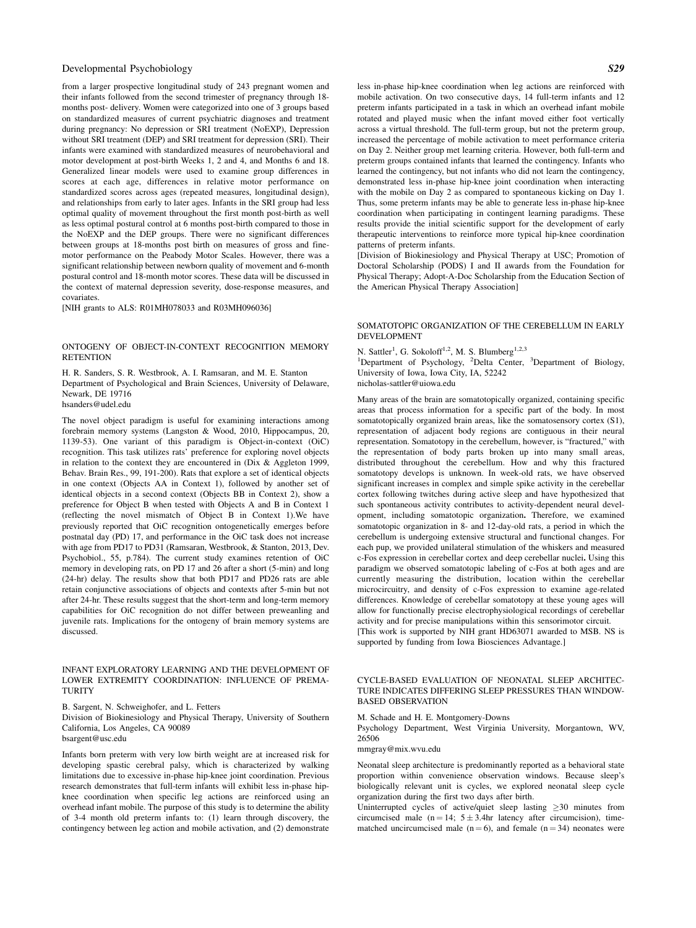from a larger prospective longitudinal study of 243 pregnant women and their infants followed from the second trimester of pregnancy through 18 months post- delivery. Women were categorized into one of 3 groups based on standardized measures of current psychiatric diagnoses and treatment during pregnancy: No depression or SRI treatment (NoEXP), Depression without SRI treatment (DEP) and SRI treatment for depression (SRI). Their infants were examined with standardized measures of neurobehavioral and motor development at post-birth Weeks 1, 2 and 4, and Months 6 and 18. Generalized linear models were used to examine group differences in scores at each age, differences in relative motor performance on standardized scores across ages (repeated measures, longitudinal design), and relationships from early to later ages. Infants in the SRI group had less optimal quality of movement throughout the first month post-birth as well as less optimal postural control at 6 months post-birth compared to those in the NoEXP and the DEP groups. There were no significant differences between groups at 18-months post birth on measures of gross and finemotor performance on the Peabody Motor Scales. However, there was a significant relationship between newborn quality of movement and 6-month postural control and 18-month motor scores. These data will be discussed in the context of maternal depression severity, dose-response measures, and covariates.

[NIH grants to ALS: R01MH078033 and R03MH096036]

# ONTOGENY OF OBJECT-IN-CONTEXT RECOGNITION MEMORY **RETENTION**

H. R. Sanders, S. R. Westbrook, A. I. Ramsaran, and M. E. Stanton Department of Psychological and Brain Sciences, University of Delaware, Newark, DE 19716 hsanders@udel.edu

The novel object paradigm is useful for examining interactions among forebrain memory systems (Langston & Wood, 2010, Hippocampus, 20, 1139-53). One variant of this paradigm is Object-in-context (OiC) recognition. This task utilizes rats' preference for exploring novel objects in relation to the context they are encountered in (Dix & Aggleton 1999, Behav. Brain Res., 99, 191-200). Rats that explore a set of identical objects in one context (Objects AA in Context 1), followed by another set of identical objects in a second context (Objects BB in Context 2), show a preference for Object B when tested with Objects A and B in Context 1 (reflecting the novel mismatch of Object B in Context 1).We have previously reported that OiC recognition ontogenetically emerges before postnatal day (PD) 17, and performance in the OiC task does not increase with age from PD17 to PD31 (Ramsaran, Westbrook, & Stanton, 2013, Dev. Psychobiol., 55, p.784). The current study examines retention of OiC memory in developing rats, on PD 17 and 26 after a short (5-min) and long (24-hr) delay. The results show that both PD17 and PD26 rats are able retain conjunctive associations of objects and contexts after 5-min but not after 24-hr. These results suggest that the short-term and long-term memory capabilities for OiC recognition do not differ between preweanling and juvenile rats. Implications for the ontogeny of brain memory systems are discussed.

## INFANT EXPLORATORY LEARNING AND THE DEVELOPMENT OF LOWER EXTREMITY COORDINATION: INFLUENCE OF PREMA-**TURITY**

B. Sargent, N. Schweighofer, and L. Fetters Division of Biokinesiology and Physical Therapy, University of Southern California, Los Angeles, CA 90089 bsargent@usc.edu

Infants born preterm with very low birth weight are at increased risk for developing spastic cerebral palsy, which is characterized by walking limitations due to excessive in-phase hip-knee joint coordination. Previous research demonstrates that full-term infants will exhibit less in-phase hipknee coordination when specific leg actions are reinforced using an overhead infant mobile. The purpose of this study is to determine the ability of 3-4 month old preterm infants to: (1) learn through discovery, the contingency between leg action and mobile activation, and (2) demonstrate

less in-phase hip-knee coordination when leg actions are reinforced with mobile activation. On two consecutive days, 14 full-term infants and 12 preterm infants participated in a task in which an overhead infant mobile rotated and played music when the infant moved either foot vertically across a virtual threshold. The full-term group, but not the preterm group, increased the percentage of mobile activation to meet performance criteria on Day 2. Neither group met learning criteria. However, both full-term and preterm groups contained infants that learned the contingency. Infants who learned the contingency, but not infants who did not learn the contingency, demonstrated less in-phase hip-knee joint coordination when interacting with the mobile on Day 2 as compared to spontaneous kicking on Day 1. Thus, some preterm infants may be able to generate less in-phase hip-knee coordination when participating in contingent learning paradigms. These results provide the initial scientific support for the development of early therapeutic interventions to reinforce more typical hip-knee coordination patterns of preterm infants.

[Division of Biokinesiology and Physical Therapy at USC; Promotion of Doctoral Scholarship (PODS) I and II awards from the Foundation for Physical Therapy; Adopt-A-Doc Scholarship from the Education Section of the American Physical Therapy Association]

#### SOMATOTOPIC ORGANIZATION OF THE CEREBELLUM IN EARLY DEVELOPMENT

N. Sattler<sup>1</sup>, G. Sokoloff<sup>1,2</sup>, M. S. Blumberg<sup>1,2,3</sup>

<sup>1</sup>Department of Psychology, <sup>2</sup>Delta Center, <sup>3</sup>Department of Biology, University of Iowa, Iowa City, IA, 52242

nicholas-sattler@uiowa.edu

Many areas of the brain are somatotopically organized, containing specific areas that process information for a specific part of the body. In most somatotopically organized brain areas, like the somatosensory cortex (S1), representation of adjacent body regions are contiguous in their neural representation. Somatotopy in the cerebellum, however, is "fractured," with the representation of body parts broken up into many small areas, distributed throughout the cerebellum. How and why this fractured somatotopy develops is unknown. In week-old rats, we have observed significant increases in complex and simple spike activity in the cerebellar cortex following twitches during active sleep and have hypothesized that such spontaneous activity contributes to activity-dependent neural development, including somatotopic organization. Therefore, we examined somatotopic organization in 8- and 12-day-old rats, a period in which the cerebellum is undergoing extensive structural and functional changes. For each pup, we provided unilateral stimulation of the whiskers and measured c-Fos expression in cerebellar cortex and deep cerebellar nuclei. Using this paradigm we observed somatotopic labeling of c-Fos at both ages and are currently measuring the distribution, location within the cerebellar microcircuitry, and density of c-Fos expression to examine age-related differences. Knowledge of cerebellar somatotopy at these young ages will allow for functionally precise electrophysiological recordings of cerebellar activity and for precise manipulations within this sensorimotor circuit. [This work is supported by NIH grant HD63071 awarded to MSB. NS is supported by funding from Iowa Biosciences Advantage.]

CYCLE-BASED EVALUATION OF NEONATAL SLEEP ARCHITEC-TURE INDICATES DIFFERING SLEEP PRESSURES THAN WINDOW-BASED OBSERVATION

M. Schade and H. E. Montgomery-Downs

Psychology Department, West Virginia University, Morgantown, WV, 26506

mmgray@mix.wvu.edu

Neonatal sleep architecture is predominantly reported as a behavioral state proportion within convenience observation windows. Because sleep's biologically relevant unit is cycles, we explored neonatal sleep cycle organization during the first two days after birth.

Uninterrupted cycles of active/quiet sleep lasting  $\geq 30$  minutes from circumcised male (n = 14;  $5 \pm 3.4$ hr latency after circumcision), timematched uncircumcised male  $(n = 6)$ , and female  $(n = 34)$  neonates were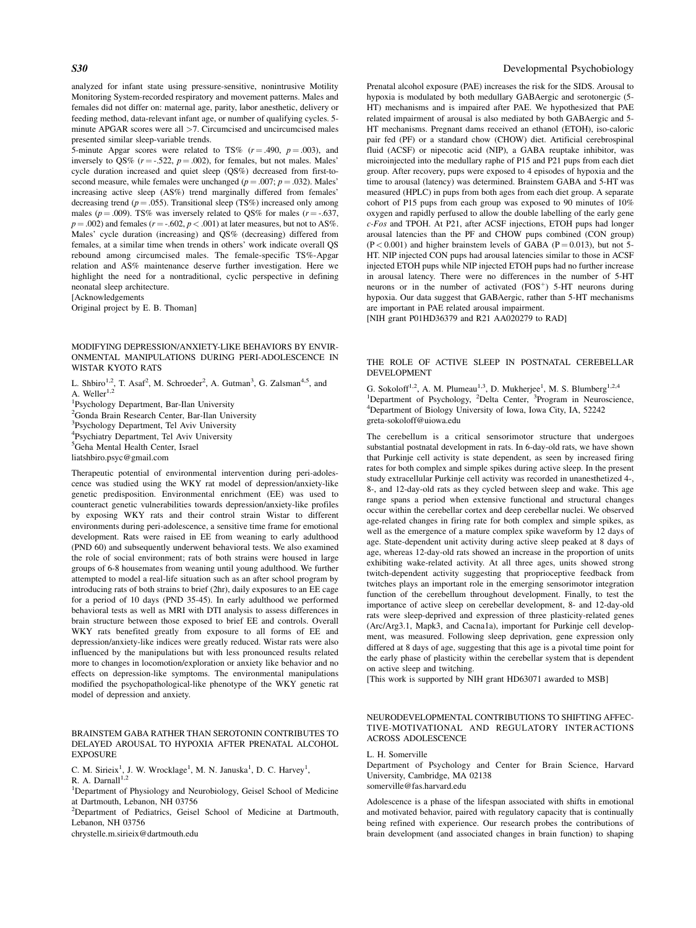analyzed for infant state using pressure-sensitive, nonintrusive Motility Monitoring System-recorded respiratory and movement patterns. Males and females did not differ on: maternal age, parity, labor anesthetic, delivery or feeding method, data-relevant infant age, or number of qualifying cycles. 5 minute APGAR scores were all >7. Circumcised and uncircumcised males presented similar sleep-variable trends.

5-minute Apgar scores were related to TS%  $(r = .490, p = .003)$ , and inversely to QS% ( $r = -0.522$ ,  $p = 0.002$ ), for females, but not males. Males' cycle duration increased and quiet sleep (QS%) decreased from first-tosecond measure, while females were unchanged ( $p = .007$ ;  $p = .032$ ). Males' increasing active sleep (AS%) trend marginally differed from females' decreasing trend ( $p = .055$ ). Transitional sleep (TS%) increased only among males ( $p = .009$ ). TS% was inversely related to QS% for males ( $r = -.637$ ,  $p = .002$ ) and females ( $r = -.602$ ,  $p < .001$ ) at later measures, but not to AS%. Males' cycle duration (increasing) and QS% (decreasing) differed from females, at a similar time when trends in others' work indicate overall QS rebound among circumcised males. The female-specific TS%-Apgar relation and AS% maintenance deserve further investigation. Here we highlight the need for a nontraditional, cyclic perspective in defining neonatal sleep architecture.

**[Acknowledgements** 

Original project by E. B. Thoman]

MODIFYING DEPRESSION/ANXIETY-LIKE BEHAVIORS BY ENVIR-ONMENTAL MANIPULATIONS DURING PERI-ADOLESCENCE IN WISTAR KYOTO RATS

L. Shbiro<sup>1,2</sup>, T. Asaf<sup>2</sup>, M. Schroeder<sup>2</sup>, A. Gutman<sup>3</sup>, G. Zalsman<sup>4,5</sup>, and A. Weller $1,2$ 

1 Psychology Department, Bar-Ilan University <sup>2</sup>Gonda Brain Research Center, Bar-Ilan University <sup>3</sup>Psychology Department, Tel Aviv University 4 Psychiatry Department, Tel Aviv University

5 Geha Mental Health Center, Israel

liatshbiro.psyc@gmail.com

Therapeutic potential of environmental intervention during peri-adolescence was studied using the WKY rat model of depression/anxiety-like genetic predisposition. Environmental enrichment (EE) was used to counteract genetic vulnerabilities towards depression/anxiety-like profiles by exposing WKY rats and their control strain Wistar to different environments during peri-adolescence, a sensitive time frame for emotional development. Rats were raised in EE from weaning to early adulthood (PND 60) and subsequently underwent behavioral tests. We also examined the role of social environment; rats of both strains were housed in large groups of 6-8 housemates from weaning until young adulthood. We further attempted to model a real-life situation such as an after school program by introducing rats of both strains to brief (2hr), daily exposures to an EE cage for a period of 10 days (PND 35-45). In early adulthood we performed behavioral tests as well as MRI with DTI analysis to assess differences in brain structure between those exposed to brief EE and controls. Overall WKY rats benefited greatly from exposure to all forms of EE and depression/anxiety-like indices were greatly reduced. Wistar rats were also influenced by the manipulations but with less pronounced results related more to changes in locomotion/exploration or anxiety like behavior and no effects on depression-like symptoms. The environmental manipulations modified the psychopathological-like phenotype of the WKY genetic rat model of depression and anxiety.

# BRAINSTEM GABA RATHER THAN SEROTONIN CONTRIBUTES TO DELAYED AROUSAL TO HYPOXIA AFTER PRENATAL ALCOHOL EXPOSURE

C. M. Sirieix<sup>1</sup>, J. W. Wrocklage<sup>1</sup>, M. N. Januska<sup>1</sup>, D. C. Harvey<sup>1</sup>,

R. A. Darnall $^{1,2}$ 

<sup>1</sup>Department of Physiology and Neurobiology, Geisel School of Medicine at Dartmouth, Lebanon, NH 03756

<sup>2</sup>Department of Pediatrics, Geisel School of Medicine at Dartmouth, Lebanon, NH 03756

chrystelle.m.sirieix@dartmouth.edu

# S30 Developmental Psychobiology

Prenatal alcohol exposure (PAE) increases the risk for the SIDS. Arousal to hypoxia is modulated by both medullary GABAergic and serotonergic (5- HT) mechanisms and is impaired after PAE. We hypothesized that PAE related impairment of arousal is also mediated by both GABAergic and 5- HT mechanisms. Pregnant dams received an ethanol (ETOH), iso-caloric pair fed (PF) or a standard chow (CHOW) diet. Artificial cerebrospinal fluid (ACSF) or nipecotic acid (NIP), a GABA reuptake inhibitor, was microinjected into the medullary raphe of P15 and P21 pups from each diet group. After recovery, pups were exposed to 4 episodes of hypoxia and the time to arousal (latency) was determined. Brainstem GABA and 5-HT was measured (HPLC) in pups from both ages from each diet group. A separate cohort of P15 pups from each group was exposed to 90 minutes of 10% oxygen and rapidly perfused to allow the double labelling of the early gene c-Fos and TPOH. At P21, after ACSF injections, ETOH pups had longer arousal latencies than the PF and CHOW pups combined (CON group)  $(P<0.001)$  and higher brainstem levels of GABA  $(P=0.013)$ , but not 5-HT. NIP injected CON pups had arousal latencies similar to those in ACSF injected ETOH pups while NIP injected ETOH pups had no further increase in arousal latency. There were no differences in the number of 5-HT neurons or in the number of activated  $(FOS<sup>+</sup>)$  5-HT neurons during hypoxia. Our data suggest that GABAergic, rather than 5-HT mechanisms are important in PAE related arousal impairment. [NIH grant P01HD36379 and R21 AA020279 to RAD]

THE ROLE OF ACTIVE SLEEP IN POSTNATAL CEREBELLAR DEVELOPMENT

G. Sokoloff<sup>1,2</sup>, A. M. Plumeau<sup>1,3</sup>, D. Mukherjee<sup>1</sup>, M. S. Blumberg<sup>1,2,4</sup> <sup>1</sup>Department of Psychology, <sup>2</sup>Delta Center, <sup>3</sup>Program in Neuroscience, <sup>4</sup>Department of Biology University of Iowa Iowa City, JA, 52242 Department of Biology University of Iowa, Iowa City, IA, 52242 greta-sokoloff@uiowa.edu

The cerebellum is a critical sensorimotor structure that undergoes substantial postnatal development in rats. In 6-day-old rats, we have shown that Purkinje cell activity is state dependent, as seen by increased firing rates for both complex and simple spikes during active sleep. In the present study extracellular Purkinje cell activity was recorded in unanesthetized 4-, 8-, and 12-day-old rats as they cycled between sleep and wake. This age range spans a period when extensive functional and structural changes occur within the cerebellar cortex and deep cerebellar nuclei. We observed age-related changes in firing rate for both complex and simple spikes, as well as the emergence of a mature complex spike waveform by 12 days of age. State-dependent unit activity during active sleep peaked at 8 days of age, whereas 12-day-old rats showed an increase in the proportion of units exhibiting wake-related activity. At all three ages, units showed strong twitch-dependent activity suggesting that proprioceptive feedback from twitches plays an important role in the emerging sensorimotor integration function of the cerebellum throughout development. Finally, to test the importance of active sleep on cerebellar development, 8- and 12-day-old rats were sleep-deprived and expression of three plasticity-related genes (Arc/Arg3.1, Mapk3, and Cacna1a), important for Purkinje cell development, was measured. Following sleep deprivation, gene expression only differed at 8 days of age, suggesting that this age is a pivotal time point for the early phase of plasticity within the cerebellar system that is dependent on active sleep and twitching.

[This work is supported by NIH grant HD63071 awarded to MSB]

#### NEURODEVELOPMENTAL CONTRIBUTIONS TO SHIFTING AFFEC-TIVE-MOTIVATIONAL AND REGULATORY INTERACTIONS ACROSS ADOLESCENCE

L. H. Somerville

Department of Psychology and Center for Brain Science, Harvard University, Cambridge, MA 02138 somerville@fas.harvard.edu

Adolescence is a phase of the lifespan associated with shifts in emotional and motivated behavior, paired with regulatory capacity that is continually being refined with experience. Our research probes the contributions of brain development (and associated changes in brain function) to shaping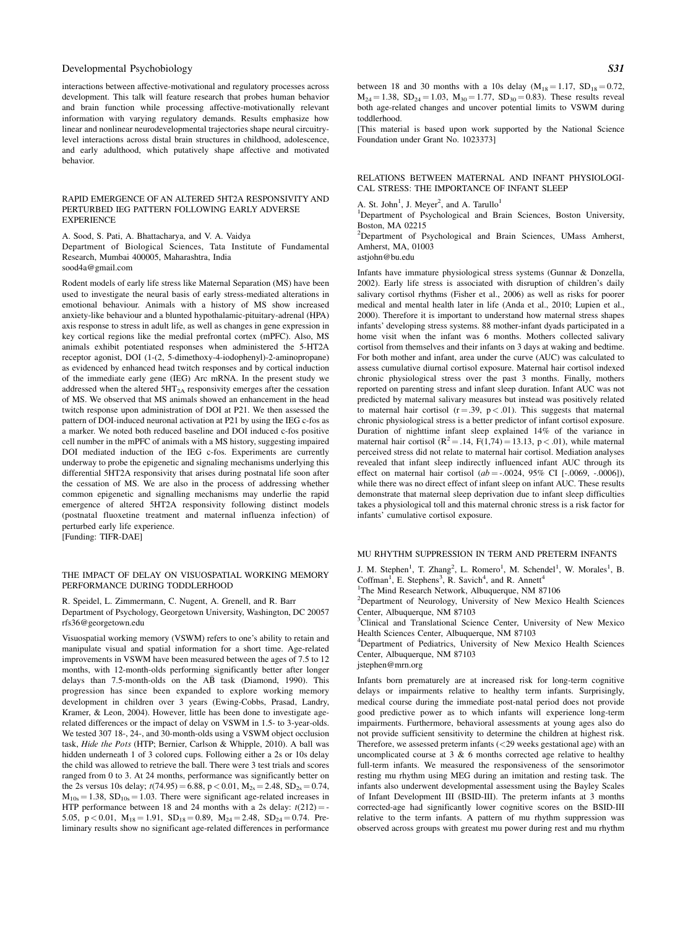interactions between affective-motivational and regulatory processes across development. This talk will feature research that probes human behavior and brain function while processing affective-motivationally relevant information with varying regulatory demands. Results emphasize how linear and nonlinear neurodevelopmental trajectories shape neural circuitrylevel interactions across distal brain structures in childhood, adolescence, and early adulthood, which putatively shape affective and motivated behavior.

#### RAPID EMERGENCE OF AN ALTERED 5HT2A RESPONSIVITY AND PERTURBED IEG PATTERN FOLLOWING EARLY ADVERSE **EXPERIENCE**

A. Sood, S. Pati, A. Bhattacharya, and V. A. Vaidya Department of Biological Sciences, Tata Institute of Fundamental Research, Mumbai 400005, Maharashtra, India sood4a@gmail.com

Rodent models of early life stress like Maternal Separation (MS) have been used to investigate the neural basis of early stress-mediated alterations in emotional behaviour. Animals with a history of MS show increased anxiety-like behaviour and a blunted hypothalamic-pituitary-adrenal (HPA) axis response to stress in adult life, as well as changes in gene expression in key cortical regions like the medial prefrontal cortex (mPFC). Also, MS animals exhibit potentiated responses when administered the 5-HT2A receptor agonist, DOI (1-(2, 5-dimethoxy-4-iodophenyl)-2-aminopropane) as evidenced by enhanced head twitch responses and by cortical induction of the immediate early gene (IEG) Arc mRNA. In the present study we addressed when the altered  $5HT<sub>2A</sub>$  responsivity emerges after the cessation of MS. We observed that MS animals showed an enhancement in the head twitch response upon administration of DOI at P21. We then assessed the pattern of DOI-induced neuronal activation at P21 by using the IEG c-fos as a marker. We noted both reduced baseline and DOI induced c-fos positive cell number in the mPFC of animals with a MS history, suggesting impaired DOI mediated induction of the IEG c-fos. Experiments are currently underway to probe the epigenetic and signaling mechanisms underlying this differential 5HT2A responsivity that arises during postnatal life soon after the cessation of MS. We are also in the process of addressing whether common epigenetic and signalling mechanisms may underlie the rapid emergence of altered 5HT2A responsivity following distinct models (postnatal fluoxetine treatment and maternal influenza infection) of perturbed early life experience. [Funding: TIFR-DAE]

#### THE IMPACT OF DELAY ON VISUOSPATIAL WORKING MEMORY PERFORMANCE DURING TODDLERHOOD

R. Speidel, L. Zimmermann, C. Nugent, A. Grenell, and R. Barr Department of Psychology, Georgetown University, Washington, DC 20057 rfs36@georgetown.edu

Visuospatial working memory (VSWM) refers to one's ability to retain and manipulate visual and spatial information for a short time. Age-related improvements in VSWM have been measured between the ages of 7.5 to 12 months, with 12-month-olds performing significantly better after longer delays than 7.5-month-olds on the AB task (Diamond, 1990). This progression has since been expanded to explore working memory development in children over 3 years (Ewing-Cobbs, Prasad, Landry, Kramer, & Leon, 2004). However, little has been done to investigate agerelated differences or the impact of delay on VSWM in 1.5- to 3-year-olds. We tested 307 18-, 24-, and 30-month-olds using a VSWM object occlusion task, Hide the Pots (HTP; Bernier, Carlson & Whipple, 2010). A ball was hidden underneath 1 of 3 colored cups. Following either a 2s or 10s delay the child was allowed to retrieve the ball. There were 3 test trials and scores ranged from 0 to 3. At 24 months, performance was significantly better on the 2s versus 10s delay;  $t(74.95) = 6.88$ ,  $p < 0.01$ ,  $M_{2s} = 2.48$ ,  $SD_{2s} = 0.74$ ,  $M_{10s} = 1.38$ ,  $SD_{10s} = 1.03$ . There were significant age-related increases in HTP performance between 18 and 24 months with a 2s delay:  $t(212) = -t$ 5.05, p < 0.01,  $M_{18} = 1.91$ ,  $SD_{18} = 0.89$ ,  $M_{24} = 2.48$ ,  $SD_{24} = 0.74$ . Preliminary results show no significant age-related differences in performance between 18 and 30 months with a 10s delay  $(M_{18} = 1.17, SD_{18} = 0.72,$  $M_{24} = 1.38$ ,  $SD_{24} = 1.03$ ,  $M_{30} = 1.77$ ,  $SD_{30} = 0.83$ ). These results reveal both age-related changes and uncover potential limits to VSWM during toddlerhood.

[This material is based upon work supported by the National Science Foundation under Grant No. 1023373]

#### RELATIONS BETWEEN MATERNAL AND INFANT PHYSIOLOGI-CAL STRESS: THE IMPORTANCE OF INFANT SLEEP

A. St. John<sup>1</sup>, J. Meyer<sup>2</sup>, and A. Tarullo<sup>1</sup>

<sup>1</sup>Department of Psychological and Brain Sciences, Boston University, Boston, MA 02215

<sup>2</sup>Department of Psychological and Brain Sciences, UMass Amherst, Amherst, MA, 01003

astjohn@bu.edu

Infants have immature physiological stress systems (Gunnar & Donzella, 2002). Early life stress is associated with disruption of children's daily salivary cortisol rhythms (Fisher et al., 2006) as well as risks for poorer medical and mental health later in life (Anda et al., 2010; Lupien et al., 2000). Therefore it is important to understand how maternal stress shapes infants' developing stress systems. 88 mother-infant dyads participated in a home visit when the infant was 6 months. Mothers collected salivary cortisol from themselves and their infants on 3 days at waking and bedtime. For both mother and infant, area under the curve (AUC) was calculated to assess cumulative diurnal cortisol exposure. Maternal hair cortisol indexed chronic physiological stress over the past 3 months. Finally, mothers reported on parenting stress and infant sleep duration. Infant AUC was not predicted by maternal salivary measures but instead was positively related to maternal hair cortisol ( $r = .39$ ,  $p < .01$ ). This suggests that maternal chronic physiological stress is a better predictor of infant cortisol exposure. Duration of nighttime infant sleep explained 14% of the variance in maternal hair cortisol ( $\mathbb{R}^2 = .14$ ,  $F(1,74) = 13.13$ , p < .01), while maternal perceived stress did not relate to maternal hair cortisol. Mediation analyses revealed that infant sleep indirectly influenced infant AUC through its effect on maternal hair cortisol  $(ab = -0.0024, 95\% \text{ CI} [-0.0069, -0.0006]),$ while there was no direct effect of infant sleep on infant AUC. These results demonstrate that maternal sleep deprivation due to infant sleep difficulties takes a physiological toll and this maternal chronic stress is a risk factor for infants' cumulative cortisol exposure.

# MU RHYTHM SUPPRESSION IN TERM AND PRETERM INFANTS

J. M. Stephen<sup>1</sup>, T. Zhang<sup>2</sup>, L. Romero<sup>1</sup>, M. Schendel<sup>1</sup>, W. Morales<sup>1</sup>, B. Coffman<sup>1</sup>, E. Stephens<sup>3</sup>, R. Savich<sup>4</sup>, and R. Annett<sup>4</sup>

<sup>1</sup>The Mind Research Network, Albuquerque, NM 87106

<sup>2</sup>Department of Neurology, University of New Mexico Health Sciences Center, Albuquerque, NM 87103

<sup>3</sup>Clinical and Translational Science Center, University of New Mexico Health Sciences Center, Albuquerque, NM 87103

4 Department of Pediatrics, University of New Mexico Health Sciences Center, Albuquerque, NM 87103

#### jstephen@mrn.org

Infants born prematurely are at increased risk for long-term cognitive delays or impairments relative to healthy term infants. Surprisingly, medical course during the immediate post-natal period does not provide good predictive power as to which infants will experience long-term impairments. Furthermore, behavioral assessments at young ages also do not provide sufficient sensitivity to determine the children at highest risk. Therefore, we assessed preterm infants (<29 weeks gestational age) with an uncomplicated course at 3 & 6 months corrected age relative to healthy full-term infants. We measured the responsiveness of the sensorimotor resting mu rhythm using MEG during an imitation and resting task. The infants also underwent developmental assessment using the Bayley Scales of Infant Development III (BSID-III). The preterm infants at 3 months corrected-age had significantly lower cognitive scores on the BSID-III relative to the term infants. A pattern of mu rhythm suppression was observed across groups with greatest mu power during rest and mu rhythm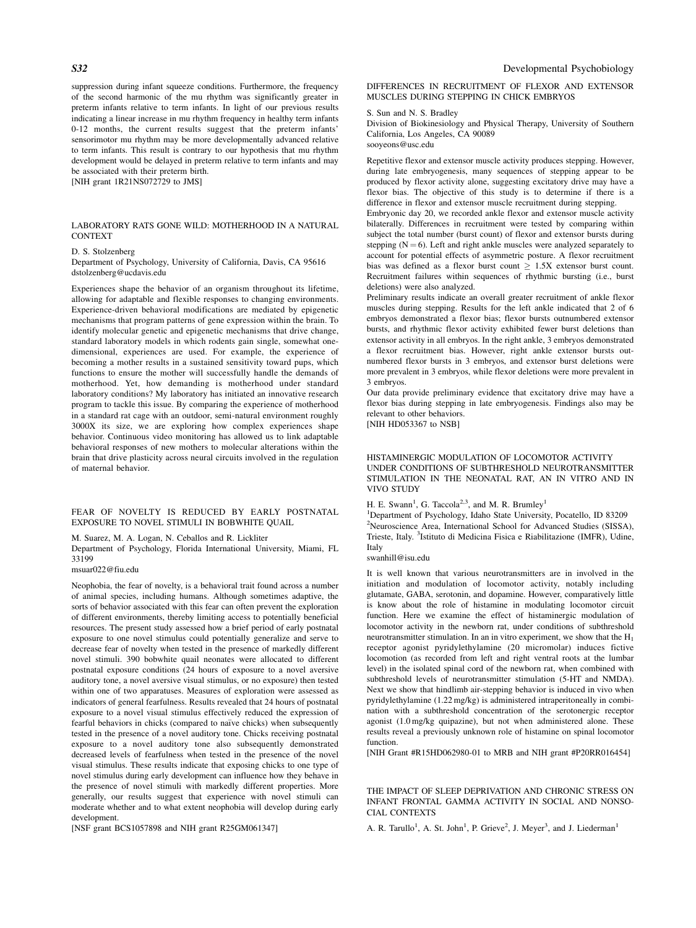suppression during infant squeeze conditions. Furthermore, the frequency of the second harmonic of the mu rhythm was significantly greater in preterm infants relative to term infants. In light of our previous results indicating a linear increase in mu rhythm frequency in healthy term infants 0-12 months, the current results suggest that the preterm infants' sensorimotor mu rhythm may be more developmentally advanced relative to term infants. This result is contrary to our hypothesis that mu rhythm development would be delayed in preterm relative to term infants and may be associated with their preterm birth. [NIH grant 1R21NS072729 to JMS]

LABORATORY RATS GONE WILD: MOTHERHOOD IN A NATURAL **CONTEXT** 

#### D. S. Stolzenberg

Department of Psychology, University of California, Davis, CA 95616 dstolzenberg@ucdavis.edu

Experiences shape the behavior of an organism throughout its lifetime, allowing for adaptable and flexible responses to changing environments. Experience-driven behavioral modifications are mediated by epigenetic mechanisms that program patterns of gene expression within the brain. To identify molecular genetic and epigenetic mechanisms that drive change, standard laboratory models in which rodents gain single, somewhat onedimensional, experiences are used. For example, the experience of becoming a mother results in a sustained sensitivity toward pups, which functions to ensure the mother will successfully handle the demands of motherhood. Yet, how demanding is motherhood under standard laboratory conditions? My laboratory has initiated an innovative research program to tackle this issue. By comparing the experience of motherhood in a standard rat cage with an outdoor, semi-natural environment roughly 3000X its size, we are exploring how complex experiences shape behavior. Continuous video monitoring has allowed us to link adaptable behavioral responses of new mothers to molecular alterations within the brain that drive plasticity across neural circuits involved in the regulation of maternal behavior.

FEAR OF NOVELTY IS REDUCED BY EARLY POSTNATAL EXPOSURE TO NOVEL STIMULI IN BOBWHITE QUAIL

# M. Suarez, M. A. Logan, N. Ceballos and R. Lickliter

Department of Psychology, Florida International University, Miami, FL 33199

#### msuar022@fiu.edu

Neophobia, the fear of novelty, is a behavioral trait found across a number of animal species, including humans. Although sometimes adaptive, the sorts of behavior associated with this fear can often prevent the exploration of different environments, thereby limiting access to potentially beneficial resources. The present study assessed how a brief period of early postnatal exposure to one novel stimulus could potentially generalize and serve to decrease fear of novelty when tested in the presence of markedly different novel stimuli. 390 bobwhite quail neonates were allocated to different postnatal exposure conditions (24 hours of exposure to a novel aversive auditory tone, a novel aversive visual stimulus, or no exposure) then tested within one of two apparatuses. Measures of exploration were assessed as indicators of general fearfulness. Results revealed that 24 hours of postnatal exposure to a novel visual stimulus effectively reduced the expression of fearful behaviors in chicks (compared to naïve chicks) when subsequently tested in the presence of a novel auditory tone. Chicks receiving postnatal exposure to a novel auditory tone also subsequently demonstrated decreased levels of fearfulness when tested in the presence of the novel visual stimulus. These results indicate that exposing chicks to one type of novel stimulus during early development can influence how they behave in the presence of novel stimuli with markedly different properties. More generally, our results suggest that experience with novel stimuli can moderate whether and to what extent neophobia will develop during early development.

[NSF grant BCS1057898 and NIH grant R25GM061347]

DIFFERENCES IN RECRUITMENT OF FLEXOR AND EXTENSOR MUSCLES DURING STEPPING IN CHICK EMBRYOS

#### S. Sun and N. S. Bradley

Division of Biokinesiology and Physical Therapy, University of Southern California, Los Angeles, CA 90089 sooyeons@usc.edu

Repetitive flexor and extensor muscle activity produces stepping. However, during late embryogenesis, many sequences of stepping appear to be produced by flexor activity alone, suggesting excitatory drive may have a flexor bias. The objective of this study is to determine if there is a difference in flexor and extensor muscle recruitment during stepping.

Embryonic day 20, we recorded ankle flexor and extensor muscle activity bilaterally. Differences in recruitment were tested by comparing within subject the total number (burst count) of flexor and extensor bursts during stepping  $(N = 6)$ . Left and right ankle muscles were analyzed separately to account for potential effects of asymmetric posture. A flexor recruitment bias was defined as a flexor burst count  $\geq 1.5X$  extensor burst count. Recruitment failures within sequences of rhythmic bursting (i.e., burst deletions) were also analyzed.

Preliminary results indicate an overall greater recruitment of ankle flexor muscles during stepping. Results for the left ankle indicated that 2 of 6 embryos demonstrated a flexor bias; flexor bursts outnumbered extensor bursts, and rhythmic flexor activity exhibited fewer burst deletions than extensor activity in all embryos. In the right ankle, 3 embryos demonstrated a flexor recruitment bias. However, right ankle extensor bursts outnumbered flexor bursts in 3 embryos, and extensor burst deletions were more prevalent in 3 embryos, while flexor deletions were more prevalent in 3 embryos.

Our data provide preliminary evidence that excitatory drive may have a flexor bias during stepping in late embryogenesis. Findings also may be relevant to other behaviors.

[NIH HD053367 to NSB]

#### HISTAMINERGIC MODULATION OF LOCOMOTOR ACTIVITY UNDER CONDITIONS OF SUBTHRESHOLD NEUROTRANSMITTER STIMULATION IN THE NEONATAL RAT, AN IN VITRO AND IN VIVO STUDY

H. E. Swann<sup>1</sup>, G. Taccola<sup>2,3</sup>, and M. R. Brumley<sup>1</sup>

<sup>1</sup>Department of Psychology, Idaho State University, Pocatello, ID 83209 2 Neuroscience Area, International School for Advanced Studies (SISSA), Trieste, Italy. <sup>3</sup>Istituto di Medicina Fisica e Riabilitazione (IMFR), Udine, Italy

swanhill@isu.edu

It is well known that various neurotransmitters are in involved in the initiation and modulation of locomotor activity, notably including glutamate, GABA, serotonin, and dopamine. However, comparatively little is know about the role of histamine in modulating locomotor circuit function. Here we examine the effect of histaminergic modulation of locomotor activity in the newborn rat, under conditions of subthreshold neurotransmitter stimulation. In an in vitro experiment, we show that the  $H_1$ receptor agonist pyridylethylamine (20 micromolar) induces fictive locomotion (as recorded from left and right ventral roots at the lumbar level) in the isolated spinal cord of the newborn rat, when combined with subthreshold levels of neurotransmitter stimulation (5-HT and NMDA). Next we show that hindlimb air-stepping behavior is induced in vivo when pyridylethylamine (1.22 mg/kg) is administered intraperitoneally in combination with a subthreshold concentration of the serotonergic receptor agonist (1.0 mg/kg quipazine), but not when administered alone. These results reveal a previously unknown role of histamine on spinal locomotor function.

[NIH Grant #R15HD062980-01 to MRB and NIH grant #P20RR016454]

THE IMPACT OF SLEEP DEPRIVATION AND CHRONIC STRESS ON INFANT FRONTAL GAMMA ACTIVITY IN SOCIAL AND NONSO-CIAL CONTEXTS

A. R. Tarullo<sup>1</sup>, A. St. John<sup>1</sup>, P. Grieve<sup>2</sup>, J. Meyer<sup>3</sup>, and J. Liederman<sup>1</sup>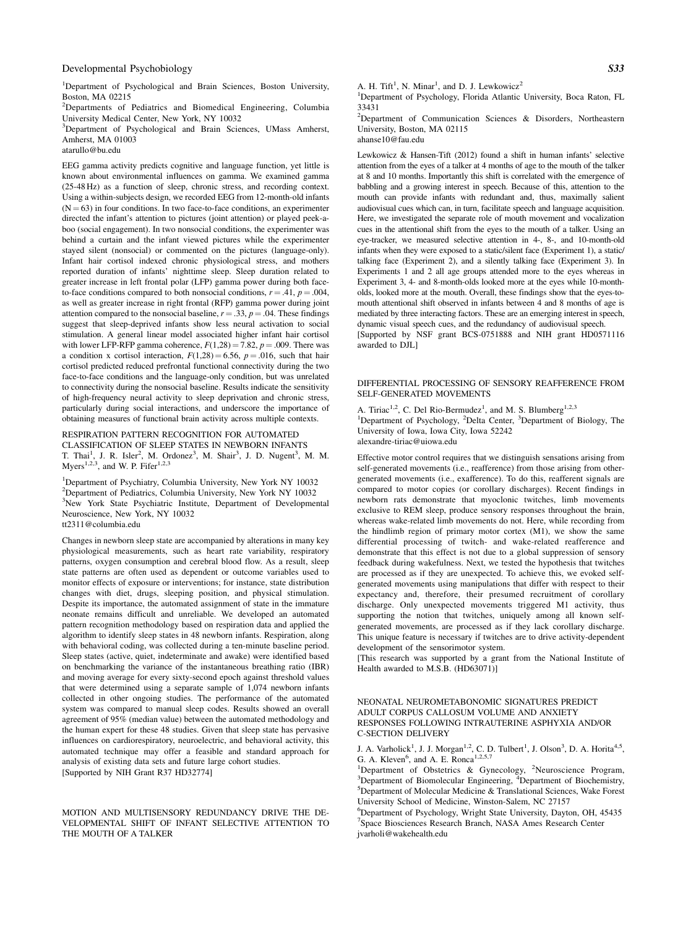<sup>1</sup>Department of Psychological and Brain Sciences, Boston University, Boston, MA 02215

<sup>2</sup>Departments of Pediatrics and Biomedical Engineering, Columbia University Medical Center, New York, NY 10032

<sup>3</sup>Department of Psychological and Brain Sciences, UMass Amherst, Amherst, MA 01003

atarullo@bu.edu

EEG gamma activity predicts cognitive and language function, yet little is known about environmental influences on gamma. We examined gamma (25-48 Hz) as a function of sleep, chronic stress, and recording context. Using a within-subjects design, we recorded EEG from 12-month-old infants  $(N = 63)$  in four conditions. In two face-to-face conditions, an experimenter directed the infant's attention to pictures (joint attention) or played peek-aboo (social engagement). In two nonsocial conditions, the experimenter was behind a curtain and the infant viewed pictures while the experimenter stayed silent (nonsocial) or commented on the pictures (language-only). Infant hair cortisol indexed chronic physiological stress, and mothers reported duration of infants' nighttime sleep. Sleep duration related to greater increase in left frontal polar (LFP) gamma power during both faceto-face conditions compared to both nonsocial conditions,  $r = .41$ ,  $p = .004$ , as well as greater increase in right frontal (RFP) gamma power during joint attention compared to the nonsocial baseline,  $r = .33$ ,  $p = .04$ . These findings suggest that sleep-deprived infants show less neural activation to social stimulation. A general linear model associated higher infant hair cortisol with lower LFP-RFP gamma coherence,  $F(1,28) = 7.82$ ,  $p = .009$ . There was a condition x cortisol interaction,  $F(1,28) = 6.56$ ,  $p = .016$ , such that hair cortisol predicted reduced prefrontal functional connectivity during the two face-to-face conditions and the language-only condition, but was unrelated to connectivity during the nonsocial baseline. Results indicate the sensitivity of high-frequency neural activity to sleep deprivation and chronic stress, particularly during social interactions, and underscore the importance of obtaining measures of functional brain activity across multiple contexts.

# RESPIRATION PATTERN RECOGNITION FOR AUTOMATED CLASSIFICATION OF SLEEP STATES IN NEWBORN INFANTS T. Thai<sup>1</sup>, J. R. Isler<sup>2</sup>, M. Ordonez<sup>3</sup>, M. Shair<sup>3</sup>, J. D. Nugent<sup>3</sup>, M. M.

Myers<sup>1,2,3</sup>, and W. P. Fifer<sup>1,2,3</sup>

1 Department of Psychiatry, Columbia University, New York NY 10032 2 Department of Pediatrics, Columbia University, New York NY 10032 <sup>3</sup>New York State Psychiatric Institute, Department of Developmental Neuroscience, New York, NY 10032 tt2311@columbia.edu

Changes in newborn sleep state are accompanied by alterations in many key physiological measurements, such as heart rate variability, respiratory patterns, oxygen consumption and cerebral blood flow. As a result, sleep state patterns are often used as dependent or outcome variables used to monitor effects of exposure or interventions; for instance, state distribution changes with diet, drugs, sleeping position, and physical stimulation. Despite its importance, the automated assignment of state in the immature neonate remains difficult and unreliable. We developed an automated pattern recognition methodology based on respiration data and applied the algorithm to identify sleep states in 48 newborn infants. Respiration, along with behavioral coding, was collected during a ten-minute baseline period. Sleep states (active, quiet, indeterminate and awake) were identified based on benchmarking the variance of the instantaneous breathing ratio (IBR) and moving average for every sixty-second epoch against threshold values that were determined using a separate sample of 1,074 newborn infants collected in other ongoing studies. The performance of the automated system was compared to manual sleep codes. Results showed an overall agreement of 95% (median value) between the automated methodology and the human expert for these 48 studies. Given that sleep state has pervasive influences on cardiorespiratory, neuroelectric, and behavioral activity, this automated technique may offer a feasible and standard approach for analysis of existing data sets and future large cohort studies. [Supported by NIH Grant R37 HD32774]

MOTION AND MULTISENSORY REDUNDANCY DRIVE THE DE-VELOPMENTAL SHIFT OF INFANT SELECTIVE ATTENTION TO THE MOUTH OF A TALKER

A. H. Tift<sup>1</sup>, N. Minar<sup>1</sup>, and D. J. Lewkowicz<sup>2</sup>

<sup>1</sup>Department of Psychology, Florida Atlantic University, Boca Raton, FL 33431

<sup>2</sup>Department of Communication Sciences & Disorders, Northeastern University, Boston, MA 02115 ahanse10@fau.edu

Lewkowicz & Hansen-Tift (2012) found a shift in human infants' selective attention from the eyes of a talker at 4 months of age to the mouth of the talker at 8 and 10 months. Importantly this shift is correlated with the emergence of babbling and a growing interest in speech. Because of this, attention to the mouth can provide infants with redundant and, thus, maximally salient audiovisual cues which can, in turn, facilitate speech and language acquisition. Here, we investigated the separate role of mouth movement and vocalization cues in the attentional shift from the eyes to the mouth of a talker. Using an eye-tracker, we measured selective attention in 4-, 8-, and 10-month-old infants when they were exposed to a static/silent face (Experiment 1), a static/ talking face (Experiment 2), and a silently talking face (Experiment 3). In Experiments 1 and 2 all age groups attended more to the eyes whereas in Experiment 3, 4- and 8-month-olds looked more at the eyes while 10-montholds, looked more at the mouth. Overall, these findings show that the eyes-tomouth attentional shift observed in infants between 4 and 8 months of age is mediated by three interacting factors. These are an emerging interest in speech, dynamic visual speech cues, and the redundancy of audiovisual speech. [Supported by NSF grant BCS-0751888 and NIH grant HD0571116

awarded to DJL]

#### DIFFERENTIAL PROCESSING OF SENSORY REAFFERENCE FROM SELF-GENERATED MOVEMENTS

A. Tiriac<sup>1,2</sup>, C. Del Rio-Bermudez<sup>1</sup>, and M. S. Blumberg<sup>1,2,3</sup> <sup>1</sup>Department of Psychology, <sup>2</sup>Delta Center, <sup>3</sup>Department of Biology, The University of Iowa, Iowa City, Iowa 52242 alexandre-tiriac@uiowa.edu

Effective motor control requires that we distinguish sensations arising from self-generated movements (i.e., reafference) from those arising from othergenerated movements (i.e., exafference). To do this, reafferent signals are compared to motor copies (or corollary discharges). Recent findings in newborn rats demonstrate that myoclonic twitches, limb movements exclusive to REM sleep, produce sensory responses throughout the brain, whereas wake-related limb movements do not. Here, while recording from the hindlimb region of primary motor cortex (M1), we show the same differential processing of twitch- and wake-related reafference and demonstrate that this effect is not due to a global suppression of sensory feedback during wakefulness. Next, we tested the hypothesis that twitches are processed as if they are unexpected. To achieve this, we evoked selfgenerated movements using manipulations that differ with respect to their expectancy and, therefore, their presumed recruitment of corollary discharge. Only unexpected movements triggered M1 activity, thus supporting the notion that twitches, uniquely among all known selfgenerated movements, are processed as if they lack corollary discharge. This unique feature is necessary if twitches are to drive activity-dependent development of the sensorimotor system.

[This research was supported by a grant from the National Institute of Health awarded to M.S.B. (HD63071)]

NEONATAL NEUROMETABONOMIC SIGNATURES PREDICT ADULT CORPUS CALLOSUM VOLUME AND ANXIETY RESPONSES FOLLOWING INTRAUTERINE ASPHYXIA AND/OR C-SECTION DELIVERY

J. A. Varholick<sup>1</sup>, J. J. Morgan<sup>1,2</sup>, C. D. Tulbert<sup>1</sup>, J. Olson<sup>3</sup>, D. A. Horita<sup>4,5</sup>, G. A. Kleven<sup>6</sup>, and A. E. Ronca<sup>1,2,5,7</sup>

<sup>1</sup>Department of Obstetrics & Gynecology, <sup>2</sup>Neuroscience Program, <sup>3</sup>Nepartment of Biochemistry  $\frac{3}{2}$ Department of Biomolecular Engineering,  $\frac{4}{3}$ Department of Biochemistry, Department of Molecular Medicine & Translational Sciences, Wake Forest University School of Medicine, Winston-Salem, NC 27157

6 Department of Psychology, Wright State University, Dayton, OH, 45435 7 Space Biosciences Research Branch, NASA Ames Research Center jvarholi@wakehealth.edu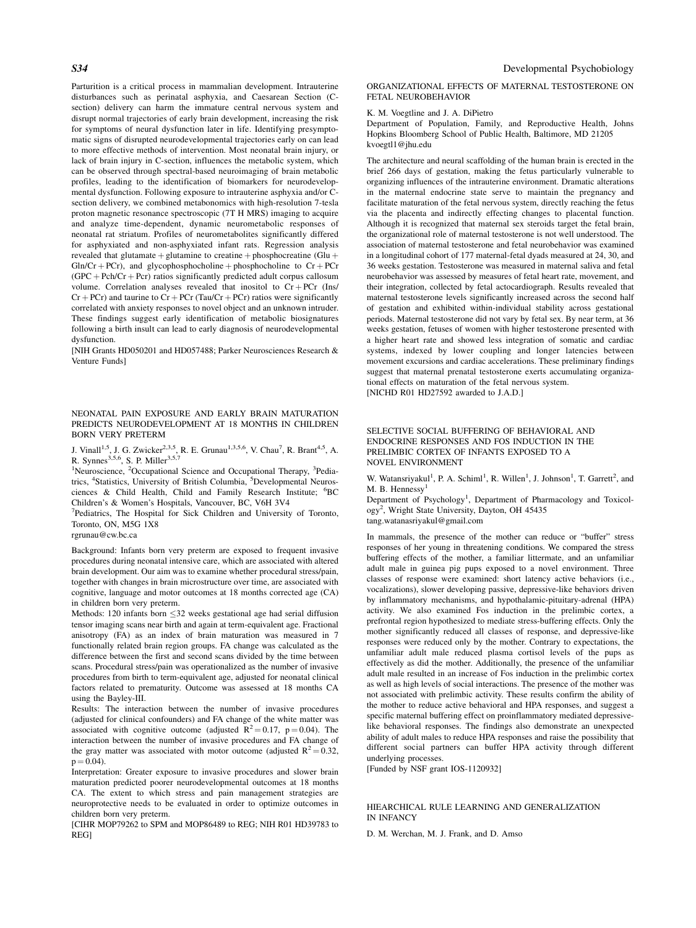Parturition is a critical process in mammalian development. Intrauterine disturbances such as perinatal asphyxia, and Caesarean Section (Csection) delivery can harm the immature central nervous system and disrupt normal trajectories of early brain development, increasing the risk for symptoms of neural dysfunction later in life. Identifying presymptomatic signs of disrupted neurodevelopmental trajectories early on can lead to more effective methods of intervention. Most neonatal brain injury, or lack of brain injury in C-section, influences the metabolic system, which can be observed through spectral-based neuroimaging of brain metabolic profiles, leading to the identification of biomarkers for neurodevelopmental dysfunction. Following exposure to intrauterine asphyxia and/or Csection delivery, we combined metabonomics with high-resolution 7-tesla proton magnetic resonance spectroscopic (7T H MRS) imaging to acquire and analyze time-dependent, dynamic neurometabolic responses of neonatal rat striatum. Profiles of neurometabolites significantly differed for asphyxiated and non-asphyxiated infant rats. Regression analysis revealed that glutamate  $+$  glutamine to creatine  $+$  phosphocreatine (Glu  $+$  $G\ln/Cr + PCr$ , and glycophosphocholine + phosphocholine to  $Cr + PCr$  $(GPC + Pch/Cr + Pcr)$  ratios significantly predicted adult corpus callosum volume. Correlation analyses revealed that inositol to  $Cr + PCr$  (Ins/  $Cr + PCr$ ) and taurine to  $Cr + PCr$  (Tau/Cr + PCr) ratios were significantly correlated with anxiety responses to novel object and an unknown intruder. These findings suggest early identification of metabolic biosignatures following a birth insult can lead to early diagnosis of neurodevelopmental dysfunction.

[NIH Grants HD050201 and HD057488; Parker Neurosciences Research & Venture Funds]

# NEONATAL PAIN EXPOSURE AND EARLY BRAIN MATURATION PREDICTS NEURODEVELOPMENT AT 18 MONTHS IN CHILDREN BORN VERY PRETERM

J. Vinall<sup>1,5</sup>, J. G. Zwicker<sup>2,3,5</sup>, R. E. Grunau<sup>1,3,5,6</sup>, V. Chau<sup>7</sup>, R. Brant<sup>4,5</sup>, A. R. Synnes<sup>3,5,6</sup>, S. P. Miller<sup>3,5,7</sup>

<sup>1</sup>Neuroscience, <sup>2</sup>Occupational Science and Occupational Therapy, <sup>3</sup>Pediatrics, <sup>4</sup>Statistics, University of British Columbia, <sup>5</sup>Developmental Neurosciences & Child Health, Child and Family Research Institute; <sup>6</sup>BC Children's & Women's Hospitals, Vancouver, BC, V6H 3V4

<sup>7</sup>Pediatrics, The Hospital for Sick Children and University of Toronto, Toronto, ON, M5G 1X8

rgrunau@cw.bc.ca

Background: Infants born very preterm are exposed to frequent invasive procedures during neonatal intensive care, which are associated with altered brain development. Our aim was to examine whether procedural stress/pain, together with changes in brain microstructure over time, are associated with cognitive, language and motor outcomes at 18 months corrected age (CA) in children born very preterm.

Methods: 120 infants born  $\leq$ 32 weeks gestational age had serial diffusion tensor imaging scans near birth and again at term-equivalent age. Fractional anisotropy (FA) as an index of brain maturation was measured in 7 functionally related brain region groups. FA change was calculated as the difference between the first and second scans divided by the time between scans. Procedural stress/pain was operationalized as the number of invasive procedures from birth to term-equivalent age, adjusted for neonatal clinical factors related to prematurity. Outcome was assessed at 18 months CA using the Bayley-III.

Results: The interaction between the number of invasive procedures (adjusted for clinical confounders) and FA change of the white matter was associated with cognitive outcome (adjusted  $R^2 = 0.17$ , p = 0.04). The interaction between the number of invasive procedures and FA change of the gray matter was associated with motor outcome (adjusted  $R^2 = 0.32$ ,  $p = 0.04$ ).

Interpretation: Greater exposure to invasive procedures and slower brain maturation predicted poorer neurodevelopmental outcomes at 18 months CA. The extent to which stress and pain management strategies are neuroprotective needs to be evaluated in order to optimize outcomes in children born very preterm.

[CIHR MOP79262 to SPM and MOP86489 to REG; NIH R01 HD39783 to REG]

ORGANIZATIONAL EFFECTS OF MATERNAL TESTOSTERONE ON FETAL NEUROBEHAVIOR

# K. M. Voegtline and J. A. DiPietro

Department of Population, Family, and Reproductive Health, Johns Hopkins Bloomberg School of Public Health, Baltimore, MD 21205 kvoegtl1@jhu.edu

The architecture and neural scaffolding of the human brain is erected in the brief 266 days of gestation, making the fetus particularly vulnerable to organizing influences of the intrauterine environment. Dramatic alterations in the maternal endocrine state serve to maintain the pregnancy and facilitate maturation of the fetal nervous system, directly reaching the fetus via the placenta and indirectly effecting changes to placental function. Although it is recognized that maternal sex steroids target the fetal brain, the organizational role of maternal testosterone is not well understood. The association of maternal testosterone and fetal neurobehavior was examined in a longitudinal cohort of 177 maternal-fetal dyads measured at 24, 30, and 36 weeks gestation. Testosterone was measured in maternal saliva and fetal neurobehavior was assessed by measures of fetal heart rate, movement, and their integration, collected by fetal actocardiograph. Results revealed that maternal testosterone levels significantly increased across the second half of gestation and exhibited within-individual stability across gestational periods. Maternal testosterone did not vary by fetal sex. By near term, at 36 weeks gestation, fetuses of women with higher testosterone presented with a higher heart rate and showed less integration of somatic and cardiac systems, indexed by lower coupling and longer latencies between movement excursions and cardiac accelerations. These preliminary findings suggest that maternal prenatal testosterone exerts accumulating organizational effects on maturation of the fetal nervous system. [NICHD R01 HD27592 awarded to J.A.D.]

#### SELECTIVE SOCIAL BUFFERING OF BEHAVIORAL AND ENDOCRINE RESPONSES AND FOS INDUCTION IN THE PRELIMBIC CORTEX OF INFANTS EXPOSED TO A NOVEL ENVIRONMENT

W. Watansriyakul<sup>1</sup>, P. A. Schiml<sup>1</sup>, R. Willen<sup>1</sup>, J. Johnson<sup>1</sup>, T. Garrett<sup>2</sup>, and M. B. Hennessy $<sup>1</sup>$ </sup>

Department of Psychology<sup>1</sup>, Department of Pharmacology and Toxicology<sup>2</sup>, Wright State University, Dayton, OH 45435 tang.watanasriyakul@gmail.com

In mammals, the presence of the mother can reduce or "buffer" stress responses of her young in threatening conditions. We compared the stress buffering effects of the mother, a familiar littermate, and an unfamiliar adult male in guinea pig pups exposed to a novel environment. Three classes of response were examined: short latency active behaviors (i.e., vocalizations), slower developing passive, depressive-like behaviors driven by inflammatory mechanisms, and hypothalamic-pituitary-adrenal (HPA) activity. We also examined Fos induction in the prelimbic cortex, a prefrontal region hypothesized to mediate stress-buffering effects. Only the mother significantly reduced all classes of response, and depressive-like responses were reduced only by the mother. Contrary to expectations, the unfamiliar adult male reduced plasma cortisol levels of the pups as effectively as did the mother. Additionally, the presence of the unfamiliar adult male resulted in an increase of Fos induction in the prelimbic cortex as well as high levels of social interactions. The presence of the mother was not associated with prelimbic activity. These results confirm the ability of the mother to reduce active behavioral and HPA responses, and suggest a specific maternal buffering effect on proinflammatory mediated depressivelike behavioral responses. The findings also demonstrate an unexpected ability of adult males to reduce HPA responses and raise the possibility that different social partners can buffer HPA activity through different underlying processes.

[Funded by NSF grant IOS-1120932]

# HIEARCHICAL RULE LEARNING AND GENERALIZATION IN INFANCY

D. M. Werchan, M. J. Frank, and D. Amso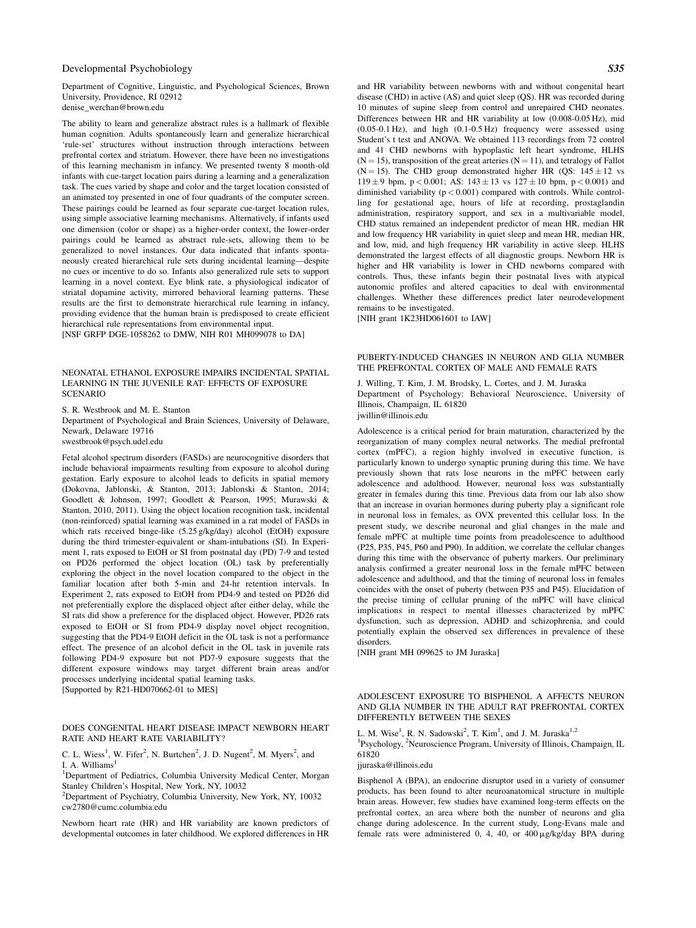Department of Cognitive, Linguistic, and Psychological Sciences, Brown University, Providence, RI 02912 denise\_werchan@brown.edu

The ability to learn and generalize abstract rules is a hallmark of flexible human cognition. Adults spontaneously learn and generalize hierarchical 'rule-set' structures without instruction through interactions between prefrontal cortex and striatum. However, there have been no investigations of this learning mechanism in infancy. We presented twenty 8 month-old infants with cue-target location pairs during a learning and a generalization task. The cues varied by shape and color and the target location consisted of an animated toy presented in one of four quadrants of the computer screen. These pairings could be learned as four separate cue-target location rules, using simple associative learning mechanisms. Alternatively, if infants used one dimension (color or shape) as a higher-order context, the lower-order pairings could be learned as abstract rule-sets, allowing them to be generalized to novel instances. Our data indicated that infants spontaneously created hierarchical rule sets during incidental learning—despite no cues or incentive to do so. Infants also generalized rule sets to support learning in a novel context. Eye blink rate, a physiological indicator of striatal dopamine activity, mirrored behavioral learning patterns. These results are the first to demonstrate hierarchical rule learning in infancy, providing evidence that the human brain is predisposed to create efficient hierarchical rule representations from environmental input. [NSF GRFP DGE-1058262 to DMW, NIH R01 MH099078 to DA]

NEONATAL ETHANOL EXPOSURE IMPAIRS INCIDENTAL SPATIAL LEARNING IN THE JUVENILE RAT: EFFECTS OF EXPOSURE SCENARIO

S. R. Westbrook and M. E. Stanton Department of Psychological and Brain Sciences, University of Delaware, Newark, Delaware 19716 swestbrook@psych.udel.edu

Fetal alcohol spectrum disorders (FASDs) are neurocognitive disorders that include behavioral impairments resulting from exposure to alcohol during gestation. Early exposure to alcohol leads to deficits in spatial memory (Dokovna, Jablonski, & Stanton, 2013; Jablonski & Stanton, 2014; Goodlett & Johnson, 1997; Goodlett & Pearson, 1995; Murawski & Stanton, 2010, 2011). Using the object location recognition task, incidental (non-reinforced) spatial learning was examined in a rat model of FASDs in which rats received binge-like (5.25 g/kg/day) alcohol (EtOH) exposure during the third trimester-equivalent or sham-intubations (SI). In Experiment 1, rats exposed to EtOH or SI from postnatal day (PD) 7-9 and tested on PD26 performed the object location (OL) task by preferentially exploring the object in the novel location compared to the object in the familiar location after both 5-min and 24-hr retention intervals. In Experiment 2, rats exposed to EtOH from PD4-9 and tested on PD26 did not preferentially explore the displaced object after either delay, while the SI rats did show a preference for the displaced object. However, PD26 rats exposed to EtOH or SI from PD4-9 display novel object recognition, suggesting that the PD4-9 EtOH deficit in the OL task is not a performance effect. The presence of an alcohol deficit in the OL task in juvenile rats following PD4-9 exposure but not PD7-9 exposure suggests that the different exposure windows may target different brain areas and/or processes underlying incidental spatial learning tasks. [Supported by R21-HD070662-01 to MES]

# DOES CONGENITAL HEART DISEASE IMPACT NEWBORN HEART RATE AND HEART RATE VARIABILITY?

C. L. Wiess<sup>1</sup>, W. Fifer<sup>2</sup>, N. Burtchen<sup>2</sup>, J. D. Nugent<sup>2</sup>, M. Myers<sup>2</sup>, and I. A. Williams $<sup>1</sup>$ </sup>

<sup>1</sup>Department of Pediatrics, Columbia University Medical Center, Morgan Stanley Children's Hospital, New York, NY, 10032

2 Department of Psychiatry, Columbia University, New York, NY, 10032 cw2780@cumc.columbia.edu

Newborn heart rate (HR) and HR variability are known predictors of developmental outcomes in later childhood. We explored differences in HR and HR variability between newborns with and without congenital heart disease (CHD) in active (AS) and quiet sleep (QS). HR was recorded during 10 minutes of supine sleep from control and unrepaired CHD neonates. Differences between HR and HR variability at low (0.008-0.05 Hz), mid (0.05-0.1 Hz), and high (0.1-0.5 Hz) frequency were assessed using Student's t test and ANOVA. We obtained 113 recordings from 72 control and 41 CHD newborns with hypoplastic left heart syndrome, HLHS  $(N = 15)$ , transposition of the great arteries  $(N = 11)$ , and tetralogy of Fallot (N = 15). The CHD group demonstrated higher HR (QS:  $145 \pm 12$  vs 119 ± 9 bpm, p < 0.001; AS:  $143 \pm 13$  vs  $127 \pm 10$  bpm, p < 0.001) and diminished variability  $(p < 0.001)$  compared with controls. While controlling for gestational age, hours of life at recording, prostaglandin administration, respiratory support, and sex in a multivariable model, CHD status remained an independent predictor of mean HR, median HR and low frequency HR variability in quiet sleep and mean HR, median HR, and low, mid, and high frequency HR variability in active sleep. HLHS demonstrated the largest effects of all diagnostic groups. Newborn HR is higher and HR variability is lower in CHD newborns compared with controls. Thus, these infants begin their postnatal lives with atypical autonomic profiles and altered capacities to deal with environmental challenges. Whether these differences predict later neurodevelopment remains to be investigated.

[NIH grant 1K23HD061601 to IAW]

#### PUBERTY-INDUCED CHANGES IN NEURON AND GLIA NUMBER THE PREFRONTAL CORTEX OF MALE AND FEMALE RATS

J. Willing, T. Kim, J. M. Brodsky, L. Cortes, and J. M. Juraska

Department of Psychology: Behavioral Neuroscience, University of Illinois, Champaign, IL 61820 jwillin@illinois.edu

Adolescence is a critical period for brain maturation, characterized by the reorganization of many complex neural networks. The medial prefrontal cortex (mPFC), a region highly involved in executive function, is particularly known to undergo synaptic pruning during this time. We have previously shown that rats lose neurons in the mPFC between early adolescence and adulthood. However, neuronal loss was substantially greater in females during this time. Previous data from our lab also show that an increase in ovarian hormones during puberty play a significant role in neuronal loss in females, as OVX prevented this cellular loss. In the present study, we describe neuronal and glial changes in the male and female mPFC at multiple time points from preadolescence to adulthood (P25, P35, P45, P60 and P90). In addition, we correlate the cellular changes during this time with the observance of puberty markers. Our preliminary analysis confirmed a greater neuronal loss in the female mPFC between adolescence and adulthood, and that the timing of neuronal loss in females coincides with the onset of puberty (between P35 and P45). Elucidation of the precise timing of cellular pruning of the mPFC will have clinical implications in respect to mental illnesses characterized by mPFC dysfunction, such as depression, ADHD and schizophrenia, and could potentially explain the observed sex differences in prevalence of these disorders.

[NIH grant MH 099625 to JM Juraska]

ADOLESCENT EXPOSURE TO BISPHENOL A AFFECTS NEURON AND GLIA NUMBER IN THE ADULT RAT PREFRONTAL CORTEX DIFFERENTLY BETWEEN THE SEXES

L. M. Wise<sup>1</sup>, R. N. Sadowski<sup>2</sup>, T. Kim<sup>1</sup>, and J. M. Juraska<sup>1,2</sup> <sup>1</sup>Psychology, <sup>2</sup>Neuroscience Program, University of Illinois, Champaign, IL 61820

jjuraska@illinois.edu

Bisphenol A (BPA), an endocrine disruptor used in a variety of consumer products, has been found to alter neuroanatomical structure in multiple brain areas. However, few studies have examined long-term effects on the prefrontal cortex, an area where both the number of neurons and glia change during adolescence. In the current study, Long-Evans male and female rats were administered 0, 4, 40, or  $400 \mu g/kg/day$  BPA during